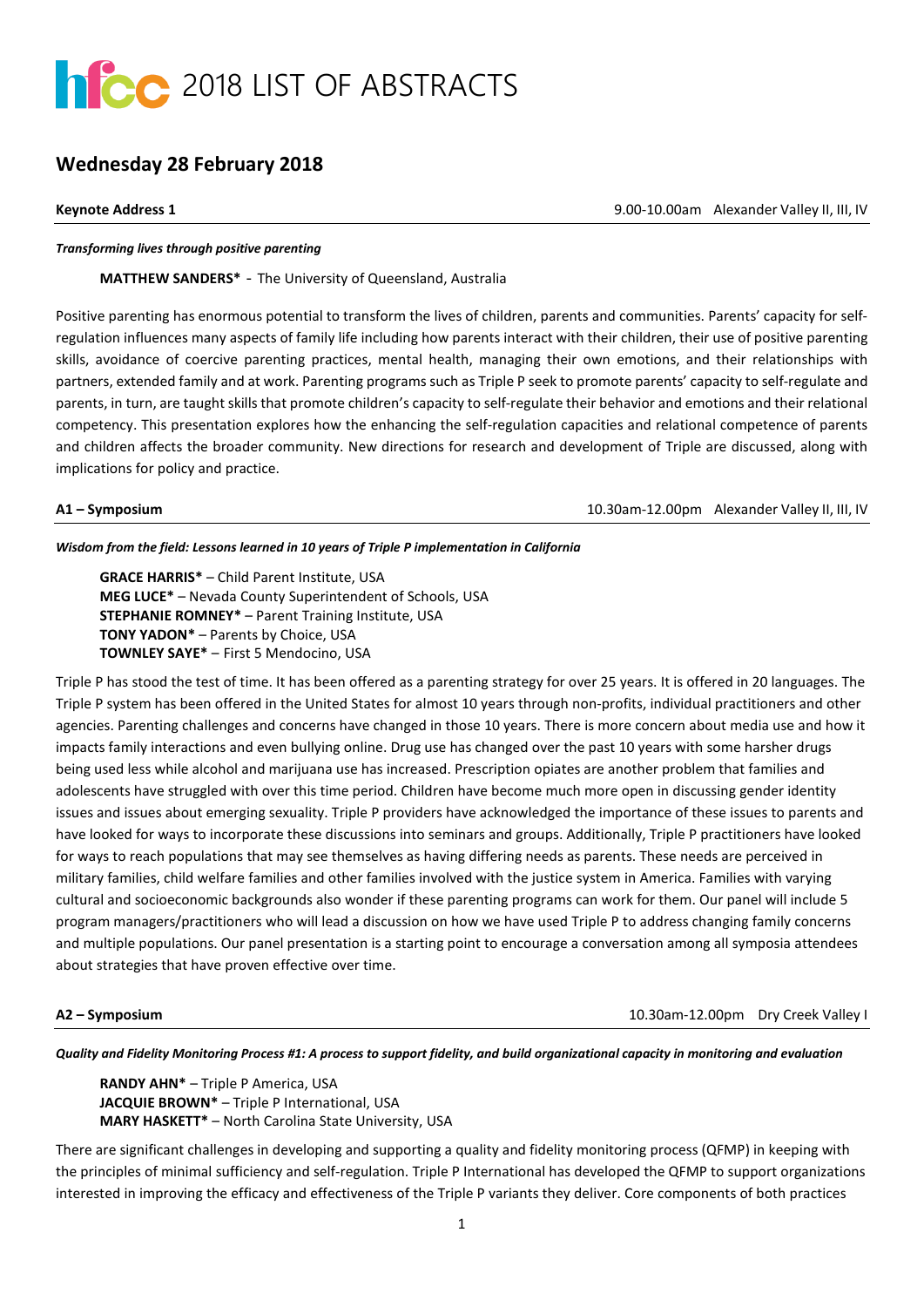

# **Wednesday 28 February 2018**

**Keynote Address 1** 9.00-10.00am Alexander Valley II, III, IV

### *Transforming lives through positive parenting*

**MATTHEW SANDERS\*** - The University of Queensland, Australia

Positive parenting has enormous potential to transform the lives of children, parents and communities. Parents' capacity for selfregulation influences many aspects of family life including how parents interact with their children, their use of positive parenting skills, avoidance of coercive parenting practices, mental health, managing their own emotions, and their relationships with partners, extended family and at work. Parenting programs such as Triple P seek to promote parents' capacity to self-regulate and parents, in turn, are taught skills that promote children's capacity to self-regulate their behavior and emotions and their relational competency. This presentation explores how the enhancing the self-regulation capacities and relational competence of parents and children affects the broader community. New directions for research and development of Triple are discussed, along with implications for policy and practice.

**A1 – Symposium**10.30am-12.00pm Alexander Valley II, III, IV

## *Wisdom from the field: Lessons learned in 10 years of Triple P implementation in California*

**GRACE HARRIS\*** – Child Parent Institute, USA **MEG LUCE\*** – Nevada County Superintendent of Schools, USA **STEPHANIE ROMNEY\*** – Parent Training Institute, USA **TONY YADON\*** – Parents by Choice, USA **TOWNLEY SAYE\*** – First 5 Mendocino, USA

Triple P has stood the test of time. It has been offered as a parenting strategy for over 25 years. It is offered in 20 languages. The Triple P system has been offered in the United States for almost 10 years through non-profits, individual practitioners and other agencies. Parenting challenges and concerns have changed in those 10 years. There is more concern about media use and how it impacts family interactions and even bullying online. Drug use has changed over the past 10 years with some harsher drugs being used less while alcohol and marijuana use has increased. Prescription opiates are another problem that families and adolescents have struggled with over this time period. Children have become much more open in discussing gender identity issues and issues about emerging sexuality. Triple P providers have acknowledged the importance of these issues to parents and have looked for ways to incorporate these discussions into seminars and groups. Additionally, Triple P practitioners have looked for ways to reach populations that may see themselves as having differing needs as parents. These needs are perceived in military families, child welfare families and other families involved with the justice system in America. Families with varying cultural and socioeconomic backgrounds also wonder if these parenting programs can work for them. Our panel will include 5 program managers/practitioners who will lead a discussion on how we have used Triple P to address changing family concerns and multiple populations. Our panel presentation is a starting point to encourage a conversation among all symposia attendees about strategies that have proven effective over time.

**A2 – Symposium**10.30am-12.00pm Dry Creek Valley I

*Quality and Fidelity Monitoring Process #1: A process to support fidelity, and build organizational capacity in monitoring and evaluation*

**RANDY AHN\*** – Triple P America, USA **JACQUIE BROWN\*** – Triple P International, USA **MARY HASKETT\*** – North Carolina State University, USA

There are significant challenges in developing and supporting a quality and fidelity monitoring process (QFMP) in keeping with the principles of minimal sufficiency and self-regulation. Triple P International has developed the QFMP to support organizations interested in improving the efficacy and effectiveness of the Triple P variants they deliver. Core components of both practices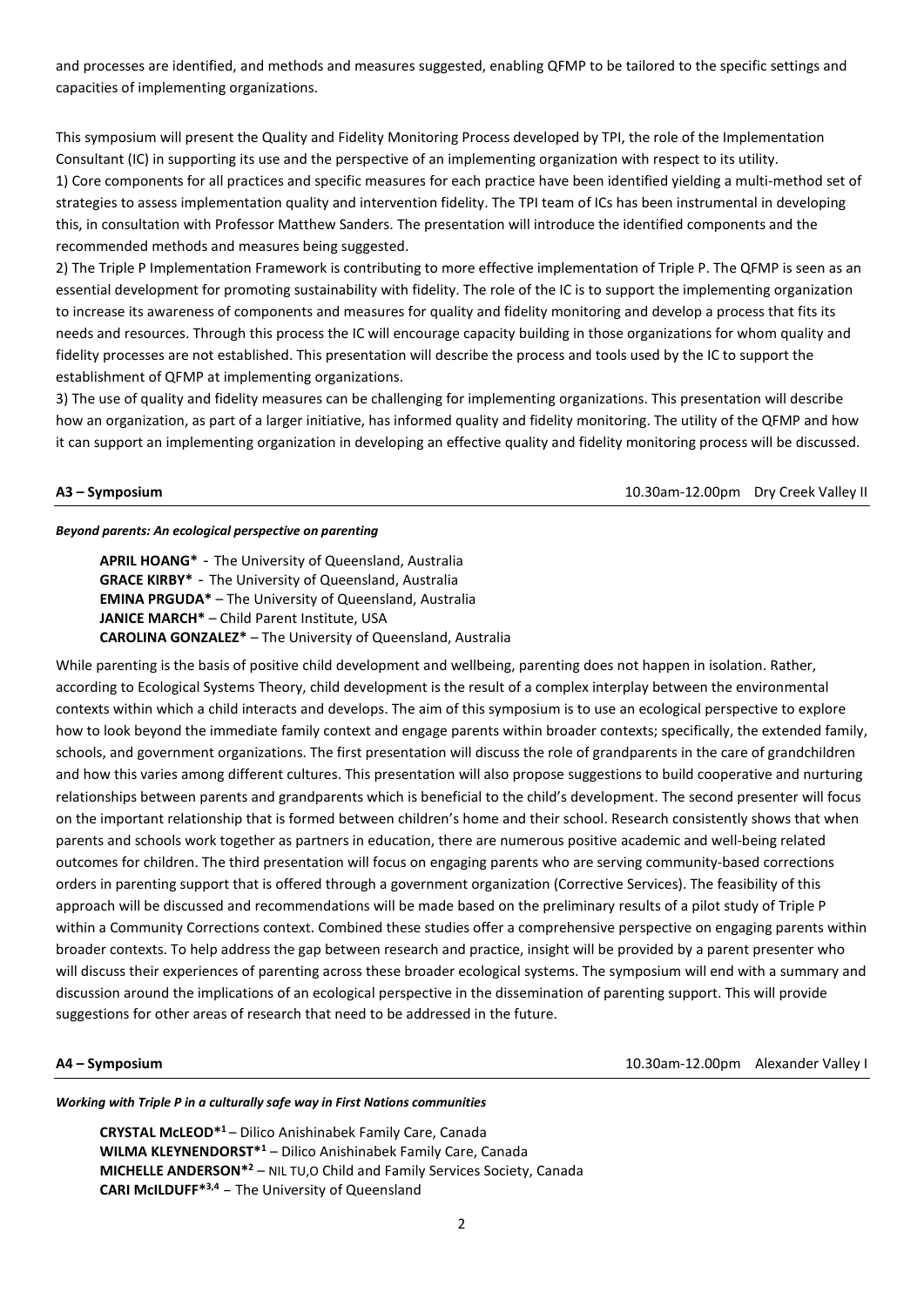and processes are identified, and methods and measures suggested, enabling QFMP to be tailored to the specific settings and capacities of implementing organizations.

This symposium will present the Quality and Fidelity Monitoring Process developed by TPI, the role of the Implementation Consultant (IC) in supporting its use and the perspective of an implementing organization with respect to its utility. 1) Core components for all practices and specific measures for each practice have been identified yielding a multi-method set of strategies to assess implementation quality and intervention fidelity. The TPI team of ICs has been instrumental in developing this, in consultation with Professor Matthew Sanders. The presentation will introduce the identified components and the recommended methods and measures being suggested.

2) The Triple P Implementation Framework is contributing to more effective implementation of Triple P. The QFMP is seen as an essential development for promoting sustainability with fidelity. The role of the IC is to support the implementing organization to increase its awareness of components and measures for quality and fidelity monitoring and develop a process that fits its needs and resources. Through this process the IC will encourage capacity building in those organizations for whom quality and fidelity processes are not established. This presentation will describe the process and tools used by the IC to support the establishment of QFMP at implementing organizations.

3) The use of quality and fidelity measures can be challenging for implementing organizations. This presentation will describe how an organization, as part of a larger initiative, has informed quality and fidelity monitoring. The utility of the QFMP and how it can support an implementing organization in developing an effective quality and fidelity monitoring process will be discussed.

**A3 – Symposium** 10.30am-12.00pm Dry Creek Valley II

### *Beyond parents: An ecological perspective on parenting*

**APRIL HOANG\*** - The University of Queensland, Australia **GRACE KIRBY\*** - The University of Queensland, Australia **EMINA PRGUDA\*** – The University of Queensland, Australia **JANICE MARCH\*** – Child Parent Institute, USA **CAROLINA GONZALEZ\*** – The University of Queensland, Australia

While parenting is the basis of positive child development and wellbeing, parenting does not happen in isolation. Rather, according to Ecological Systems Theory, child development is the result of a complex interplay between the environmental contexts within which a child interacts and develops. The aim of this symposium is to use an ecological perspective to explore how to look beyond the immediate family context and engage parents within broader contexts; specifically, the extended family, schools, and government organizations. The first presentation will discuss the role of grandparents in the care of grandchildren and how this varies among different cultures. This presentation will also propose suggestions to build cooperative and nurturing relationships between parents and grandparents which is beneficial to the child's development. The second presenter will focus on the important relationship that is formed between children's home and their school. Research consistently shows that when parents and schools work together as partners in education, there are numerous positive academic and well-being related outcomes for children. The third presentation will focus on engaging parents who are serving community-based corrections orders in parenting support that is offered through a government organization (Corrective Services). The feasibility of this approach will be discussed and recommendations will be made based on the preliminary results of a pilot study of Triple P within a Community Corrections context. Combined these studies offer a comprehensive perspective on engaging parents within broader contexts. To help address the gap between research and practice, insight will be provided by a parent presenter who will discuss their experiences of parenting across these broader ecological systems. The symposium will end with a summary and discussion around the implications of an ecological perspective in the dissemination of parenting support. This will provide suggestions for other areas of research that need to be addressed in the future.

**A4 – Symposium** 10.30am-12.00pm Alexander Valley I

### *Working with Triple P in a culturally safe way in First Nations communities*

**CRYSTAL McLEOD\*1** – Dilico Anishinabek Family Care, Canada **WILMA KLEYNENDORST\*1** – Dilico Anishinabek Family Care, Canada **MICHELLE ANDERSON\*2** – NIL TU,O Child and Family Services Society, Canada **CARI McILDUFF\*3,4** – The University of Queensland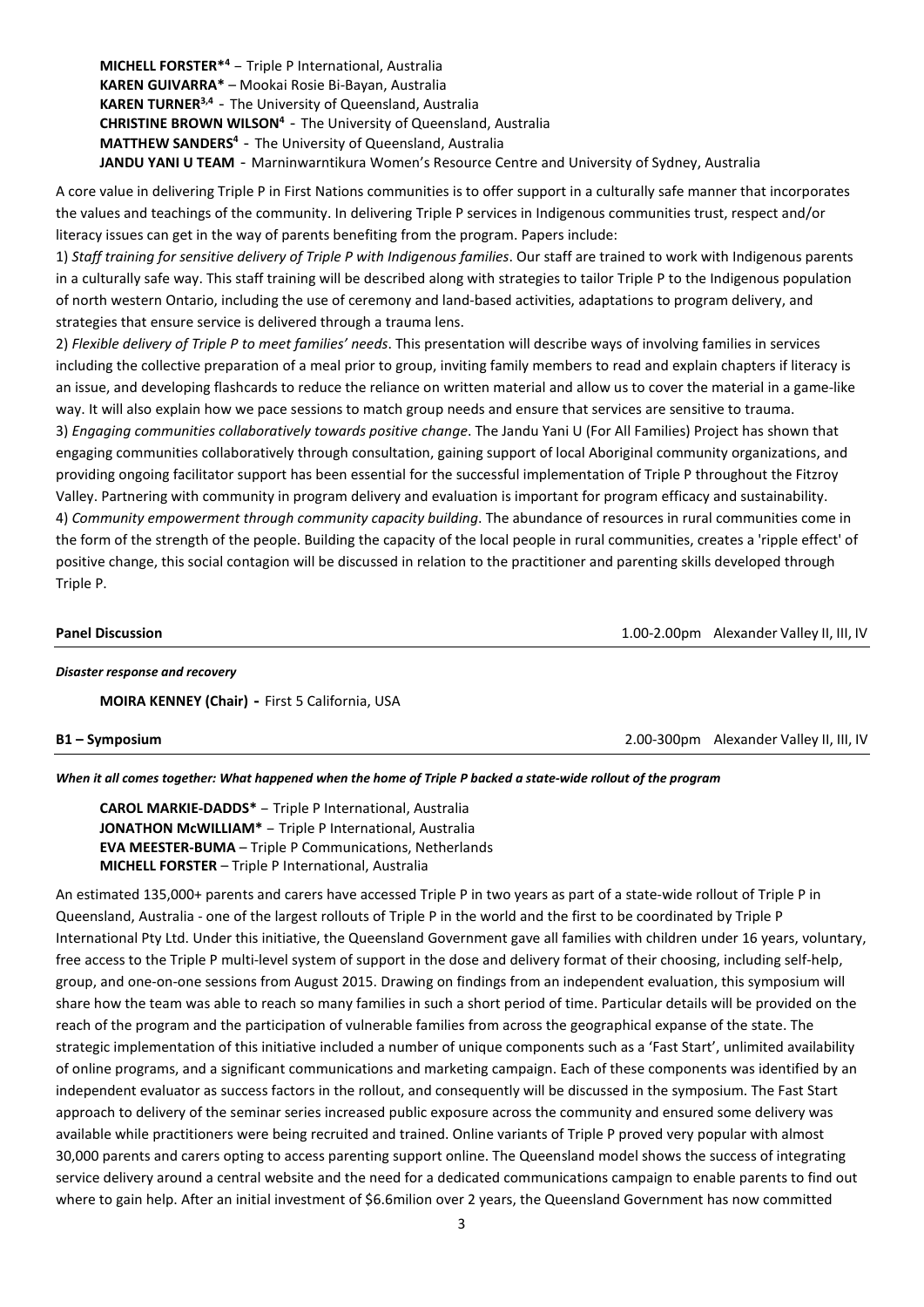**MICHELL FORSTER\*4** – Triple P International, Australia **KAREN GUIVARRA\*** – Mookai Rosie Bi-Bayan, Australia **KAREN TURNER3,4** - The University of Queensland, Australia **CHRISTINE BROWN WILSON<sup>4</sup>** - The University of Queensland, Australia **MATTHEW SANDERS4** - The University of Queensland, Australia **JANDU YANI U TEAM** - Marninwarntikura Women's Resource Centre and University of Sydney, Australia

A core value in delivering Triple P in First Nations communities is to offer support in a culturally safe manner that incorporates the values and teachings of the community. In delivering Triple P services in Indigenous communities trust, respect and/or literacy issues can get in the way of parents benefiting from the program. Papers include:

1) *Staff training for sensitive delivery of Triple P with Indigenous families*. Our staff are trained to work with Indigenous parents in a culturally safe way. This staff training will be described along with strategies to tailor Triple P to the Indigenous population of north western Ontario, including the use of ceremony and land-based activities, adaptations to program delivery, and strategies that ensure service is delivered through a trauma lens.

2) *Flexible delivery of Triple P to meet families' needs*. This presentation will describe ways of involving families in services including the collective preparation of a meal prior to group, inviting family members to read and explain chapters if literacy is an issue, and developing flashcards to reduce the reliance on written material and allow us to cover the material in a game-like way. It will also explain how we pace sessions to match group needs and ensure that services are sensitive to trauma. 3) *Engaging communities collaboratively towards positive change*. The Jandu Yani U (For All Families) Project has shown that engaging communities collaboratively through consultation, gaining support of local Aboriginal community organizations, and providing ongoing facilitator support has been essential for the successful implementation of Triple P throughout the Fitzroy Valley. Partnering with community in program delivery and evaluation is important for program efficacy and sustainability. 4) *Community empowerment through community capacity building*. The abundance of resources in rural communities come in the form of the strength of the people. Building the capacity of the local people in rural communities, creates a 'ripple effect' of positive change, this social contagion will be discussed in relation to the practitioner and parenting skills developed through Triple P.

**Panel Discussion** 1.00-2.00pm Alexander Valley II, III, IV

### *Disaster response and recovery*

**MOIRA KENNEY (Chair) -** First 5 California, USA

**B1 – Symposium**2.00-300pm Alexander Valley II, III, IV

### *When it all comes together: What happened when the home of Triple P backed a state-wide rollout of the program*

**CAROL MARKIE-DADDS\*** – Triple P International, Australia **JONATHON McWILLIAM\*** – Triple P International, Australia **EVA MEESTER-BUMA** – Triple P Communications, Netherlands **MICHELL FORSTER** – Triple P International, Australia

An estimated 135,000+ parents and carers have accessed Triple P in two years as part of a state-wide rollout of Triple P in Queensland, Australia - one of the largest rollouts of Triple P in the world and the first to be coordinated by Triple P International Pty Ltd. Under this initiative, the Queensland Government gave all families with children under 16 years, voluntary, free access to the Triple P multi-level system of support in the dose and delivery format of their choosing, including self-help, group, and one-on-one sessions from August 2015. Drawing on findings from an independent evaluation, this symposium will share how the team was able to reach so many families in such a short period of time. Particular details will be provided on the reach of the program and the participation of vulnerable families from across the geographical expanse of the state. The strategic implementation of this initiative included a number of unique components such as a 'Fast Start', unlimited availability of online programs, and a significant communications and marketing campaign. Each of these components was identified by an independent evaluator as success factors in the rollout, and consequently will be discussed in the symposium. The Fast Start approach to delivery of the seminar series increased public exposure across the community and ensured some delivery was available while practitioners were being recruited and trained. Online variants of Triple P proved very popular with almost 30,000 parents and carers opting to access parenting support online. The Queensland model shows the success of integrating service delivery around a central website and the need for a dedicated communications campaign to enable parents to find out where to gain help. After an initial investment of \$6.6milion over 2 years, the Queensland Government has now committed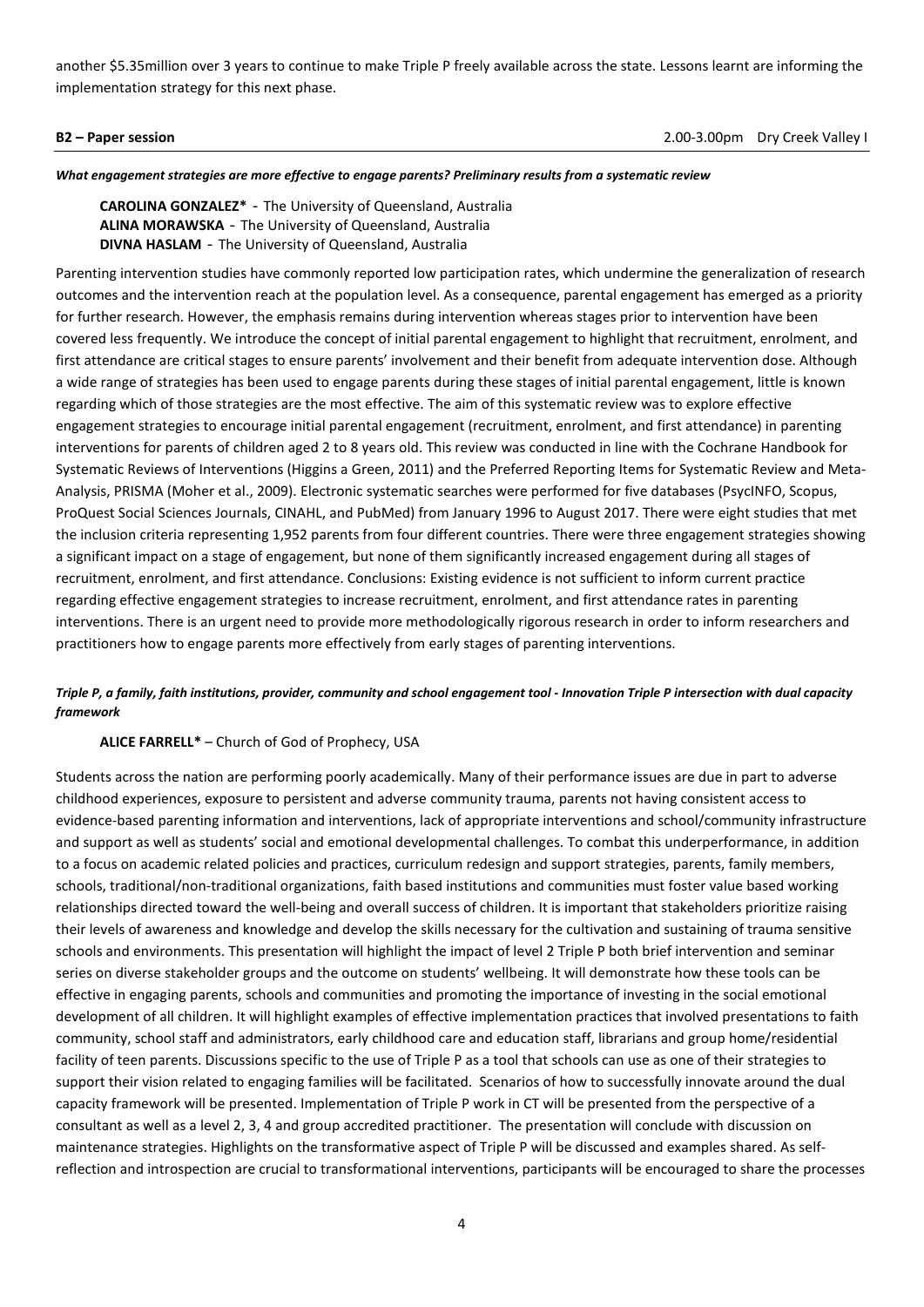another \$5.35million over 3 years to continue to make Triple P freely available across the state. Lessons learnt are informing the implementation strategy for this next phase.

**B2 – Paper session**2.00-3.00pm Dry Creek Valley I

*What engagement strategies are more effective to engage parents? Preliminary results from a systematic review* 

**CAROLINA GONZALEZ\*** - The University of Queensland, Australia **ALINA MORAWSKA** - The University of Queensland, Australia **DIVNA HASLAM** - The University of Queensland, Australia

Parenting intervention studies have commonly reported low participation rates, which undermine the generalization of research outcomes and the intervention reach at the population level. As a consequence, parental engagement has emerged as a priority for further research. However, the emphasis remains during intervention whereas stages prior to intervention have been covered less frequently. We introduce the concept of initial parental engagement to highlight that recruitment, enrolment, and first attendance are critical stages to ensure parents' involvement and their benefit from adequate intervention dose. Although a wide range of strategies has been used to engage parents during these stages of initial parental engagement, little is known regarding which of those strategies are the most effective. The aim of this systematic review was to explore effective engagement strategies to encourage initial parental engagement (recruitment, enrolment, and first attendance) in parenting interventions for parents of children aged 2 to 8 years old. This review was conducted in line with the Cochrane Handbook for Systematic Reviews of Interventions (Higgins a Green, 2011) and the Preferred Reporting Items for Systematic Review and Meta-Analysis, PRISMA (Moher et al., 2009). Electronic systematic searches were performed for five databases (PsycINFO, Scopus, ProQuest Social Sciences Journals, CINAHL, and PubMed) from January 1996 to August 2017. There were eight studies that met the inclusion criteria representing 1,952 parents from four different countries. There were three engagement strategies showing a significant impact on a stage of engagement, but none of them significantly increased engagement during all stages of recruitment, enrolment, and first attendance. Conclusions: Existing evidence is not sufficient to inform current practice regarding effective engagement strategies to increase recruitment, enrolment, and first attendance rates in parenting interventions. There is an urgent need to provide more methodologically rigorous research in order to inform researchers and practitioners how to engage parents more effectively from early stages of parenting interventions.

# *Triple P, a family, faith institutions, provider, community and school engagement tool - Innovation Triple P intersection with dual capacity framework*

# **ALICE FARRELL\*** – Church of God of Prophecy, USA

Students across the nation are performing poorly academically. Many of their performance issues are due in part to adverse childhood experiences, exposure to persistent and adverse community trauma, parents not having consistent access to evidence-based parenting information and interventions, lack of appropriate interventions and school/community infrastructure and support as well as students' social and emotional developmental challenges. To combat this underperformance, in addition to a focus on academic related policies and practices, curriculum redesign and support strategies, parents, family members, schools, traditional/non-traditional organizations, faith based institutions and communities must foster value based working relationships directed toward the well-being and overall success of children. It is important that stakeholders prioritize raising their levels of awareness and knowledge and develop the skills necessary for the cultivation and sustaining of trauma sensitive schools and environments. This presentation will highlight the impact of level 2 Triple P both brief intervention and seminar series on diverse stakeholder groups and the outcome on students' wellbeing. It will demonstrate how these tools can be effective in engaging parents, schools and communities and promoting the importance of investing in the social emotional development of all children. It will highlight examples of effective implementation practices that involved presentations to faith community, school staff and administrators, early childhood care and education staff, librarians and group home/residential facility of teen parents. Discussions specific to the use of Triple P as a tool that schools can use as one of their strategies to support their vision related to engaging families will be facilitated. Scenarios of how to successfully innovate around the dual capacity framework will be presented. Implementation of Triple P work in CT will be presented from the perspective of a consultant as well as a level 2, 3, 4 and group accredited practitioner. The presentation will conclude with discussion on maintenance strategies. Highlights on the transformative aspect of Triple P will be discussed and examples shared. As selfreflection and introspection are crucial to transformational interventions, participants will be encouraged to share the processes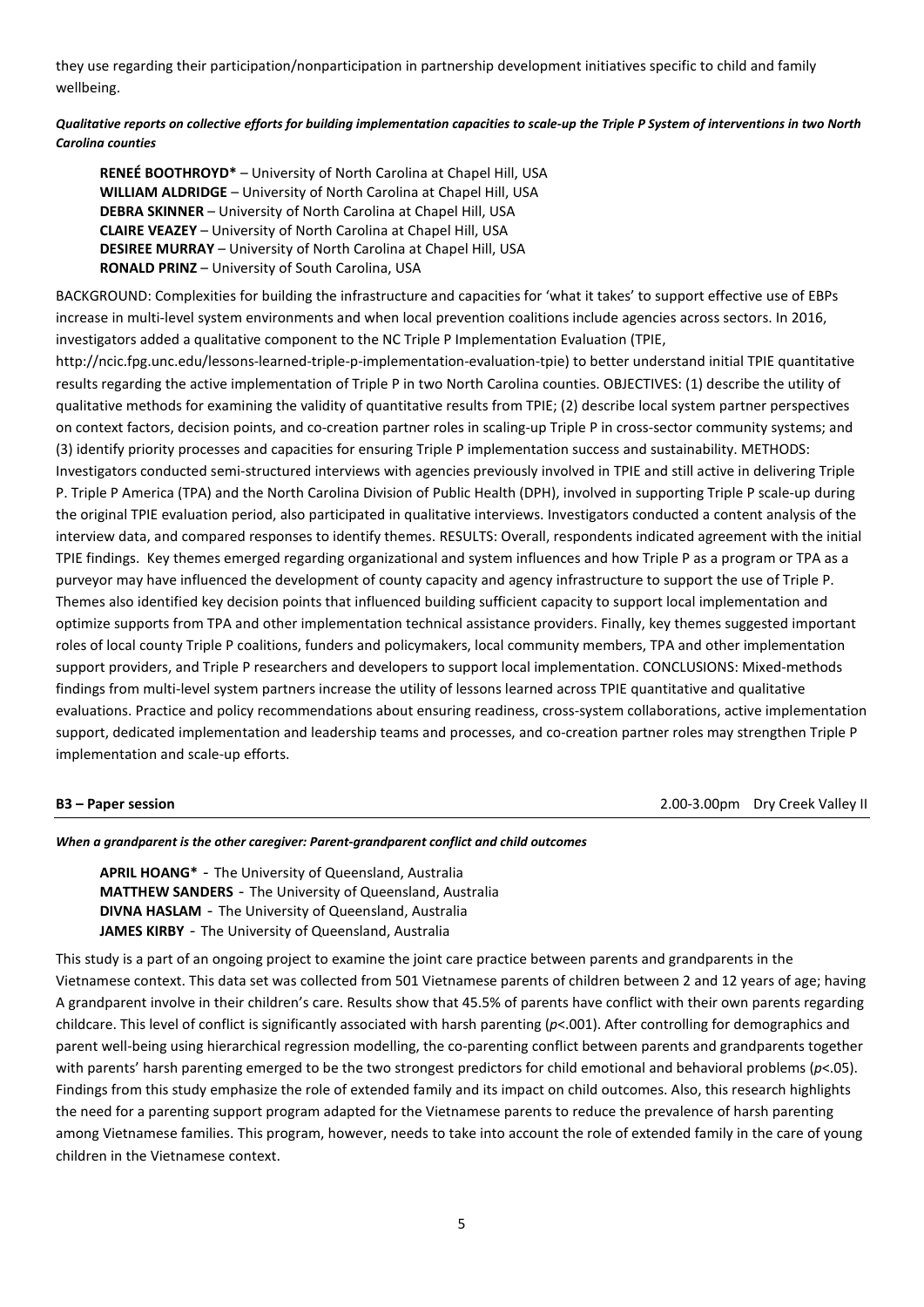they use regarding their participation/nonparticipation in partnership development initiatives specific to child and family wellbeing.

# *Qualitative reports on collective efforts for building implementation capacities to scale-up the Triple P System of interventions in two North Carolina counties*

**RENEÉ BOOTHROYD\*** – University of North Carolina at Chapel Hill, USA **WILLIAM ALDRIDGE** – University of North Carolina at Chapel Hill, USA **DEBRA SKINNER** – University of North Carolina at Chapel Hill, USA **CLAIRE VEAZEY** – University of North Carolina at Chapel Hill, USA **DESIREE MURRAY** – University of North Carolina at Chapel Hill, USA **RONALD PRINZ** – University of South Carolina, USA

BACKGROUND: Complexities for building the infrastructure and capacities for 'what it takes' to support effective use of EBPs increase in multi-level system environments and when local prevention coalitions include agencies across sectors. In 2016, investigators added a qualitative component to the NC Triple P Implementation Evaluation (TPIE,

http://ncic.fpg.unc.edu/lessons-learned-triple-p-implementation-evaluation-tpie) to better understand initial TPIE quantitative results regarding the active implementation of Triple P in two North Carolina counties. OBJECTIVES: (1) describe the utility of qualitative methods for examining the validity of quantitative results from TPIE; (2) describe local system partner perspectives on context factors, decision points, and co-creation partner roles in scaling-up Triple P in cross-sector community systems; and (3) identify priority processes and capacities for ensuring Triple P implementation success and sustainability. METHODS: Investigators conducted semi-structured interviews with agencies previously involved in TPIE and still active in delivering Triple P. Triple P America (TPA) and the North Carolina Division of Public Health (DPH), involved in supporting Triple P scale-up during the original TPIE evaluation period, also participated in qualitative interviews. Investigators conducted a content analysis of the interview data, and compared responses to identify themes. RESULTS: Overall, respondents indicated agreement with the initial TPIE findings. Key themes emerged regarding organizational and system influences and how Triple P as a program or TPA as a purveyor may have influenced the development of county capacity and agency infrastructure to support the use of Triple P. Themes also identified key decision points that influenced building sufficient capacity to support local implementation and optimize supports from TPA and other implementation technical assistance providers. Finally, key themes suggested important roles of local county Triple P coalitions, funders and policymakers, local community members, TPA and other implementation support providers, and Triple P researchers and developers to support local implementation. CONCLUSIONS: Mixed-methods findings from multi-level system partners increase the utility of lessons learned across TPIE quantitative and qualitative evaluations. Practice and policy recommendations about ensuring readiness, cross-system collaborations, active implementation support, dedicated implementation and leadership teams and processes, and co-creation partner roles may strengthen Triple P implementation and scale-up efforts.

**B3 – Paper session**2.00-3.00pm Dry Creek Valley II

### *When a grandparent is the other caregiver: Parent-grandparent conflict and child outcomes*

**APRIL HOANG\*** - The University of Queensland, Australia **MATTHEW SANDERS** - The University of Queensland, Australia **DIVNA HASLAM** - The University of Queensland, Australia **JAMES KIRBY** - The University of Queensland, Australia

This study is a part of an ongoing project to examine the joint care practice between parents and grandparents in the Vietnamese context. This data set was collected from 501 Vietnamese parents of children between 2 and 12 years of age; having A grandparent involve in their children's care. Results show that 45.5% of parents have conflict with their own parents regarding childcare. This level of conflict is significantly associated with harsh parenting (*p*<.001). After controlling for demographics and parent well-being using hierarchical regression modelling, the co-parenting conflict between parents and grandparents together with parents' harsh parenting emerged to be the two strongest predictors for child emotional and behavioral problems (*p*<.05). Findings from this study emphasize the role of extended family and its impact on child outcomes. Also, this research highlights the need for a parenting support program adapted for the Vietnamese parents to reduce the prevalence of harsh parenting among Vietnamese families. This program, however, needs to take into account the role of extended family in the care of young children in the Vietnamese context.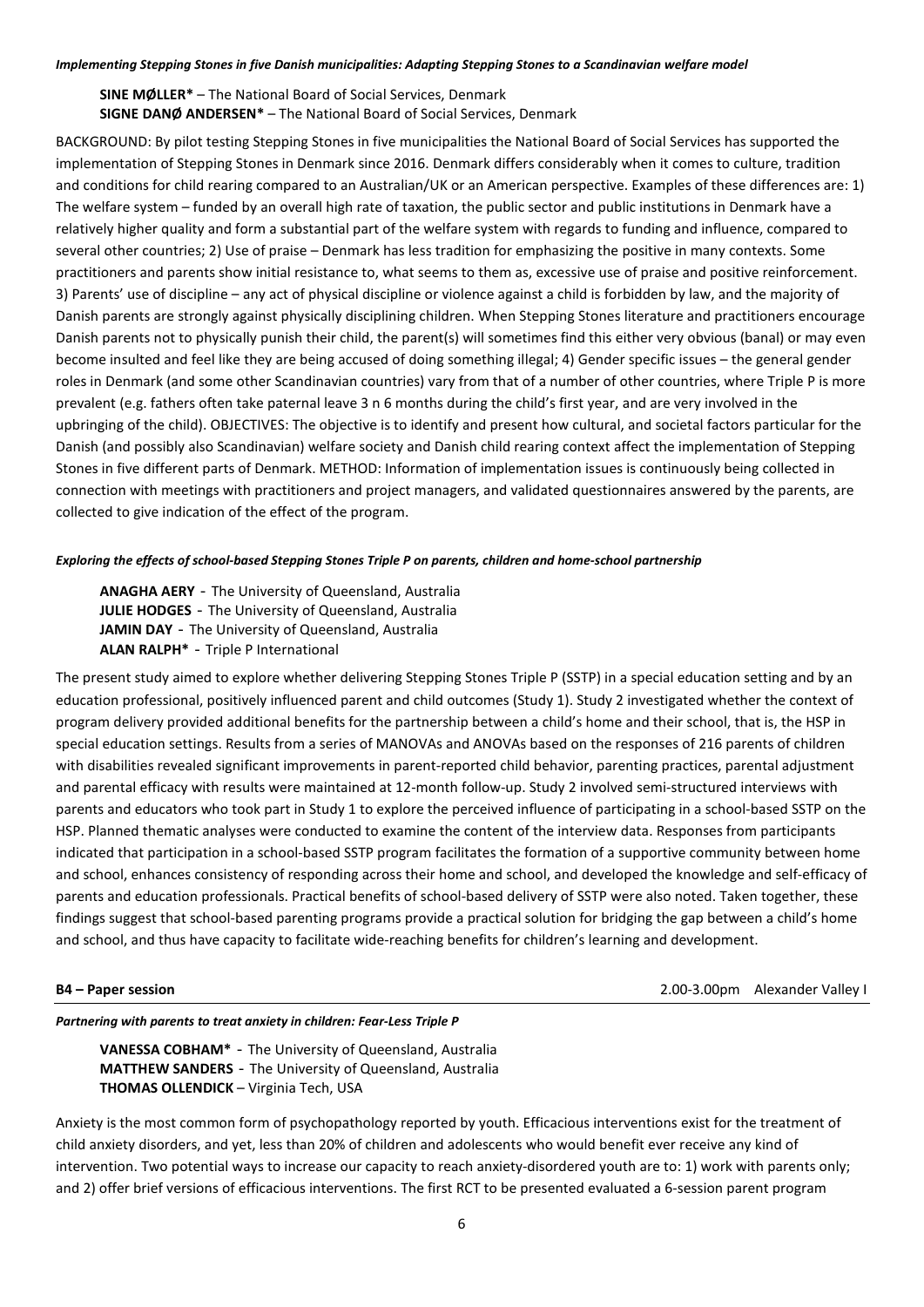### *Implementing Stepping Stones in five Danish municipalities: Adapting Stepping Stones to a Scandinavian welfare model*

**SINE MØLLER\*** – The National Board of Social Services, Denmark **SIGNE DANØ ANDERSEN\*** – The National Board of Social Services, Denmark

BACKGROUND: By pilot testing Stepping Stones in five municipalities the National Board of Social Services has supported the implementation of Stepping Stones in Denmark since 2016. Denmark differs considerably when it comes to culture, tradition and conditions for child rearing compared to an Australian/UK or an American perspective. Examples of these differences are: 1) The welfare system – funded by an overall high rate of taxation, the public sector and public institutions in Denmark have a relatively higher quality and form a substantial part of the welfare system with regards to funding and influence, compared to several other countries; 2) Use of praise – Denmark has less tradition for emphasizing the positive in many contexts. Some practitioners and parents show initial resistance to, what seems to them as, excessive use of praise and positive reinforcement. 3) Parents' use of discipline – any act of physical discipline or violence against a child is forbidden by law, and the majority of Danish parents are strongly against physically disciplining children. When Stepping Stones literature and practitioners encourage Danish parents not to physically punish their child, the parent(s) will sometimes find this either very obvious (banal) or may even become insulted and feel like they are being accused of doing something illegal; 4) Gender specific issues – the general gender roles in Denmark (and some other Scandinavian countries) vary from that of a number of other countries, where Triple P is more prevalent (e.g. fathers often take paternal leave 3 n 6 months during the child's first year, and are very involved in the upbringing of the child). OBJECTIVES: The objective is to identify and present how cultural, and societal factors particular for the Danish (and possibly also Scandinavian) welfare society and Danish child rearing context affect the implementation of Stepping Stones in five different parts of Denmark. METHOD: Information of implementation issues is continuously being collected in connection with meetings with practitioners and project managers, and validated questionnaires answered by the parents, are collected to give indication of the effect of the program.

### *Exploring the effects of school-based Stepping Stones Triple P on parents, children and home-school partnership*

**ANAGHA AERY** - The University of Queensland, Australia **JULIE HODGES** - The University of Queensland, Australia **JAMIN DAY** - The University of Queensland, Australia **ALAN RALPH\*** - Triple P International

The present study aimed to explore whether delivering Stepping Stones Triple P (SSTP) in a special education setting and by an education professional, positively influenced parent and child outcomes (Study 1). Study 2 investigated whether the context of program delivery provided additional benefits for the partnership between a child's home and their school, that is, the HSP in special education settings. Results from a series of MANOVAs and ANOVAs based on the responses of 216 parents of children with disabilities revealed significant improvements in parent-reported child behavior, parenting practices, parental adjustment and parental efficacy with results were maintained at 12-month follow-up. Study 2 involved semi-structured interviews with parents and educators who took part in Study 1 to explore the perceived influence of participating in a school-based SSTP on the HSP. Planned thematic analyses were conducted to examine the content of the interview data. Responses from participants indicated that participation in a school-based SSTP program facilitates the formation of a supportive community between home and school, enhances consistency of responding across their home and school, and developed the knowledge and self-efficacy of parents and education professionals. Practical benefits of school-based delivery of SSTP were also noted. Taken together, these findings suggest that school-based parenting programs provide a practical solution for bridging the gap between a child's home and school, and thus have capacity to facilitate wide-reaching benefits for children's learning and development.

**B4 – Paper session** 2.00-3.00pm Alexander Valley I

### *Partnering with parents to treat anxiety in children: Fear-Less Triple P*

**VANESSA COBHAM\*** - The University of Queensland, Australia **MATTHEW SANDERS** - The University of Queensland, Australia **THOMAS OLLENDICK** – Virginia Tech, USA

Anxiety is the most common form of psychopathology reported by youth. Efficacious interventions exist for the treatment of child anxiety disorders, and yet, less than 20% of children and adolescents who would benefit ever receive any kind of intervention. Two potential ways to increase our capacity to reach anxiety-disordered youth are to: 1) work with parents only; and 2) offer brief versions of efficacious interventions. The first RCT to be presented evaluated a 6-session parent program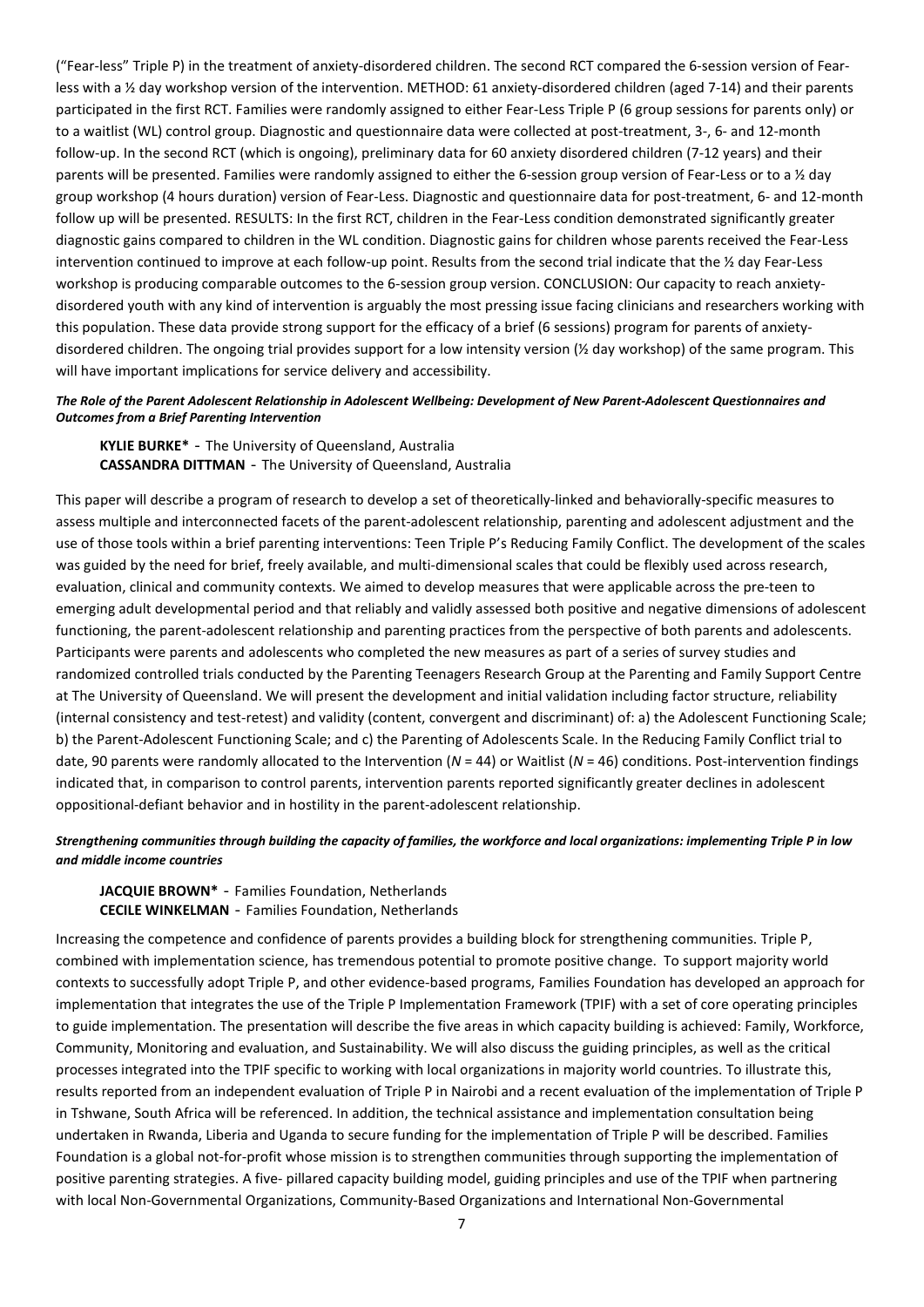("Fear-less" Triple P) in the treatment of anxiety-disordered children. The second RCT compared the 6-session version of Fearless with a ½ day workshop version of the intervention. METHOD: 61 anxiety-disordered children (aged 7-14) and their parents participated in the first RCT. Families were randomly assigned to either Fear-Less Triple P (6 group sessions for parents only) or to a waitlist (WL) control group. Diagnostic and questionnaire data were collected at post-treatment, 3-, 6- and 12-month follow-up. In the second RCT (which is ongoing), preliminary data for 60 anxiety disordered children (7-12 years) and their parents will be presented. Families were randomly assigned to either the 6-session group version of Fear-Less or to a ½ day group workshop (4 hours duration) version of Fear-Less. Diagnostic and questionnaire data for post-treatment, 6- and 12-month follow up will be presented. RESULTS: In the first RCT, children in the Fear-Less condition demonstrated significantly greater diagnostic gains compared to children in the WL condition. Diagnostic gains for children whose parents received the Fear-Less intervention continued to improve at each follow-up point. Results from the second trial indicate that the ½ day Fear-Less workshop is producing comparable outcomes to the 6-session group version. CONCLUSION: Our capacity to reach anxietydisordered youth with any kind of intervention is arguably the most pressing issue facing clinicians and researchers working with this population. These data provide strong support for the efficacy of a brief (6 sessions) program for parents of anxietydisordered children. The ongoing trial provides support for a low intensity version (½ day workshop) of the same program. This will have important implications for service delivery and accessibility.

## *The Role of the Parent Adolescent Relationship in Adolescent Wellbeing: Development of New Parent-Adolescent Questionnaires and Outcomes from a Brief Parenting Intervention*

**KYLIE BURKE\*** - The University of Queensland, Australia **CASSANDRA DITTMAN** - The University of Queensland, Australia

This paper will describe a program of research to develop a set of theoretically-linked and behaviorally-specific measures to assess multiple and interconnected facets of the parent-adolescent relationship, parenting and adolescent adjustment and the use of those tools within a brief parenting interventions: Teen Triple P's Reducing Family Conflict. The development of the scales was guided by the need for brief, freely available, and multi-dimensional scales that could be flexibly used across research, evaluation, clinical and community contexts. We aimed to develop measures that were applicable across the pre-teen to emerging adult developmental period and that reliably and validly assessed both positive and negative dimensions of adolescent functioning, the parent-adolescent relationship and parenting practices from the perspective of both parents and adolescents. Participants were parents and adolescents who completed the new measures as part of a series of survey studies and randomized controlled trials conducted by the Parenting Teenagers Research Group at the Parenting and Family Support Centre at The University of Queensland. We will present the development and initial validation including factor structure, reliability (internal consistency and test-retest) and validity (content, convergent and discriminant) of: a) the Adolescent Functioning Scale; b) the Parent-Adolescent Functioning Scale; and c) the Parenting of Adolescents Scale. In the Reducing Family Conflict trial to date, 90 parents were randomly allocated to the Intervention (*N* = 44) or Waitlist (*N* = 46) conditions. Post-intervention findings indicated that, in comparison to control parents, intervention parents reported significantly greater declines in adolescent oppositional-defiant behavior and in hostility in the parent-adolescent relationship.

# *Strengthening communities through building the capacity of families, the workforce and local organizations: implementing Triple P in low and middle income countries*

**JACQUIE BROWN\*** - Families Foundation, Netherlands **CECILE WINKELMAN** - Families Foundation, Netherlands

Increasing the competence and confidence of parents provides a building block for strengthening communities. Triple P, combined with implementation science, has tremendous potential to promote positive change. To support majority world contexts to successfully adopt Triple P, and other evidence-based programs, Families Foundation has developed an approach for implementation that integrates the use of the Triple P Implementation Framework (TPIF) with a set of core operating principles to guide implementation. The presentation will describe the five areas in which capacity building is achieved: Family, Workforce, Community, Monitoring and evaluation, and Sustainability. We will also discuss the guiding principles, as well as the critical processes integrated into the TPIF specific to working with local organizations in majority world countries. To illustrate this, results reported from an independent evaluation of Triple P in Nairobi and a recent evaluation of the implementation of Triple P in Tshwane, South Africa will be referenced. In addition, the technical assistance and implementation consultation being undertaken in Rwanda, Liberia and Uganda to secure funding for the implementation of Triple P will be described. Families Foundation is a global not-for-profit whose mission is to strengthen communities through supporting the implementation of positive parenting strategies. A five- pillared capacity building model, guiding principles and use of the TPIF when partnering with local Non-Governmental Organizations, Community-Based Organizations and International Non-Governmental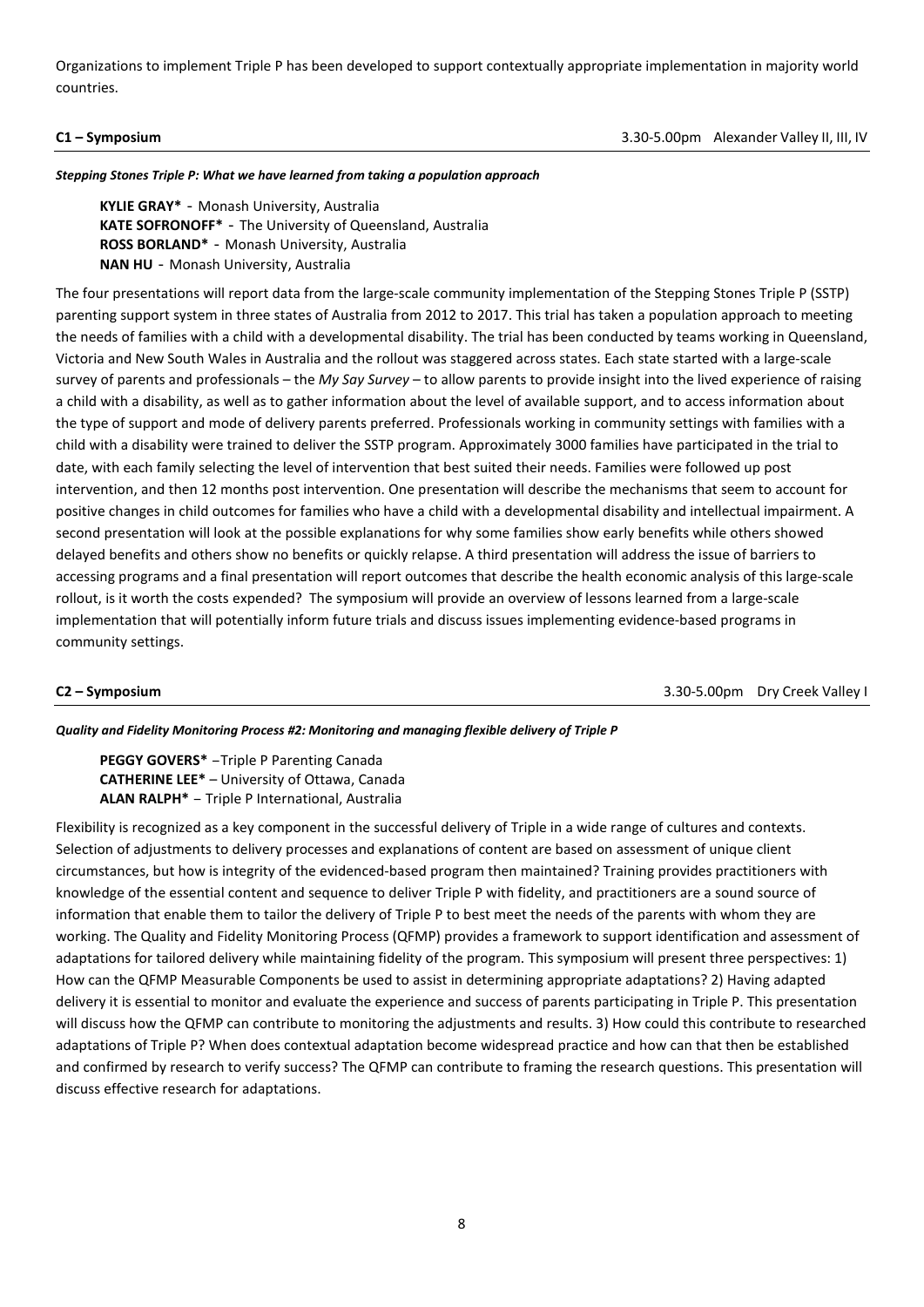Organizations to implement Triple P has been developed to support contextually appropriate implementation in majority world countries.

**C1 – Symposium**3.30-5.00pm Alexander Valley II, III, IV

*Stepping Stones Triple P: What we have learned from taking a population approach* 

**KYLIE GRAY\*** - Monash University, Australia **KATE SOFRONOFF\*** - The University of Queensland, Australia **ROSS BORLAND\*** - Monash University, Australia **NAN HU** - Monash University, Australia

The four presentations will report data from the large-scale community implementation of the Stepping Stones Triple P (SSTP) parenting support system in three states of Australia from 2012 to 2017. This trial has taken a population approach to meeting the needs of families with a child with a developmental disability. The trial has been conducted by teams working in Queensland, Victoria and New South Wales in Australia and the rollout was staggered across states. Each state started with a large-scale survey of parents and professionals – the *My Say Survey* – to allow parents to provide insight into the lived experience of raising a child with a disability, as well as to gather information about the level of available support, and to access information about the type of support and mode of delivery parents preferred. Professionals working in community settings with families with a child with a disability were trained to deliver the SSTP program. Approximately 3000 families have participated in the trial to date, with each family selecting the level of intervention that best suited their needs. Families were followed up post intervention, and then 12 months post intervention. One presentation will describe the mechanisms that seem to account for positive changes in child outcomes for families who have a child with a developmental disability and intellectual impairment. A second presentation will look at the possible explanations for why some families show early benefits while others showed delayed benefits and others show no benefits or quickly relapse. A third presentation will address the issue of barriers to accessing programs and a final presentation will report outcomes that describe the health economic analysis of this large-scale rollout, is it worth the costs expended? The symposium will provide an overview of lessons learned from a large-scale implementation that will potentially inform future trials and discuss issues implementing evidence-based programs in community settings.

**C2 – Symposium**3.30-5.00pm Dry Creek Valley I

*Quality and Fidelity Monitoring Process #2: Monitoring and managing flexible delivery of Triple P* 

**PEGGY GOVERS\*** –Triple P Parenting Canada **CATHERINE LEE\*** – University of Ottawa, Canada **ALAN RALPH\*** – Triple P International, Australia

Flexibility is recognized as a key component in the successful delivery of Triple in a wide range of cultures and contexts. Selection of adjustments to delivery processes and explanations of content are based on assessment of unique client circumstances, but how is integrity of the evidenced-based program then maintained? Training provides practitioners with knowledge of the essential content and sequence to deliver Triple P with fidelity, and practitioners are a sound source of information that enable them to tailor the delivery of Triple P to best meet the needs of the parents with whom they are working. The Quality and Fidelity Monitoring Process (QFMP) provides a framework to support identification and assessment of adaptations for tailored delivery while maintaining fidelity of the program. This symposium will present three perspectives: 1) How can the QFMP Measurable Components be used to assist in determining appropriate adaptations? 2) Having adapted delivery it is essential to monitor and evaluate the experience and success of parents participating in Triple P. This presentation will discuss how the QFMP can contribute to monitoring the adjustments and results. 3) How could this contribute to researched adaptations of Triple P? When does contextual adaptation become widespread practice and how can that then be established and confirmed by research to verify success? The QFMP can contribute to framing the research questions. This presentation will discuss effective research for adaptations.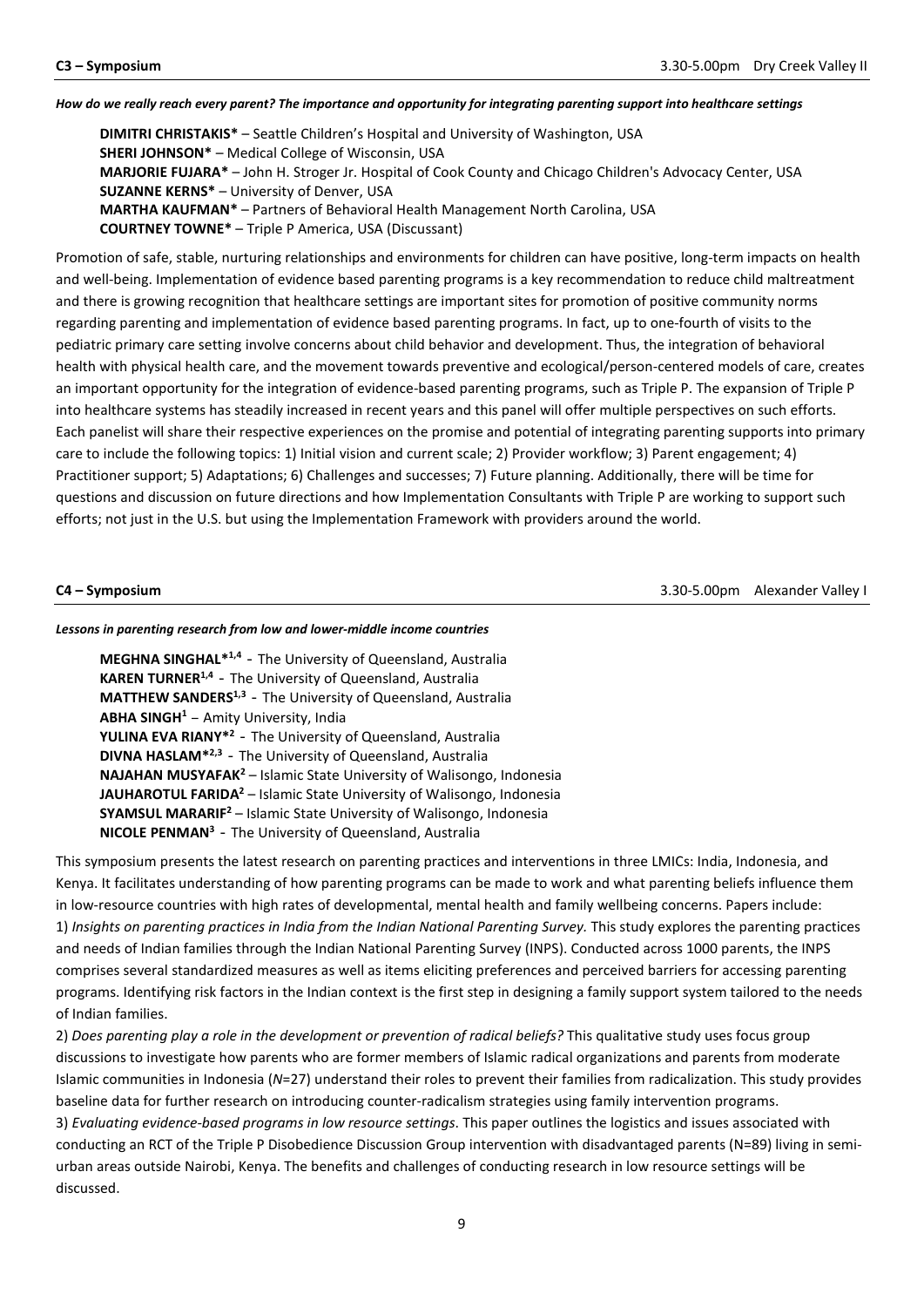### *How do we really reach every parent? The importance and opportunity for integrating parenting support into healthcare settings*

**DIMITRI CHRISTAKIS\*** – Seattle Children's Hospital and University of Washington, USA **SHERI JOHNSON\*** – Medical College of Wisconsin, USA **MARJORIE FUJARA\*** – John H. Stroger Jr. Hospital of Cook County and Chicago Children's Advocacy Center, USA **SUZANNE KERNS\*** – University of Denver, USA **MARTHA KAUFMAN\*** – Partners of Behavioral Health Management North Carolina, USA **COURTNEY TOWNE\*** – Triple P America, USA (Discussant)

Promotion of safe, stable, nurturing relationships and environments for children can have positive, long-term impacts on health and well-being. Implementation of evidence based parenting programs is a key recommendation to reduce child maltreatment and there is growing recognition that healthcare settings are important sites for promotion of positive community norms regarding parenting and implementation of evidence based parenting programs. In fact, up to one-fourth of visits to the pediatric primary care setting involve concerns about child behavior and development. Thus, the integration of behavioral health with physical health care, and the movement towards preventive and ecological/person-centered models of care, creates an important opportunity for the integration of evidence-based parenting programs, such as Triple P. The expansion of Triple P into healthcare systems has steadily increased in recent years and this panel will offer multiple perspectives on such efforts. Each panelist will share their respective experiences on the promise and potential of integrating parenting supports into primary care to include the following topics: 1) Initial vision and current scale; 2) Provider workflow; 3) Parent engagement; 4) Practitioner support; 5) Adaptations; 6) Challenges and successes; 7) Future planning. Additionally, there will be time for questions and discussion on future directions and how Implementation Consultants with Triple P are working to support such efforts; not just in the U.S. but using the Implementation Framework with providers around the world.

**C4 – Symposium** 3.30-5.00pm Alexander Valley I

### *Lessons in parenting research from low and lower-middle income countries*

**MEGHNA SINGHAL\*1,4** - The University of Queensland, Australia **KAREN TURNER1,4** - The University of Queensland, Australia **MATTHEW SANDERS<sup>1,3</sup>** – The University of Queensland, Australia **ABHA SINGH1** – Amity University, India **YULINA EVA RIANY\*2** - The University of Queensland, Australia **DIVNA HASLAM<sup>\*2,3</sup>** – The University of Queensland, Australia **NAJAHAN MUSYAFAK2** – Islamic State University of Walisongo, Indonesia **JAUHAROTUL FARIDA2** – Islamic State University of Walisongo, Indonesia **SYAMSUL MARARIF<sup>2</sup>** – Islamic State University of Walisongo, Indonesia **NICOLE PENMAN3** - The University of Queensland, Australia

This symposium presents the latest research on parenting practices and interventions in three LMICs: India, Indonesia, and Kenya. It facilitates understanding of how parenting programs can be made to work and what parenting beliefs influence them in low-resource countries with high rates of developmental, mental health and family wellbeing concerns. Papers include: 1) *Insights on parenting practices in India from the Indian National Parenting Survey.* This study explores the parenting practices and needs of Indian families through the Indian National Parenting Survey (INPS). Conducted across 1000 parents, the INPS comprises several standardized measures as well as items eliciting preferences and perceived barriers for accessing parenting programs. Identifying risk factors in the Indian context is the first step in designing a family support system tailored to the needs of Indian families.

2) *Does parenting play a role in the development or prevention of radical beliefs?* This qualitative study uses focus group discussions to investigate how parents who are former members of Islamic radical organizations and parents from moderate Islamic communities in Indonesia (*N*=27) understand their roles to prevent their families from radicalization. This study provides baseline data for further research on introducing counter-radicalism strategies using family intervention programs. 3) *Evaluating evidence-based programs in low resource settings*. This paper outlines the logistics and issues associated with conducting an RCT of the Triple P Disobedience Discussion Group intervention with disadvantaged parents (N=89) living in semiurban areas outside Nairobi, Kenya. The benefits and challenges of conducting research in low resource settings will be discussed.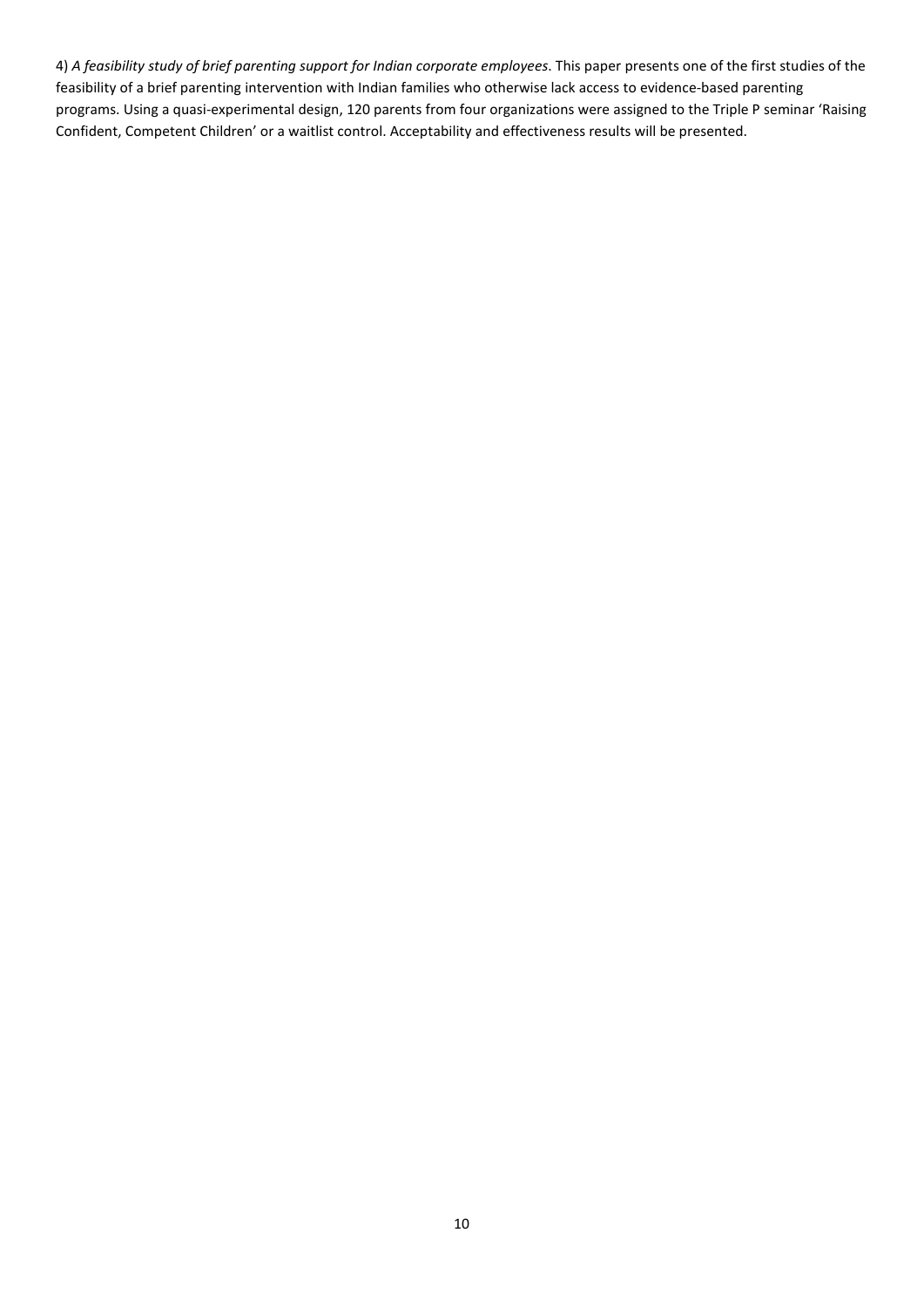4) *A feasibility study of brief parenting support for Indian corporate employees*. This paper presents one of the first studies of the feasibility of a brief parenting intervention with Indian families who otherwise lack access to evidence-based parenting programs. Using a quasi-experimental design, 120 parents from four organizations were assigned to the Triple P seminar 'Raising Confident, Competent Children' or a waitlist control. Acceptability and effectiveness results will be presented.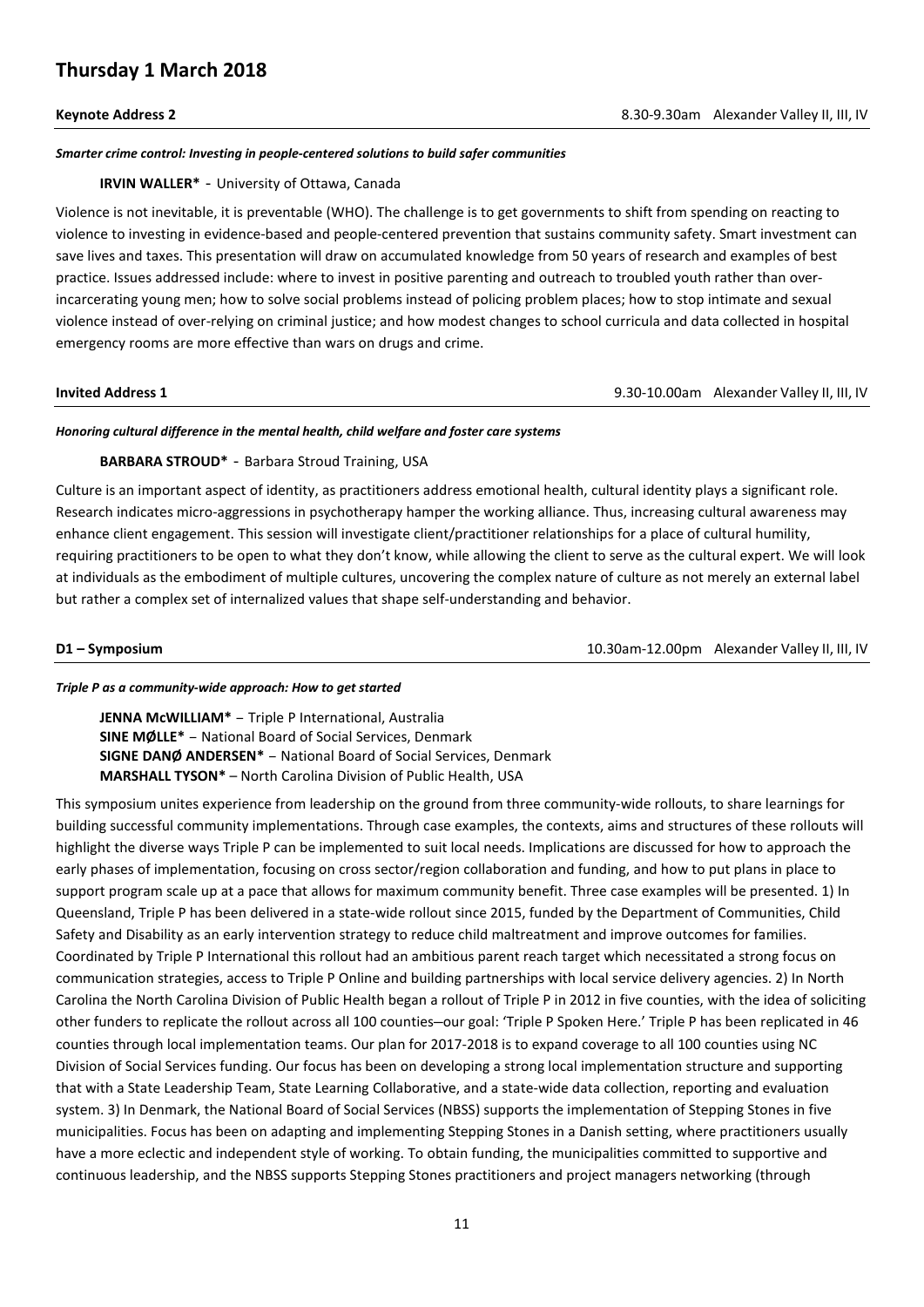# **Thursday 1 March 2018**

## *Smarter crime control: Investing in people-centered solutions to build safer communities*

### **IRVIN WALLER\*** - University of Ottawa, Canada

Violence is not inevitable, it is preventable (WHO). The challenge is to get governments to shift from spending on reacting to violence to investing in evidence-based and people-centered prevention that sustains community safety. Smart investment can save lives and taxes. This presentation will draw on accumulated knowledge from 50 years of research and examples of best practice. Issues addressed include: where to invest in positive parenting and outreach to troubled youth rather than overincarcerating young men; how to solve social problems instead of policing problem places; how to stop intimate and sexual violence instead of over-relying on criminal justice; and how modest changes to school curricula and data collected in hospital emergency rooms are more effective than wars on drugs and crime.

**Invited Address 1 Invited Address 1 Invited Address 1 Proposed Address 1 Proposed Address 1 Proposed Address 1 Proposed Address 1 Proposed Address 1 Proposed Address 1 Proposed Address 1 Proposed Addre** 

### *Honoring cultural difference in the mental health, child welfare and foster care systems*

## **BARBARA STROUD\*** - Barbara Stroud Training, USA

Culture is an important aspect of identity, as practitioners address emotional health, cultural identity plays a significant role. Research indicates micro-aggressions in psychotherapy hamper the working alliance. Thus, increasing cultural awareness may enhance client engagement. This session will investigate client/practitioner relationships for a place of cultural humility, requiring practitioners to be open to what they don't know, while allowing the client to serve as the cultural expert. We will look at individuals as the embodiment of multiple cultures, uncovering the complex nature of culture as not merely an external label but rather a complex set of internalized values that shape self-understanding and behavior.

**D1 – Symposium**10.30am-12.00pm Alexander Valley II, III, IV

### *Triple P as a community-wide approach: How to get started*

**JENNA McWILLIAM\*** – Triple P International, Australia **SINE MØLLE\*** – National Board of Social Services, Denmark **SIGNE DANØ ANDERSEN\*** – National Board of Social Services, Denmark **MARSHALL TYSON\*** – North Carolina Division of Public Health, USA

This symposium unites experience from leadership on the ground from three community-wide rollouts, to share learnings for building successful community implementations. Through case examples, the contexts, aims and structures of these rollouts will highlight the diverse ways Triple P can be implemented to suit local needs. Implications are discussed for how to approach the early phases of implementation, focusing on cross sector/region collaboration and funding, and how to put plans in place to support program scale up at a pace that allows for maximum community benefit. Three case examples will be presented. 1) In Queensland, Triple P has been delivered in a state-wide rollout since 2015, funded by the Department of Communities, Child Safety and Disability as an early intervention strategy to reduce child maltreatment and improve outcomes for families. Coordinated by Triple P International this rollout had an ambitious parent reach target which necessitated a strong focus on communication strategies, access to Triple P Online and building partnerships with local service delivery agencies. 2) In North Carolina the North Carolina Division of Public Health began a rollout of Triple P in 2012 in five counties, with the idea of soliciting other funders to replicate the rollout across all 100 counties—our goal: 'Triple P Spoken Here.' Triple P has been replicated in 46 counties through local implementation teams. Our plan for 2017-2018 is to expand coverage to all 100 counties using NC Division of Social Services funding. Our focus has been on developing a strong local implementation structure and supporting that with a State Leadership Team, State Learning Collaborative, and a state-wide data collection, reporting and evaluation system. 3) In Denmark, the National Board of Social Services (NBSS) supports the implementation of Stepping Stones in five municipalities. Focus has been on adapting and implementing Stepping Stones in a Danish setting, where practitioners usually have a more eclectic and independent style of working. To obtain funding, the municipalities committed to supportive and continuous leadership, and the NBSS supports Stepping Stones practitioners and project managers networking (through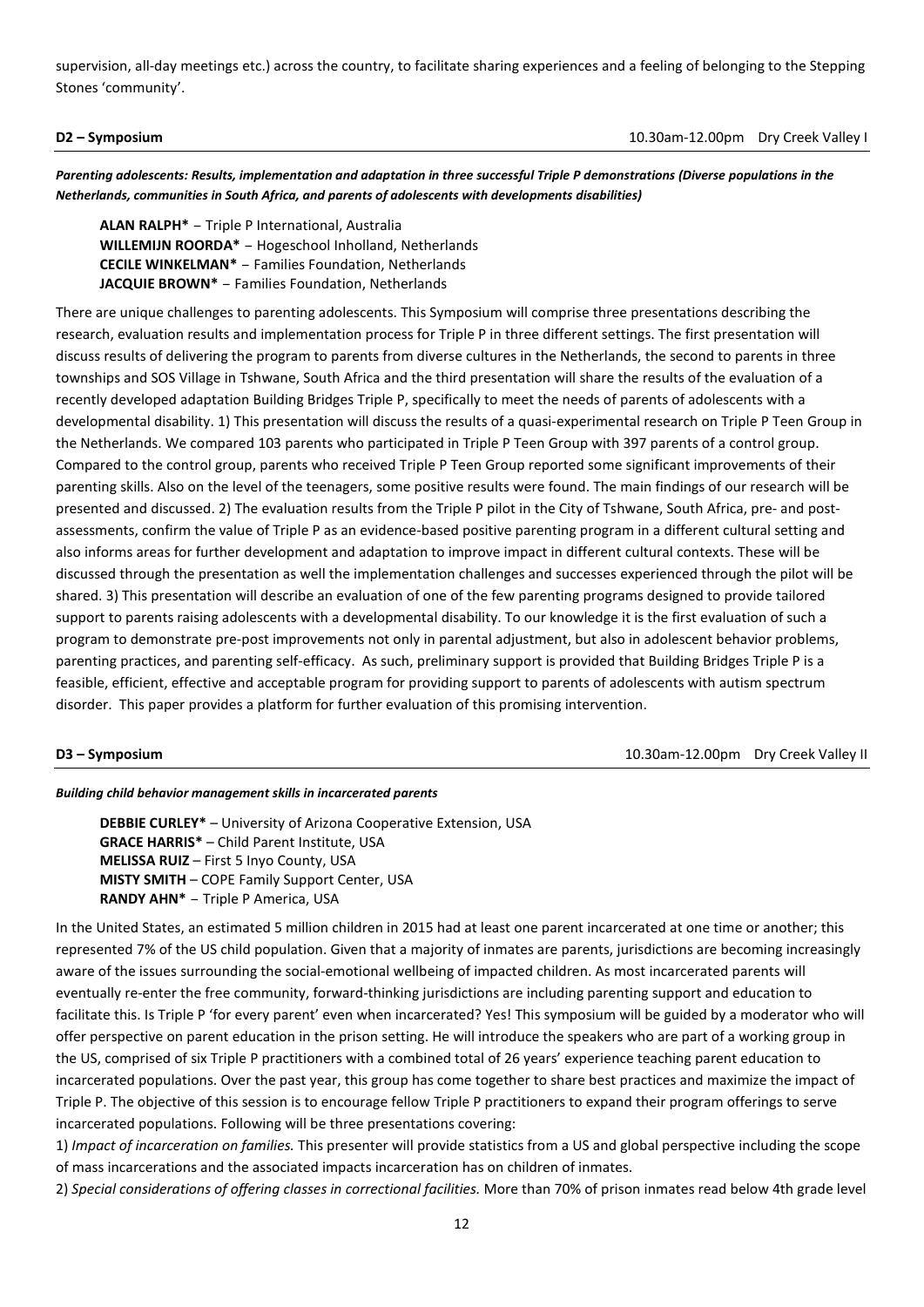supervision, all-day meetings etc.) across the country, to facilitate sharing experiences and a feeling of belonging to the Stepping Stones 'community'.

**D2 – Symposium**10.30am-12.00pm Dry Creek Valley I

*Parenting adolescents: Results, implementation and adaptation in three successful Triple P demonstrations (Diverse populations in the Netherlands, communities in South Africa, and parents of adolescents with developments disabilities)*

**ALAN RALPH\*** – Triple P International, Australia **WILLEMIJN ROORDA\*** – Hogeschool Inholland, Netherlands **CECILE WINKELMAN\*** – Families Foundation, Netherlands **JACQUIE BROWN\*** – Families Foundation, Netherlands

There are unique challenges to parenting adolescents. This Symposium will comprise three presentations describing the research, evaluation results and implementation process for Triple P in three different settings. The first presentation will discuss results of delivering the program to parents from diverse cultures in the Netherlands, the second to parents in three townships and SOS Village in Tshwane, South Africa and the third presentation will share the results of the evaluation of a recently developed adaptation Building Bridges Triple P, specifically to meet the needs of parents of adolescents with a developmental disability. 1) This presentation will discuss the results of a quasi-experimental research on Triple P Teen Group in the Netherlands. We compared 103 parents who participated in Triple P Teen Group with 397 parents of a control group. Compared to the control group, parents who received Triple P Teen Group reported some significant improvements of their parenting skills. Also on the level of the teenagers, some positive results were found. The main findings of our research will be presented and discussed. 2) The evaluation results from the Triple P pilot in the City of Tshwane, South Africa, pre- and postassessments, confirm the value of Triple P as an evidence-based positive parenting program in a different cultural setting and also informs areas for further development and adaptation to improve impact in different cultural contexts. These will be discussed through the presentation as well the implementation challenges and successes experienced through the pilot will be shared. 3) This presentation will describe an evaluation of one of the few parenting programs designed to provide tailored support to parents raising adolescents with a developmental disability. To our knowledge it is the first evaluation of such a program to demonstrate pre-post improvements not only in parental adjustment, but also in adolescent behavior problems, parenting practices, and parenting self-efficacy. As such, preliminary support is provided that Building Bridges Triple P is a feasible, efficient, effective and acceptable program for providing support to parents of adolescents with autism spectrum disorder. This paper provides a platform for further evaluation of this promising intervention.

**D3 – Symposium** 10.30am-12.00pm Dry Creek Valley II

## *Building child behavior management skills in incarcerated parents*

**DEBBIE CURLEY\*** – University of Arizona Cooperative Extension, USA **GRACE HARRIS\*** – Child Parent Institute, USA **MELISSA RUIZ** – First 5 Inyo County, USA **MISTY SMITH** – COPE Family Support Center, USA **RANDY AHN\*** – Triple P America, USA

In the United States, an estimated 5 million children in 2015 had at least one parent incarcerated at one time or another; this represented 7% of the US child population. Given that a majority of inmates are parents, jurisdictions are becoming increasingly aware of the issues surrounding the social-emotional wellbeing of impacted children. As most incarcerated parents will eventually re-enter the free community, forward-thinking jurisdictions are including parenting support and education to facilitate this. Is Triple P 'for every parent' even when incarcerated? Yes! This symposium will be guided by a moderator who will offer perspective on parent education in the prison setting. He will introduce the speakers who are part of a working group in the US, comprised of six Triple P practitioners with a combined total of 26 years' experience teaching parent education to incarcerated populations. Over the past year, this group has come together to share best practices and maximize the impact of Triple P. The objective of this session is to encourage fellow Triple P practitioners to expand their program offerings to serve incarcerated populations. Following will be three presentations covering:

1) *Impact of incarceration on families.* This presenter will provide statistics from a US and global perspective including the scope of mass incarcerations and the associated impacts incarceration has on children of inmates.

2) *Special considerations of offering classes in correctional facilities.* More than 70% of prison inmates read below 4th grade level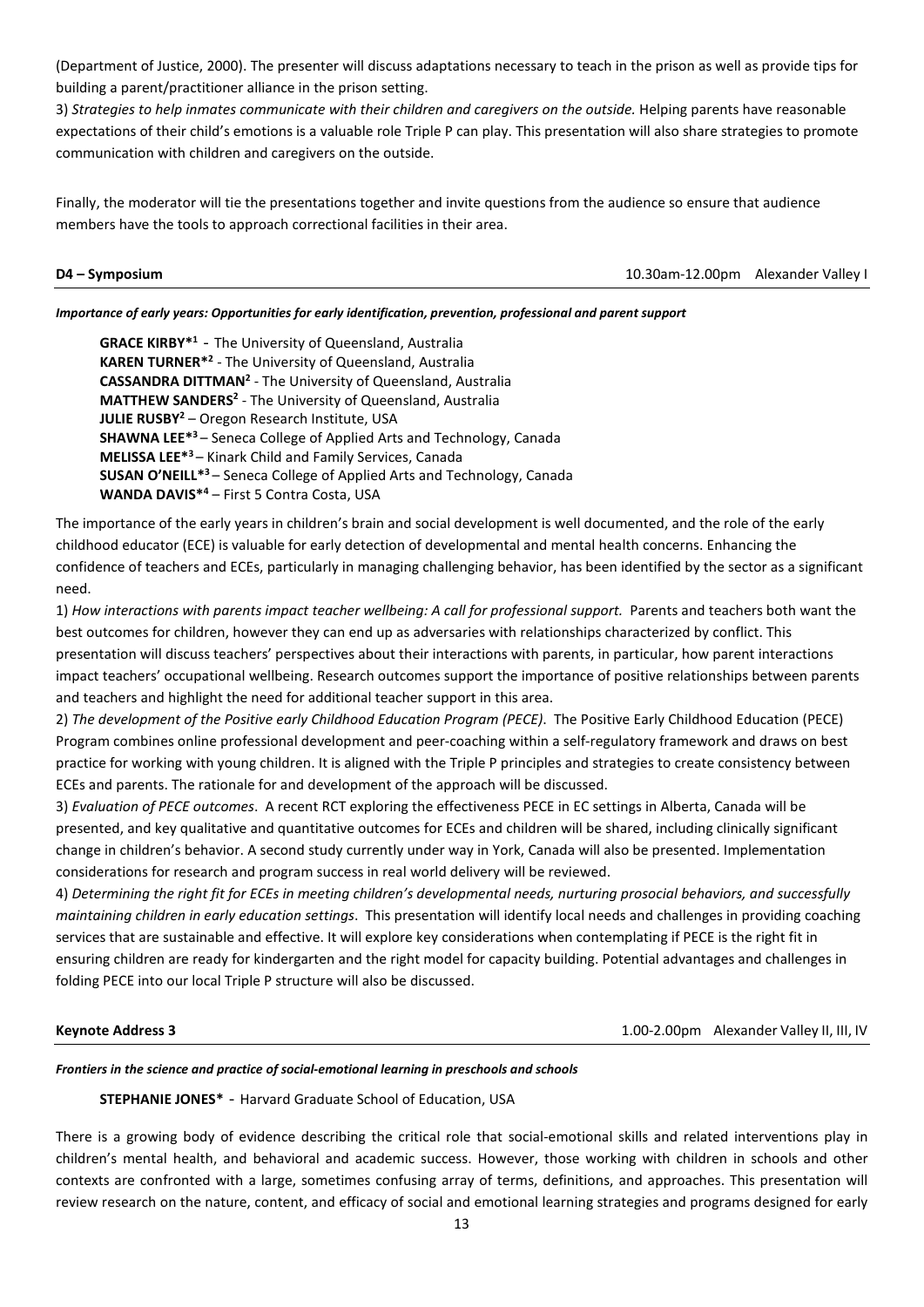(Department of Justice, 2000). The presenter will discuss adaptations necessary to teach in the prison as well as provide tips for building a parent/practitioner alliance in the prison setting.

3) *Strategies to help inmates communicate with their children and caregivers on the outside.* Helping parents have reasonable expectations of their child's emotions is a valuable role Triple P can play. This presentation will also share strategies to promote communication with children and caregivers on the outside.

Finally, the moderator will tie the presentations together and invite questions from the audience so ensure that audience members have the tools to approach correctional facilities in their area.

**D4 – Symposium** 10.30am-12.00pm Alexander Valley I

### *Importance of early years: Opportunities for early identification, prevention, professional and parent support*

**GRACE KIRBY\*1** - The University of Queensland, Australia **KAREN TURNER\*2** - The University of Queensland, Australia **CASSANDRA DITTMAN2** - The University of Queensland, Australia **MATTHEW SANDERS2** - The University of Queensland, Australia **JULIE RUSBY2** – Oregon Research Institute, USA **SHAWNA LEE\*3** – Seneca College of Applied Arts and Technology, Canada **MELISSA LEE\*3** – Kinark Child and Family Services, Canada **SUSAN O'NEILL\*3** – Seneca College of Applied Arts and Technology, Canada **WANDA DAVIS\*4** – First 5 Contra Costa, USA

The importance of the early years in children's brain and social development is well documented, and the role of the early childhood educator (ECE) is valuable for early detection of developmental and mental health concerns. Enhancing the confidence of teachers and ECEs, particularly in managing challenging behavior, has been identified by the sector as a significant need.

1) *How interactions with parents impact teacher wellbeing: A call for professional support.* Parents and teachers both want the best outcomes for children, however they can end up as adversaries with relationships characterized by conflict. This presentation will discuss teachers' perspectives about their interactions with parents, in particular, how parent interactions impact teachers' occupational wellbeing. Research outcomes support the importance of positive relationships between parents and teachers and highlight the need for additional teacher support in this area.

2) *The development of the Positive early Childhood Education Program (PECE)*. The Positive Early Childhood Education (PECE) Program combines online professional development and peer-coaching within a self-regulatory framework and draws on best practice for working with young children. It is aligned with the Triple P principles and strategies to create consistency between ECEs and parents. The rationale for and development of the approach will be discussed.

3) *Evaluation of PECE outcomes*. A recent RCT exploring the effectiveness PECE in EC settings in Alberta, Canada will be presented, and key qualitative and quantitative outcomes for ECEs and children will be shared, including clinically significant change in children's behavior. A second study currently under way in York, Canada will also be presented. Implementation considerations for research and program success in real world delivery will be reviewed.

4) *Determining the right fit for ECEs in meeting children's developmental needs, nurturing prosocial behaviors, and successfully maintaining children in early education settings*. This presentation will identify local needs and challenges in providing coaching services that are sustainable and effective. It will explore key considerations when contemplating if PECE is the right fit in ensuring children are ready for kindergarten and the right model for capacity building. Potential advantages and challenges in folding PECE into our local Triple P structure will also be discussed.

**Keynote Address 3** 1.00-2.00pm Alexander Valley II, III, IV

## *Frontiers in the science and practice of social-emotional learning in preschools and schools*

**STEPHANIE JONES\*** - Harvard Graduate School of Education, USA

There is a growing body of evidence describing the critical role that social-emotional skills and related interventions play in children's mental health, and behavioral and academic success. However, those working with children in schools and other contexts are confronted with a large, sometimes confusing array of terms, definitions, and approaches. This presentation will review research on the nature, content, and efficacy of social and emotional learning strategies and programs designed for early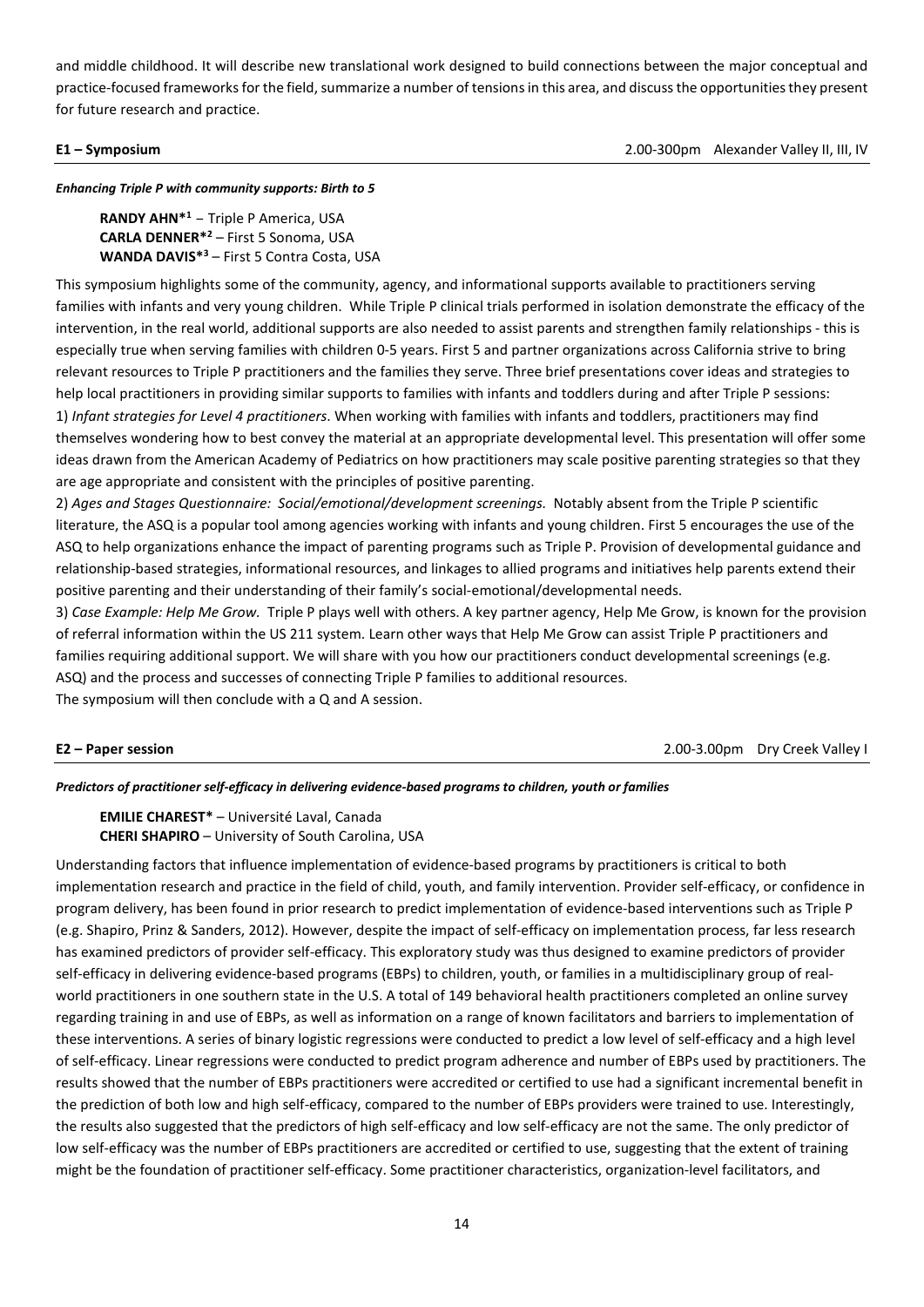and middle childhood. It will describe new translational work designed to build connections between the major conceptual and practice-focused frameworks for the field, summarize a number of tensions in this area, and discuss the opportunities they present for future research and practice.

**E1 – Symposium**2.00-300pm Alexander Valley II, III, IV

*Enhancing Triple P with community supports: Birth to 5*

**RANDY AHN\*1** – Triple P America, USA **CARLA DENNER\*2** – First 5 Sonoma, USA **WANDA DAVIS\*3** – First 5 Contra Costa, USA

This symposium highlights some of the community, agency, and informational supports available to practitioners serving families with infants and very young children. While Triple P clinical trials performed in isolation demonstrate the efficacy of the intervention, in the real world, additional supports are also needed to assist parents and strengthen family relationships - this is especially true when serving families with children 0-5 years. First 5 and partner organizations across California strive to bring relevant resources to Triple P practitioners and the families they serve. Three brief presentations cover ideas and strategies to help local practitioners in providing similar supports to families with infants and toddlers during and after Triple P sessions: 1) *Infant strategies for Level 4 practitioners*. When working with families with infants and toddlers, practitioners may find themselves wondering how to best convey the material at an appropriate developmental level. This presentation will offer some ideas drawn from the American Academy of Pediatrics on how practitioners may scale positive parenting strategies so that they are age appropriate and consistent with the principles of positive parenting.

2) *Ages and Stages Questionnaire: Social/emotional/development screenings.* Notably absent from the Triple P scientific literature, the ASQ is a popular tool among agencies working with infants and young children. First 5 encourages the use of the ASQ to help organizations enhance the impact of parenting programs such as Triple P. Provision of developmental guidance and relationship-based strategies, informational resources, and linkages to allied programs and initiatives help parents extend their positive parenting and their understanding of their family's social-emotional/developmental needs.

3) *Case Example: Help Me Grow.* Triple P plays well with others. A key partner agency, Help Me Grow, is known for the provision of referral information within the US 211 system. Learn other ways that Help Me Grow can assist Triple P practitioners and families requiring additional support. We will share with you how our practitioners conduct developmental screenings (e.g. ASQ) and the process and successes of connecting Triple P families to additional resources. The symposium will then conclude with a Q and A session.

**E2 – Paper session**2.00-3.00pm Dry Creek Valley I

*Predictors of practitioner self-efficacy in delivering evidence-based programs to children, youth or families*

**EMILIE CHAREST\*** – Université Laval, Canada **CHERI SHAPIRO** – University of South Carolina, USA

Understanding factors that influence implementation of evidence-based programs by practitioners is critical to both implementation research and practice in the field of child, youth, and family intervention. Provider self-efficacy, or confidence in program delivery, has been found in prior research to predict implementation of evidence-based interventions such as Triple P (e.g. Shapiro, Prinz & Sanders, 2012). However, despite the impact of self-efficacy on implementation process, far less research has examined predictors of provider self-efficacy. This exploratory study was thus designed to examine predictors of provider self-efficacy in delivering evidence-based programs (EBPs) to children, youth, or families in a multidisciplinary group of realworld practitioners in one southern state in the U.S. A total of 149 behavioral health practitioners completed an online survey regarding training in and use of EBPs, as well as information on a range of known facilitators and barriers to implementation of these interventions. A series of binary logistic regressions were conducted to predict a low level of self-efficacy and a high level of self-efficacy. Linear regressions were conducted to predict program adherence and number of EBPs used by practitioners. The results showed that the number of EBPs practitioners were accredited or certified to use had a significant incremental benefit in the prediction of both low and high self-efficacy, compared to the number of EBPs providers were trained to use. Interestingly, the results also suggested that the predictors of high self-efficacy and low self-efficacy are not the same. The only predictor of low self-efficacy was the number of EBPs practitioners are accredited or certified to use, suggesting that the extent of training might be the foundation of practitioner self-efficacy. Some practitioner characteristics, organization-level facilitators, and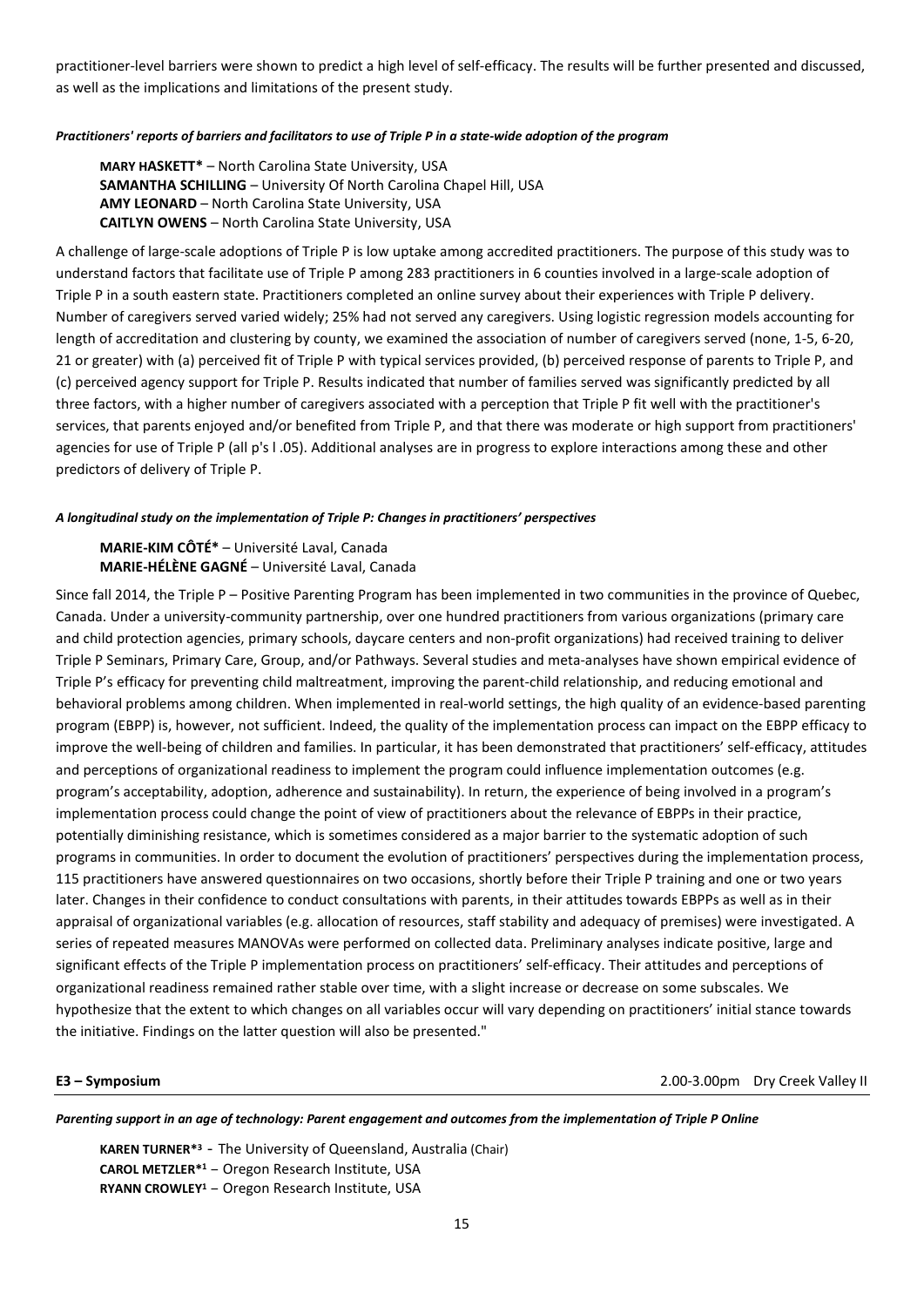practitioner-level barriers were shown to predict a high level of self-efficacy. The results will be further presented and discussed, as well as the implications and limitations of the present study.

## *Practitioners' reports of barriers and facilitators to use of Triple P in a state-wide adoption of the program*

**MARY HASKETT\*** – North Carolina State University, USA **SAMANTHA SCHILLING** – University Of North Carolina Chapel Hill, USA **AMY LEONARD** – North Carolina State University, USA **CAITLYN OWENS** – North Carolina State University, USA

A challenge of large-scale adoptions of Triple P is low uptake among accredited practitioners. The purpose of this study was to understand factors that facilitate use of Triple P among 283 practitioners in 6 counties involved in a large-scale adoption of Triple P in a south eastern state. Practitioners completed an online survey about their experiences with Triple P delivery. Number of caregivers served varied widely; 25% had not served any caregivers. Using logistic regression models accounting for length of accreditation and clustering by county, we examined the association of number of caregivers served (none, 1-5, 6-20, 21 or greater) with (a) perceived fit of Triple P with typical services provided, (b) perceived response of parents to Triple P, and (c) perceived agency support for Triple P. Results indicated that number of families served was significantly predicted by all three factors, with a higher number of caregivers associated with a perception that Triple P fit well with the practitioner's services, that parents enjoyed and/or benefited from Triple P, and that there was moderate or high support from practitioners' agencies for use of Triple P (all p's l .05). Additional analyses are in progress to explore interactions among these and other predictors of delivery of Triple P.

## *A longitudinal study on the implementation of Triple P: Changes in practitioners' perspectives*

**MARIE-KIM CÔTÉ\*** – Université Laval, Canada **MARIE-HÉLÈNE GAGNÉ** – Université Laval, Canada

Since fall 2014, the Triple P – Positive Parenting Program has been implemented in two communities in the province of Quebec, Canada. Under a university-community partnership, over one hundred practitioners from various organizations (primary care and child protection agencies, primary schools, daycare centers and non-profit organizations) had received training to deliver Triple P Seminars, Primary Care, Group, and/or Pathways. Several studies and meta-analyses have shown empirical evidence of Triple P's efficacy for preventing child maltreatment, improving the parent-child relationship, and reducing emotional and behavioral problems among children. When implemented in real-world settings, the high quality of an evidence-based parenting program (EBPP) is, however, not sufficient. Indeed, the quality of the implementation process can impact on the EBPP efficacy to improve the well-being of children and families. In particular, it has been demonstrated that practitioners' self-efficacy, attitudes and perceptions of organizational readiness to implement the program could influence implementation outcomes (e.g. program's acceptability, adoption, adherence and sustainability). In return, the experience of being involved in a program's implementation process could change the point of view of practitioners about the relevance of EBPPs in their practice, potentially diminishing resistance, which is sometimes considered as a major barrier to the systematic adoption of such programs in communities. In order to document the evolution of practitioners' perspectives during the implementation process, 115 practitioners have answered questionnaires on two occasions, shortly before their Triple P training and one or two years later. Changes in their confidence to conduct consultations with parents, in their attitudes towards EBPPs as well as in their appraisal of organizational variables (e.g. allocation of resources, staff stability and adequacy of premises) were investigated. A series of repeated measures MANOVAs were performed on collected data. Preliminary analyses indicate positive, large and significant effects of the Triple P implementation process on practitioners' self-efficacy. Their attitudes and perceptions of organizational readiness remained rather stable over time, with a slight increase or decrease on some subscales. We hypothesize that the extent to which changes on all variables occur will vary depending on practitioners' initial stance towards the initiative. Findings on the latter question will also be presented."

**E3 – Symposium**2.00-3.00pm Dry Creek Valley II

*Parenting support in an age of technology: Parent engagement and outcomes from the implementation of Triple P Online*

**KAREN TURNER\*3** - The University of Queensland, Australia (Chair) **CAROL METZLER\*1** – Oregon Research Institute, USA **RYANN CROWLEY1** – Oregon Research Institute, USA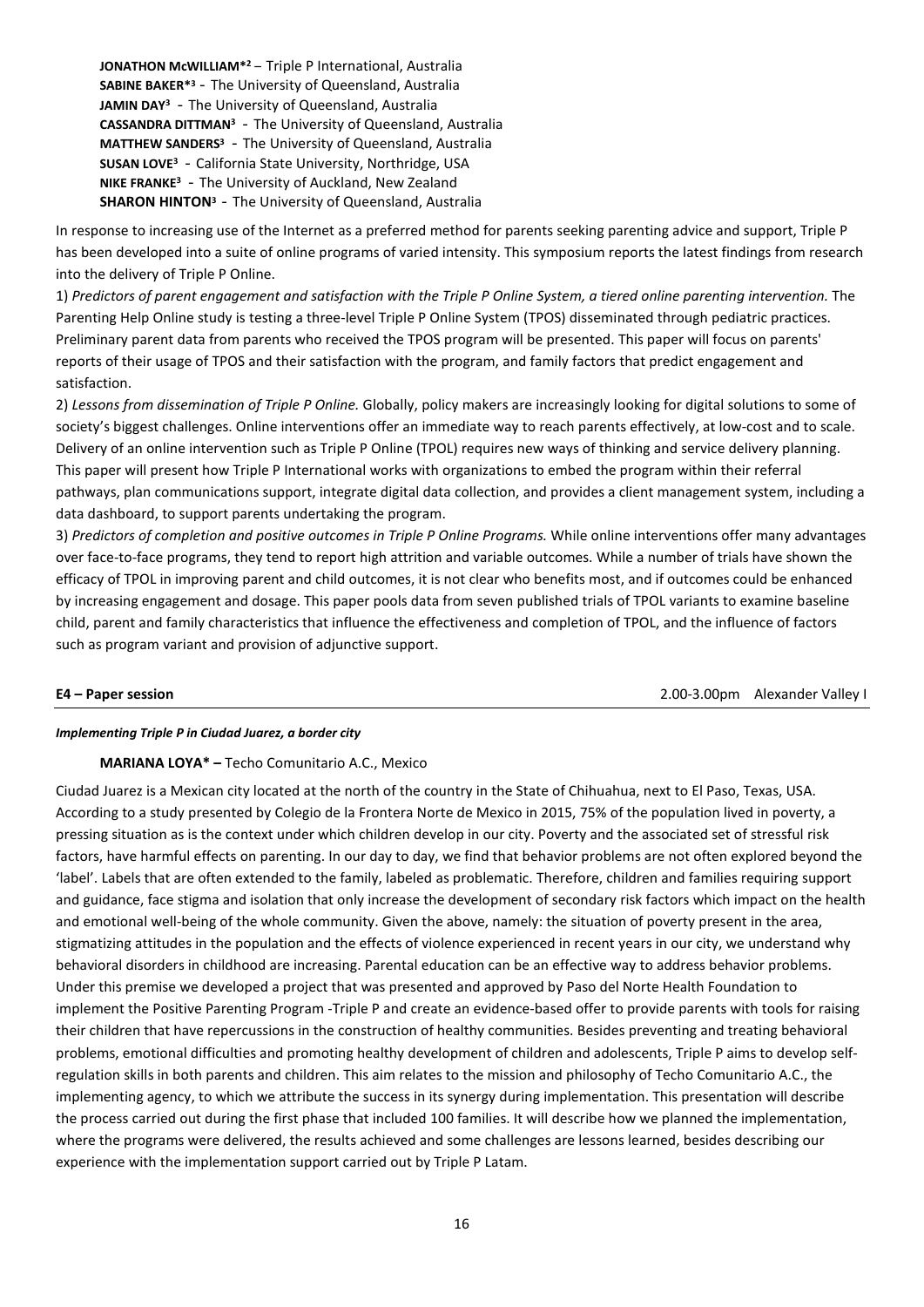**JONATHON McWILLIAM\*2**– Triple P International, Australia **SABINE BAKER\*3**- The University of Queensland, Australia JAMIN DAY<sup>3</sup> - The University of Queensland, Australia **CASSANDRA DITTMAN3** - The University of Queensland, Australia **MATTHEW SANDERS3** - The University of Queensland, Australia **SUSAN LOVE3** - California State University, Northridge, USA **NIKE FRANKE3** - The University of Auckland, New Zealand **SHARON HINTON<sup>3</sup>** - The University of Queensland, Australia

In response to increasing use of the Internet as a preferred method for parents seeking parenting advice and support, Triple P has been developed into a suite of online programs of varied intensity. This symposium reports the latest findings from research into the delivery of Triple P Online.

1) *Predictors of parent engagement and satisfaction with the Triple P Online System, a tiered online parenting intervention.* The Parenting Help Online study is testing a three-level Triple P Online System (TPOS) disseminated through pediatric practices. Preliminary parent data from parents who received the TPOS program will be presented. This paper will focus on parents' reports of their usage of TPOS and their satisfaction with the program, and family factors that predict engagement and satisfaction.

2) *Lessons from dissemination of Triple P Online.* Globally, policy makers are increasingly looking for digital solutions to some of society's biggest challenges. Online interventions offer an immediate way to reach parents effectively, at low-cost and to scale. Delivery of an online intervention such as Triple P Online (TPOL) requires new ways of thinking and service delivery planning. This paper will present how Triple P International works with organizations to embed the program within their referral pathways, plan communications support, integrate digital data collection, and provides a client management system, including a data dashboard, to support parents undertaking the program.

3) *Predictors of completion and positive outcomes in Triple P Online Programs.* While online interventions offer many advantages over face-to-face programs, they tend to report high attrition and variable outcomes. While a number of trials have shown the efficacy of TPOL in improving parent and child outcomes, it is not clear who benefits most, and if outcomes could be enhanced by increasing engagement and dosage. This paper pools data from seven published trials of TPOL variants to examine baseline child, parent and family characteristics that influence the effectiveness and completion of TPOL, and the influence of factors such as program variant and provision of adjunctive support.

**E4 – Paper session** 2.00-3.00pm Alexander Valley I

### *Implementing Triple P in Ciudad Juarez, a border city*

# **MARIANA LOYA\* –** Techo Comunitario A.C., Mexico

Ciudad Juarez is a Mexican city located at the north of the country in the State of Chihuahua, next to El Paso, Texas, USA. According to a study presented by Colegio de la Frontera Norte de Mexico in 2015, 75% of the population lived in poverty, a pressing situation as is the context under which children develop in our city. Poverty and the associated set of stressful risk factors, have harmful effects on parenting. In our day to day, we find that behavior problems are not often explored beyond the 'label'. Labels that are often extended to the family, labeled as problematic. Therefore, children and families requiring support and guidance, face stigma and isolation that only increase the development of secondary risk factors which impact on the health and emotional well-being of the whole community. Given the above, namely: the situation of poverty present in the area, stigmatizing attitudes in the population and the effects of violence experienced in recent years in our city, we understand why behavioral disorders in childhood are increasing. Parental education can be an effective way to address behavior problems. Under this premise we developed a project that was presented and approved by Paso del Norte Health Foundation to implement the Positive Parenting Program -Triple P and create an evidence-based offer to provide parents with tools for raising their children that have repercussions in the construction of healthy communities. Besides preventing and treating behavioral problems, emotional difficulties and promoting healthy development of children and adolescents, Triple P aims to develop selfregulation skills in both parents and children. This aim relates to the mission and philosophy of Techo Comunitario A.C., the implementing agency, to which we attribute the success in its synergy during implementation. This presentation will describe the process carried out during the first phase that included 100 families. It will describe how we planned the implementation, where the programs were delivered, the results achieved and some challenges are lessons learned, besides describing our experience with the implementation support carried out by Triple P Latam.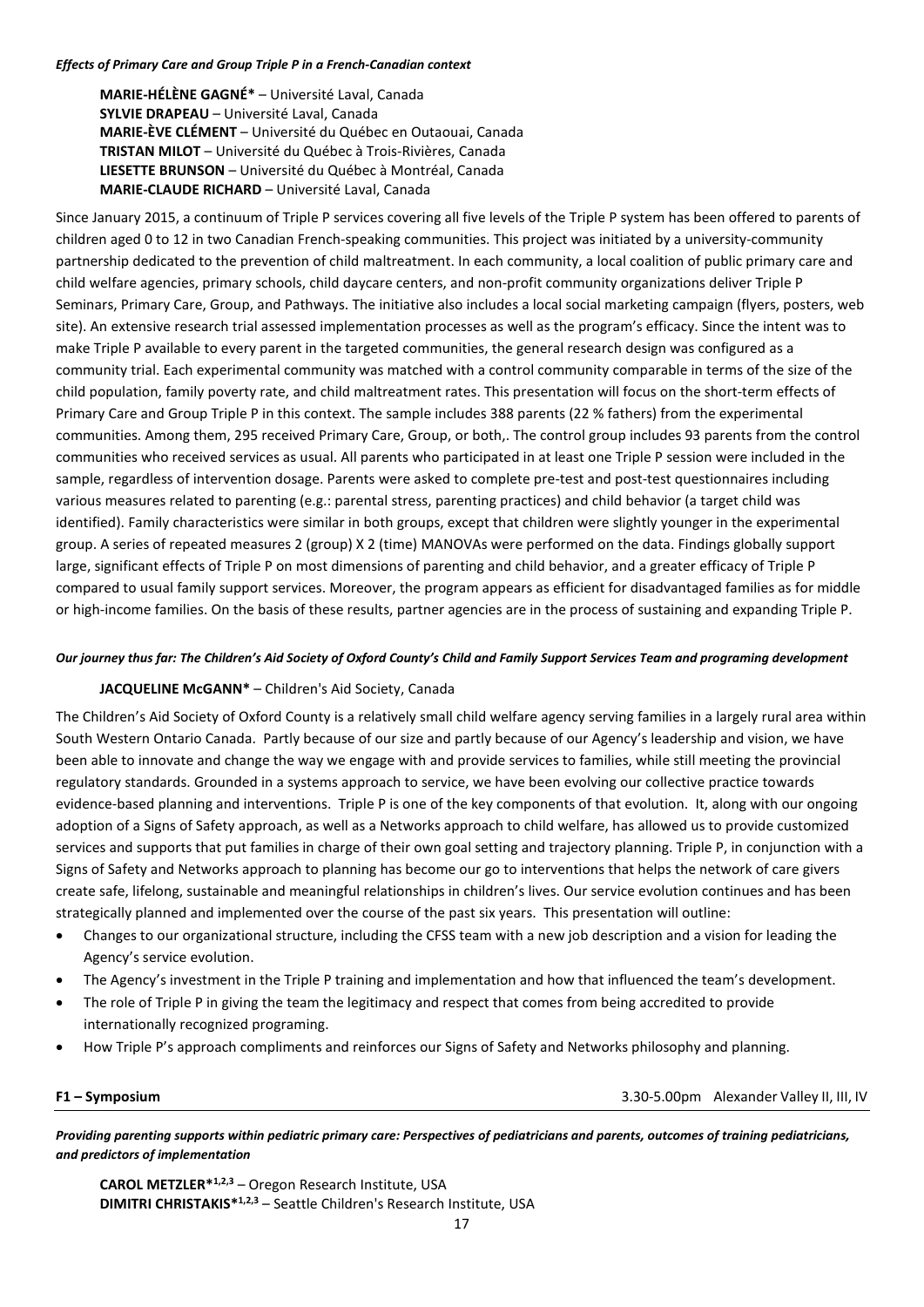### *Effects of Primary Care and Group Triple P in a French-Canadian context*

**MARIE-HÉLÈNE GAGNÉ\*** – Université Laval, Canada **SYLVIE DRAPEAU** – Université Laval, Canada **MARIE-ÈVE CLÉMENT** – Université du Québec en Outaouai, Canada **TRISTAN MILOT** – Université du Québec à Trois-Rivières, Canada **LIESETTE BRUNSON** – Université du Québec à Montréal, Canada **MARIE-CLAUDE RICHARD** – Université Laval, Canada

Since January 2015, a continuum of Triple P services covering all five levels of the Triple P system has been offered to parents of children aged 0 to 12 in two Canadian French-speaking communities. This project was initiated by a university-community partnership dedicated to the prevention of child maltreatment. In each community, a local coalition of public primary care and child welfare agencies, primary schools, child daycare centers, and non-profit community organizations deliver Triple P Seminars, Primary Care, Group, and Pathways. The initiative also includes a local social marketing campaign (flyers, posters, web site). An extensive research trial assessed implementation processes as well as the program's efficacy. Since the intent was to make Triple P available to every parent in the targeted communities, the general research design was configured as a community trial. Each experimental community was matched with a control community comparable in terms of the size of the child population, family poverty rate, and child maltreatment rates. This presentation will focus on the short-term effects of Primary Care and Group Triple P in this context. The sample includes 388 parents (22 % fathers) from the experimental communities. Among them, 295 received Primary Care, Group, or both,. The control group includes 93 parents from the control communities who received services as usual. All parents who participated in at least one Triple P session were included in the sample, regardless of intervention dosage. Parents were asked to complete pre-test and post-test questionnaires including various measures related to parenting (e.g.: parental stress, parenting practices) and child behavior (a target child was identified). Family characteristics were similar in both groups, except that children were slightly younger in the experimental group. A series of repeated measures 2 (group) X 2 (time) MANOVAs were performed on the data. Findings globally support large, significant effects of Triple P on most dimensions of parenting and child behavior, and a greater efficacy of Triple P compared to usual family support services. Moreover, the program appears as efficient for disadvantaged families as for middle or high-income families. On the basis of these results, partner agencies are in the process of sustaining and expanding Triple P.

## *Our journey thus far: The Children's Aid Society of Oxford County's Child and Family Support Services Team and programing development*

# **JACQUELINE McGANN\*** – Children's Aid Society, Canada

The Children's Aid Society of Oxford County is a relatively small child welfare agency serving families in a largely rural area within South Western Ontario Canada. Partly because of our size and partly because of our Agency's leadership and vision, we have been able to innovate and change the way we engage with and provide services to families, while still meeting the provincial regulatory standards. Grounded in a systems approach to service, we have been evolving our collective practice towards evidence-based planning and interventions. Triple P is one of the key components of that evolution. It, along with our ongoing adoption of a Signs of Safety approach, as well as a Networks approach to child welfare, has allowed us to provide customized services and supports that put families in charge of their own goal setting and trajectory planning. Triple P, in conjunction with a Signs of Safety and Networks approach to planning has become our go to interventions that helps the network of care givers create safe, lifelong, sustainable and meaningful relationships in children's lives. Our service evolution continues and has been strategically planned and implemented over the course of the past six years. This presentation will outline:

- Changes to our organizational structure, including the CFSS team with a new job description and a vision for leading the Agency's service evolution.
- The Agency's investment in the Triple P training and implementation and how that influenced the team's development.
- The role of Triple P in giving the team the legitimacy and respect that comes from being accredited to provide internationally recognized programing.
- How Triple P's approach compliments and reinforces our Signs of Safety and Networks philosophy and planning.

**F1 – Symposium**3.30-5.00pm Alexander Valley II, III, IV

*Providing parenting supports within pediatric primary care: Perspectives of pediatricians and parents, outcomes of training pediatricians, and predictors of implementation*

**CAROL METZLER\*1,2,3** – Oregon Research Institute, USA **DIMITRI CHRISTAKIS\*1,2,3** – Seattle Children's Research Institute, USA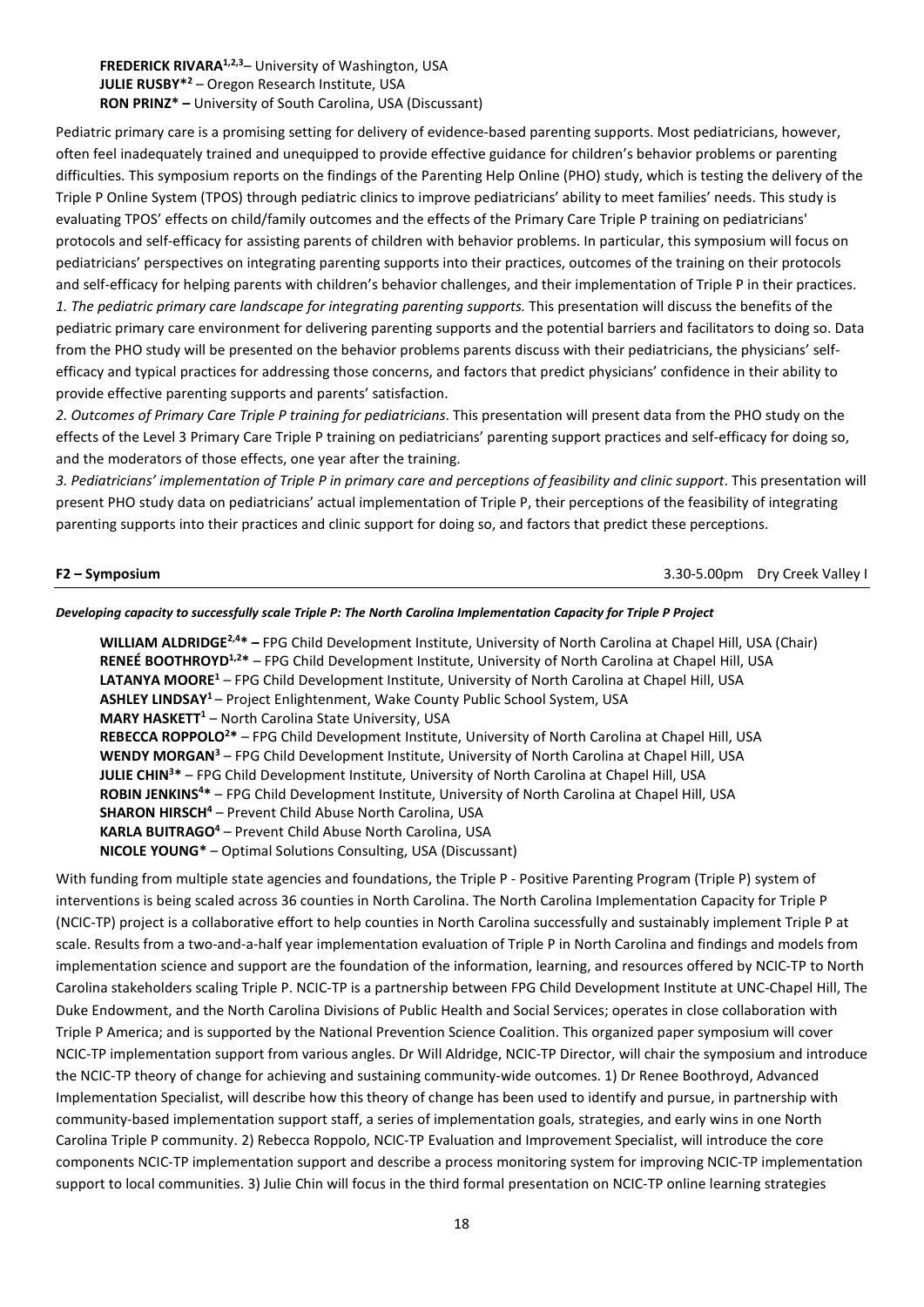**FREDERICK RIVARA<sup>1,2,3</sup>– University of Washington, USA JULIE RUSBY\*2** – Oregon Research Institute, USA **RON PRINZ\* –** University of South Carolina, USA (Discussant)

Pediatric primary care is a promising setting for delivery of evidence-based parenting supports. Most pediatricians, however, often feel inadequately trained and unequipped to provide effective guidance for children's behavior problems or parenting difficulties. This symposium reports on the findings of the Parenting Help Online (PHO) study, which is testing the delivery of the Triple P Online System (TPOS) through pediatric clinics to improve pediatricians' ability to meet families' needs. This study is evaluating TPOS' effects on child/family outcomes and the effects of the Primary Care Triple P training on pediatricians' protocols and self-efficacy for assisting parents of children with behavior problems. In particular, this symposium will focus on pediatricians' perspectives on integrating parenting supports into their practices, outcomes of the training on their protocols and self-efficacy for helping parents with children's behavior challenges, and their implementation of Triple P in their practices. *1. The pediatric primary care landscape for integrating parenting supports.* This presentation will discuss the benefits of the pediatric primary care environment for delivering parenting supports and the potential barriers and facilitators to doing so. Data from the PHO study will be presented on the behavior problems parents discuss with their pediatricians, the physicians' selfefficacy and typical practices for addressing those concerns, and factors that predict physicians' confidence in their ability to provide effective parenting supports and parents' satisfaction.

*2. Outcomes of Primary Care Triple P training for pediatricians*. This presentation will present data from the PHO study on the effects of the Level 3 Primary Care Triple P training on pediatricians' parenting support practices and self-efficacy for doing so, and the moderators of those effects, one year after the training.

*3. Pediatricians' implementation of Triple P in primary care and perceptions of feasibility and clinic support*. This presentation will present PHO study data on pediatricians' actual implementation of Triple P, their perceptions of the feasibility of integrating parenting supports into their practices and clinic support for doing so, and factors that predict these perceptions.

**F2 – Symposium**3.30-5.00pm Dry Creek Valley I

## *Developing capacity to successfully scale Triple P: The North Carolina Implementation Capacity for Triple P Project*

**WILLIAM ALDRIDGE2,4\* –** FPG Child Development Institute, University of North Carolina at Chapel Hill, USA (Chair) **RENEÉ BOOTHROYD1,2\*** – FPG Child Development Institute, University of North Carolina at Chapel Hill, USA **LATANYA MOORE1** – FPG Child Development Institute, University of North Carolina at Chapel Hill, USA **ASHLEY LINDSAY1** – Project Enlightenment, Wake County Public School System, USA **MARY HASKETT<sup>1</sup>** – North Carolina State University, USA **REBECCA ROPPOLO2 \*** – FPG Child Development Institute, University of North Carolina at Chapel Hill, USA **WENDY MORGAN3** – FPG Child Development Institute, University of North Carolina at Chapel Hill, USA **JULIE CHIN3 \*** – FPG Child Development Institute, University of North Carolina at Chapel Hill, USA **ROBIN JENKINS4 \*** – FPG Child Development Institute, University of North Carolina at Chapel Hill, USA **SHARON HIRSCH4** – Prevent Child Abuse North Carolina, USA **KARLA BUITRAGO4** – Prevent Child Abuse North Carolina, USA **NICOLE YOUNG\*** – Optimal Solutions Consulting, USA (Discussant)

With funding from multiple state agencies and foundations, the Triple P - Positive Parenting Program (Triple P) system of interventions is being scaled across 36 counties in North Carolina. The North Carolina Implementation Capacity for Triple P (NCIC-TP) project is a collaborative effort to help counties in North Carolina successfully and sustainably implement Triple P at scale. Results from a two-and-a-half year implementation evaluation of Triple P in North Carolina and findings and models from implementation science and support are the foundation of the information, learning, and resources offered by NCIC-TP to North Carolina stakeholders scaling Triple P. NCIC-TP is a partnership between FPG Child Development Institute at UNC-Chapel Hill, The Duke Endowment, and the North Carolina Divisions of Public Health and Social Services; operates in close collaboration with Triple P America; and is supported by the National Prevention Science Coalition. This organized paper symposium will cover NCIC-TP implementation support from various angles. Dr Will Aldridge, NCIC-TP Director, will chair the symposium and introduce the NCIC-TP theory of change for achieving and sustaining community-wide outcomes. 1) Dr Renee Boothroyd, Advanced Implementation Specialist, will describe how this theory of change has been used to identify and pursue, in partnership with community-based implementation support staff, a series of implementation goals, strategies, and early wins in one North Carolina Triple P community. 2) Rebecca Roppolo, NCIC-TP Evaluation and Improvement Specialist, will introduce the core components NCIC-TP implementation support and describe a process monitoring system for improving NCIC-TP implementation support to local communities. 3) Julie Chin will focus in the third formal presentation on NCIC-TP online learning strategies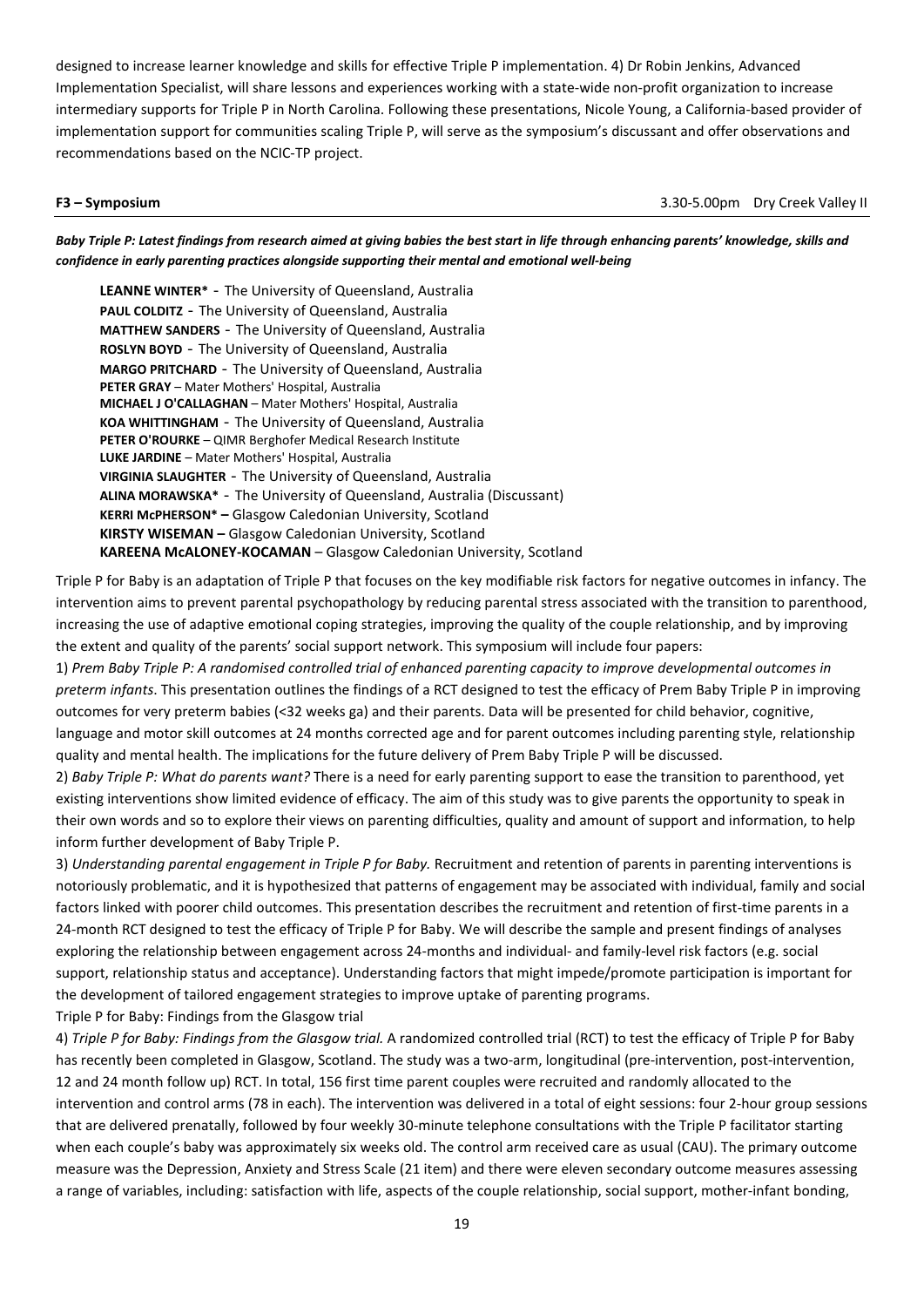designed to increase learner knowledge and skills for effective Triple P implementation. 4) Dr Robin Jenkins, Advanced Implementation Specialist, will share lessons and experiences working with a state-wide non-profit organization to increase intermediary supports for Triple P in North Carolina. Following these presentations, Nicole Young, a California-based provider of implementation support for communities scaling Triple P, will serve as the symposium's discussant and offer observations and recommendations based on the NCIC-TP project.

**F3 – Symposium**3.30-5.00pm Dry Creek Valley II

*Baby Triple P: Latest findings from research aimed at giving babies the best start in life through enhancing parents' knowledge, skills and confidence in early parenting practices alongside supporting their mental and emotional well-being*

**LEANNE WINTER\*** - The University of Queensland, Australia **PAUL COLDITZ** - The University of Queensland, Australia **MATTHEW SANDERS** - The University of Queensland, Australia **ROSLYN BOYD** - The University of Queensland, Australia **MARGO PRITCHARD** - The University of Queensland, Australia **PETER GRAY** – Mater Mothers' Hospital, Australia **MICHAEL J O'CALLAGHAN** – Mater Mothers' Hospital, Australia **KOA WHITTINGHAM** - The University of Queensland, Australia **PETER O'ROURKE** – QIMR Berghofer Medical Research Institute **LUKE JARDINE** – Mater Mothers' Hospital, Australia **VIRGINIA SLAUGHTER** - The University of Queensland, Australia **ALINA MORAWSKA\*** - The University of Queensland, Australia (Discussant) **KERRI McPHERSON\* –** Glasgow Caledonian University, Scotland **KIRSTY WISEMAN –** Glasgow Caledonian University, Scotland **KAREENA McALONEY-KOCAMAN** – Glasgow Caledonian University, Scotland

Triple P for Baby is an adaptation of Triple P that focuses on the key modifiable risk factors for negative outcomes in infancy. The intervention aims to prevent parental psychopathology by reducing parental stress associated with the transition to parenthood, increasing the use of adaptive emotional coping strategies, improving the quality of the couple relationship, and by improving the extent and quality of the parents' social support network. This symposium will include four papers:

1) *Prem Baby Triple P: A randomised controlled trial of enhanced parenting capacity to improve developmental outcomes in preterm infants*. This presentation outlines the findings of a RCT designed to test the efficacy of Prem Baby Triple P in improving outcomes for very preterm babies (<32 weeks ga) and their parents. Data will be presented for child behavior, cognitive, language and motor skill outcomes at 24 months corrected age and for parent outcomes including parenting style, relationship quality and mental health. The implications for the future delivery of Prem Baby Triple P will be discussed.

2) *Baby Triple P: What do parents want?* There is a need for early parenting support to ease the transition to parenthood, yet existing interventions show limited evidence of efficacy. The aim of this study was to give parents the opportunity to speak in their own words and so to explore their views on parenting difficulties, quality and amount of support and information, to help inform further development of Baby Triple P.

3) *Understanding parental engagement in Triple P for Baby.* Recruitment and retention of parents in parenting interventions is notoriously problematic, and it is hypothesized that patterns of engagement may be associated with individual, family and social factors linked with poorer child outcomes. This presentation describes the recruitment and retention of first-time parents in a 24-month RCT designed to test the efficacy of Triple P for Baby. We will describe the sample and present findings of analyses exploring the relationship between engagement across 24-months and individual- and family-level risk factors (e.g. social support, relationship status and acceptance). Understanding factors that might impede/promote participation is important for the development of tailored engagement strategies to improve uptake of parenting programs.

Triple P for Baby: Findings from the Glasgow trial

4) *Triple P for Baby: Findings from the Glasgow trial.* A randomized controlled trial (RCT) to test the efficacy of Triple P for Baby has recently been completed in Glasgow, Scotland. The study was a two-arm, longitudinal (pre-intervention, post-intervention, 12 and 24 month follow up) RCT. In total, 156 first time parent couples were recruited and randomly allocated to the intervention and control arms (78 in each). The intervention was delivered in a total of eight sessions: four 2-hour group sessions that are delivered prenatally, followed by four weekly 30-minute telephone consultations with the Triple P facilitator starting when each couple's baby was approximately six weeks old. The control arm received care as usual (CAU). The primary outcome measure was the Depression, Anxiety and Stress Scale (21 item) and there were eleven secondary outcome measures assessing a range of variables, including: satisfaction with life, aspects of the couple relationship, social support, mother-infant bonding,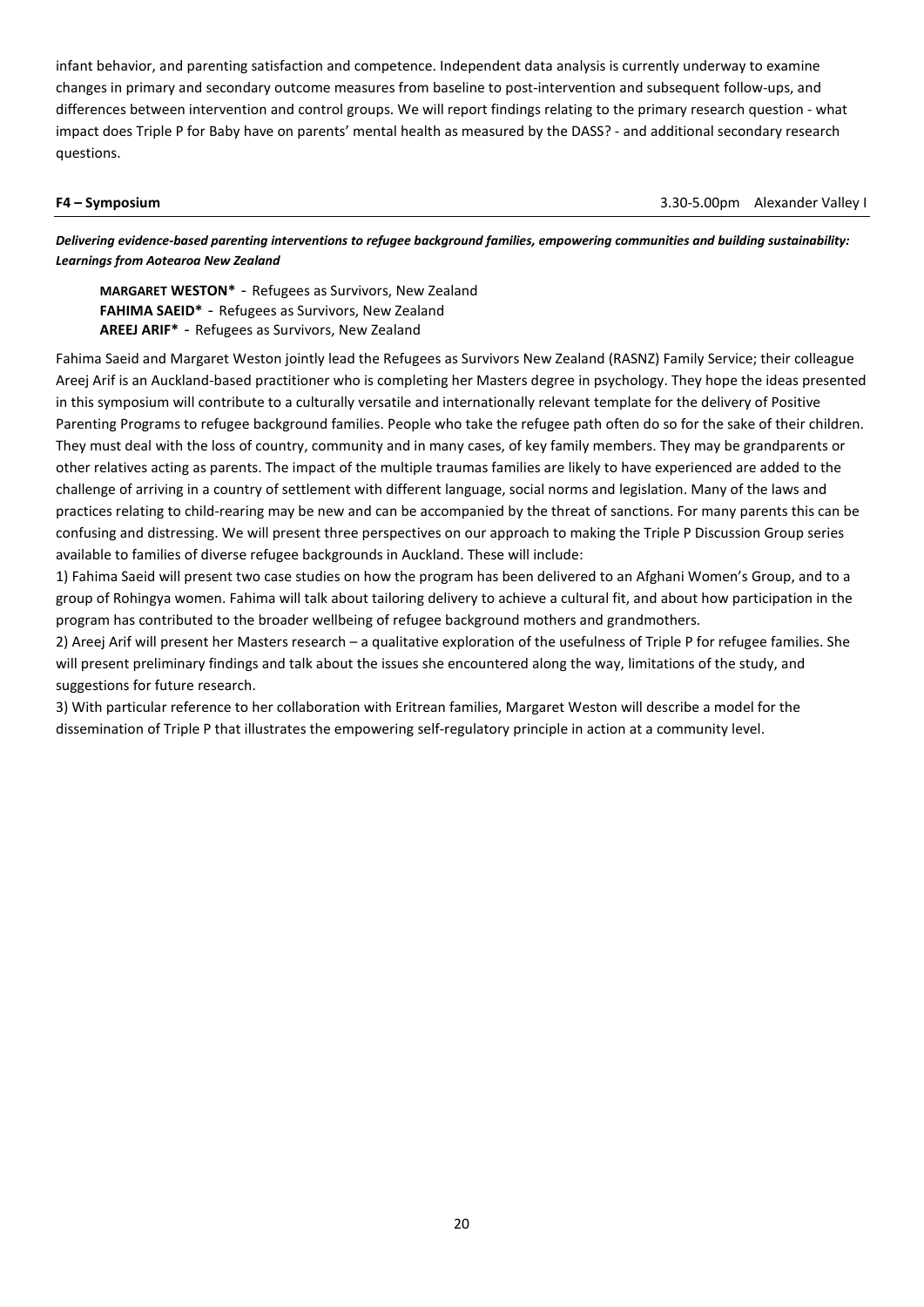infant behavior, and parenting satisfaction and competence. Independent data analysis is currently underway to examine changes in primary and secondary outcome measures from baseline to post-intervention and subsequent follow-ups, and differences between intervention and control groups. We will report findings relating to the primary research question - what impact does Triple P for Baby have on parents' mental health as measured by the DASS? - and additional secondary research questions.

**F4 – Symposium** 3.30-5.00pm Alexander Valley I

*Delivering evidence-based parenting interventions to refugee background families, empowering communities and building sustainability: Learnings from Aotearoa New Zealand* 

**MARGARET WESTON\*** - Refugees as Survivors, New Zealand **FAHIMA SAEID\*** - Refugees as Survivors, New Zealand **AREEJ ARIF\*** - Refugees as Survivors, New Zealand

Fahima Saeid and Margaret Weston jointly lead the Refugees as Survivors New Zealand (RASNZ) Family Service; their colleague Areej Arif is an Auckland-based practitioner who is completing her Masters degree in psychology. They hope the ideas presented in this symposium will contribute to a culturally versatile and internationally relevant template for the delivery of Positive Parenting Programs to refugee background families. People who take the refugee path often do so for the sake of their children. They must deal with the loss of country, community and in many cases, of key family members. They may be grandparents or other relatives acting as parents. The impact of the multiple traumas families are likely to have experienced are added to the challenge of arriving in a country of settlement with different language, social norms and legislation. Many of the laws and practices relating to child-rearing may be new and can be accompanied by the threat of sanctions. For many parents this can be confusing and distressing. We will present three perspectives on our approach to making the Triple P Discussion Group series available to families of diverse refugee backgrounds in Auckland. These will include:

1) Fahima Saeid will present two case studies on how the program has been delivered to an Afghani Women's Group, and to a group of Rohingya women. Fahima will talk about tailoring delivery to achieve a cultural fit, and about how participation in the program has contributed to the broader wellbeing of refugee background mothers and grandmothers.

2) Areej Arif will present her Masters research – a qualitative exploration of the usefulness of Triple P for refugee families. She will present preliminary findings and talk about the issues she encountered along the way, limitations of the study, and suggestions for future research.

3) With particular reference to her collaboration with Eritrean families, Margaret Weston will describe a model for the dissemination of Triple P that illustrates the empowering self-regulatory principle in action at a community level.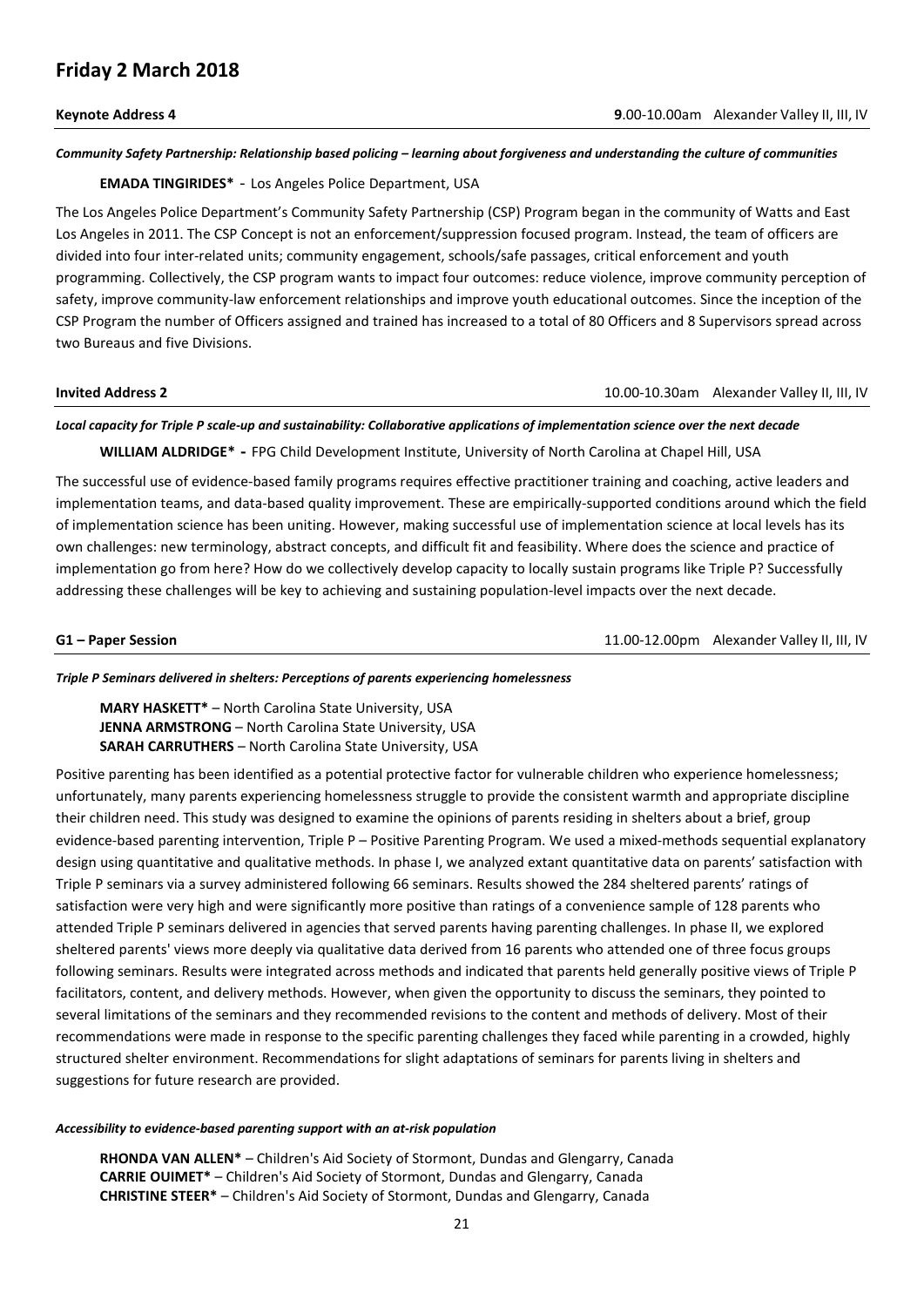### *Community Safety Partnership: Relationship based policing – learning about forgiveness and understanding the culture of communities*

**EMADA TINGIRIDES\*** - Los Angeles Police Department, USA

The Los Angeles Police Department's Community Safety Partnership (CSP) Program began in the community of Watts and East Los Angeles in 2011. The CSP Concept is not an enforcement/suppression focused program. Instead, the team of officers are divided into four inter-related units; community engagement, schools/safe passages, critical enforcement and youth programming. Collectively, the CSP program wants to impact four outcomes: reduce violence, improve community perception of safety, improve community-law enforcement relationships and improve youth educational outcomes. Since the inception of the CSP Program the number of Officers assigned and trained has increased to a total of 80 Officers and 8 Supervisors spread across two Bureaus and five Divisions.

### **Invited Address 2 ID.00-10.30am** Alexander Valley II, III, IV

### *Local capacity for Triple P scale-up and sustainability: Collaborative applications of implementation science over the next decade*

**WILLIAM ALDRIDGE\* -** FPG Child Development Institute, University of North Carolina at Chapel Hill, USA

The successful use of evidence-based family programs requires effective practitioner training and coaching, active leaders and implementation teams, and data-based quality improvement. These are empirically-supported conditions around which the field of implementation science has been uniting. However, making successful use of implementation science at local levels has its own challenges: new terminology, abstract concepts, and difficult fit and feasibility. Where does the science and practice of implementation go from here? How do we collectively develop capacity to locally sustain programs like Triple P? Successfully addressing these challenges will be key to achieving and sustaining population-level impacts over the next decade.

**G1 – Paper Session** 11.00-12.00pm Alexander Valley II, III, IV

### *Triple P Seminars delivered in shelters: Perceptions of parents experiencing homelessness*

**MARY HASKETT\*** – North Carolina State University, USA **JENNA ARMSTRONG** – North Carolina State University, USA **SARAH CARRUTHERS** – North Carolina State University, USA

Positive parenting has been identified as a potential protective factor for vulnerable children who experience homelessness; unfortunately, many parents experiencing homelessness struggle to provide the consistent warmth and appropriate discipline their children need. This study was designed to examine the opinions of parents residing in shelters about a brief, group evidence-based parenting intervention, Triple P – Positive Parenting Program. We used a mixed-methods sequential explanatory design using quantitative and qualitative methods. In phase I, we analyzed extant quantitative data on parents' satisfaction with Triple P seminars via a survey administered following 66 seminars. Results showed the 284 sheltered parents' ratings of satisfaction were very high and were significantly more positive than ratings of a convenience sample of 128 parents who attended Triple P seminars delivered in agencies that served parents having parenting challenges. In phase II, we explored sheltered parents' views more deeply via qualitative data derived from 16 parents who attended one of three focus groups following seminars. Results were integrated across methods and indicated that parents held generally positive views of Triple P facilitators, content, and delivery methods. However, when given the opportunity to discuss the seminars, they pointed to several limitations of the seminars and they recommended revisions to the content and methods of delivery. Most of their recommendations were made in response to the specific parenting challenges they faced while parenting in a crowded, highly structured shelter environment. Recommendations for slight adaptations of seminars for parents living in shelters and suggestions for future research are provided.

### *Accessibility to evidence-based parenting support with an at-risk population*

**RHONDA VAN ALLEN\*** – Children's Aid Society of Stormont, Dundas and Glengarry, Canada **CARRIE OUIMET\*** – Children's Aid Society of Stormont, Dundas and Glengarry, Canada **CHRISTINE STEER\*** – Children's Aid Society of Stormont, Dundas and Glengarry, Canada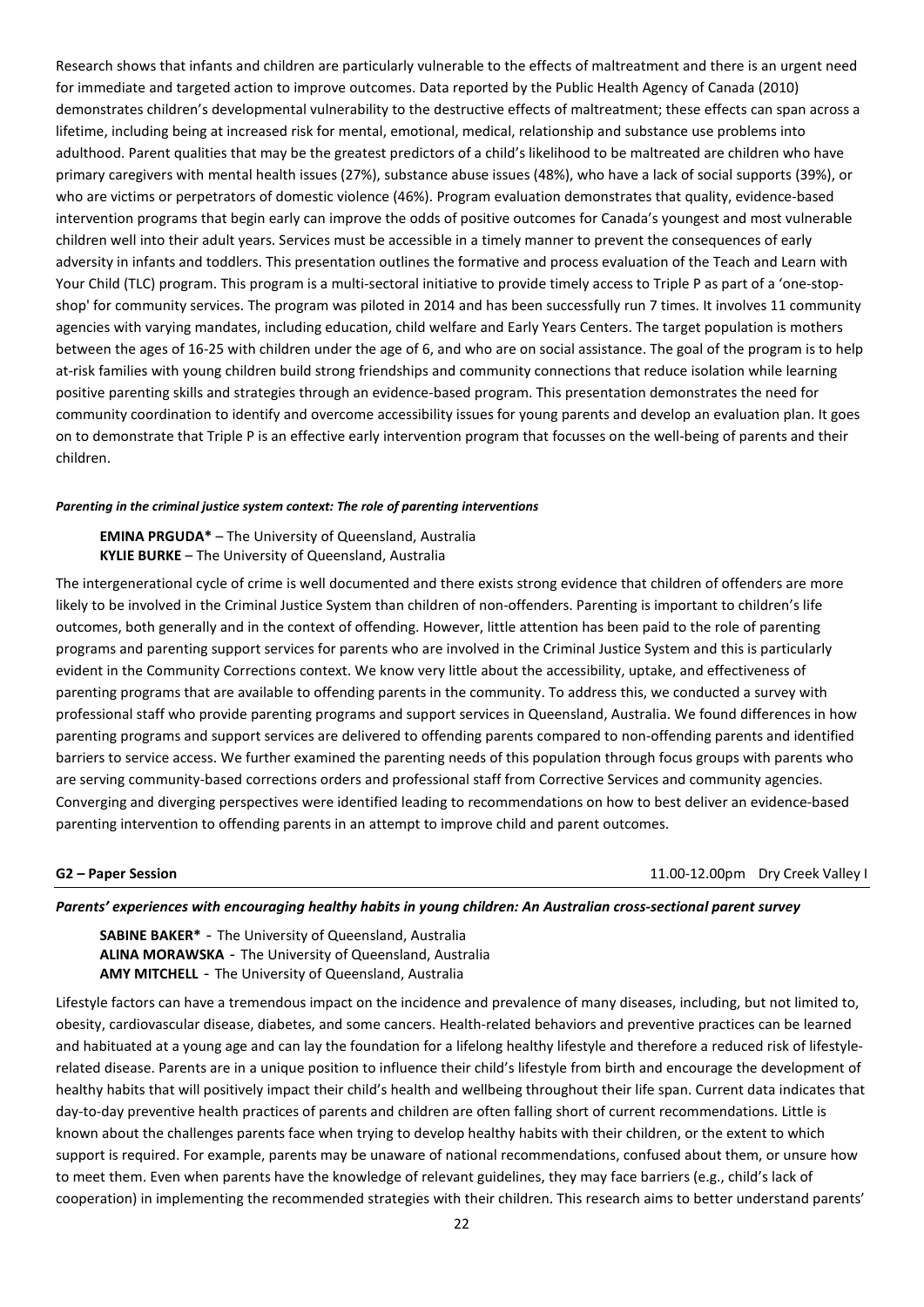Research shows that infants and children are particularly vulnerable to the effects of maltreatment and there is an urgent need for immediate and targeted action to improve outcomes. Data reported by the Public Health Agency of Canada (2010) demonstrates children's developmental vulnerability to the destructive effects of maltreatment; these effects can span across a lifetime, including being at increased risk for mental, emotional, medical, relationship and substance use problems into adulthood. Parent qualities that may be the greatest predictors of a child's likelihood to be maltreated are children who have primary caregivers with mental health issues (27%), substance abuse issues (48%), who have a lack of social supports (39%), or who are victims or perpetrators of domestic violence (46%). Program evaluation demonstrates that quality, evidence-based intervention programs that begin early can improve the odds of positive outcomes for Canada's youngest and most vulnerable children well into their adult years. Services must be accessible in a timely manner to prevent the consequences of early adversity in infants and toddlers. This presentation outlines the formative and process evaluation of the Teach and Learn with Your Child (TLC) program. This program is a multi-sectoral initiative to provide timely access to Triple P as part of a 'one-stopshop' for community services. The program was piloted in 2014 and has been successfully run 7 times. It involves 11 community agencies with varying mandates, including education, child welfare and Early Years Centers. The target population is mothers between the ages of 16-25 with children under the age of 6, and who are on social assistance. The goal of the program is to help at-risk families with young children build strong friendships and community connections that reduce isolation while learning positive parenting skills and strategies through an evidence-based program. This presentation demonstrates the need for community coordination to identify and overcome accessibility issues for young parents and develop an evaluation plan. It goes on to demonstrate that Triple P is an effective early intervention program that focusses on the well-being of parents and their children.

### *Parenting in the criminal justice system context: The role of parenting interventions*

**EMINA PRGUDA\*** – The University of Queensland, Australia **KYLIE BURKE** – The University of Queensland, Australia

The intergenerational cycle of crime is well documented and there exists strong evidence that children of offenders are more likely to be involved in the Criminal Justice System than children of non-offenders. Parenting is important to children's life outcomes, both generally and in the context of offending. However, little attention has been paid to the role of parenting programs and parenting support services for parents who are involved in the Criminal Justice System and this is particularly evident in the Community Corrections context. We know very little about the accessibility, uptake, and effectiveness of parenting programs that are available to offending parents in the community. To address this, we conducted a survey with professional staff who provide parenting programs and support services in Queensland, Australia. We found differences in how parenting programs and support services are delivered to offending parents compared to non-offending parents and identified barriers to service access. We further examined the parenting needs of this population through focus groups with parents who are serving community-based corrections orders and professional staff from Corrective Services and community agencies. Converging and diverging perspectives were identified leading to recommendations on how to best deliver an evidence-based parenting intervention to offending parents in an attempt to improve child and parent outcomes.

**G2 – Paper Session**11.00-12.00pm Dry Creek Valley I

# *Parents' experiences with encouraging healthy habits in young children: An Australian cross-sectional parent survey*

**SABINE BAKER\*** - The University of Queensland, Australia **ALINA MORAWSKA** - The University of Queensland, Australia **AMY MITCHELL** - The University of Queensland, Australia

Lifestyle factors can have a tremendous impact on the incidence and prevalence of many diseases, including, but not limited to, obesity, cardiovascular disease, diabetes, and some cancers. Health-related behaviors and preventive practices can be learned and habituated at a young age and can lay the foundation for a lifelong healthy lifestyle and therefore a reduced risk of lifestylerelated disease. Parents are in a unique position to influence their child's lifestyle from birth and encourage the development of healthy habits that will positively impact their child's health and wellbeing throughout their life span. Current data indicates that day-to-day preventive health practices of parents and children are often falling short of current recommendations. Little is known about the challenges parents face when trying to develop healthy habits with their children, or the extent to which support is required. For example, parents may be unaware of national recommendations, confused about them, or unsure how to meet them. Even when parents have the knowledge of relevant guidelines, they may face barriers (e.g., child's lack of cooperation) in implementing the recommended strategies with their children. This research aims to better understand parents'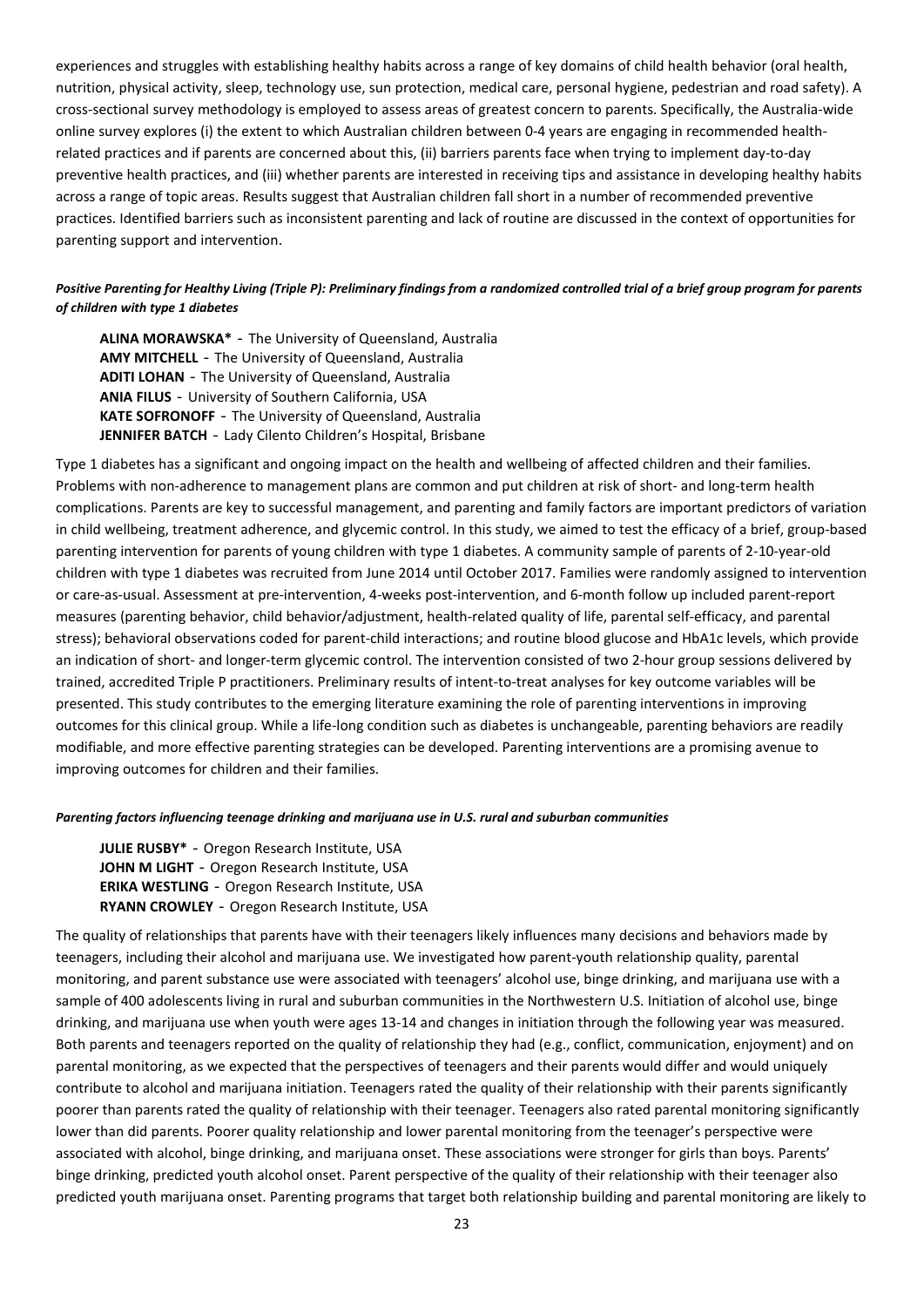experiences and struggles with establishing healthy habits across a range of key domains of child health behavior (oral health, nutrition, physical activity, sleep, technology use, sun protection, medical care, personal hygiene, pedestrian and road safety). A cross-sectional survey methodology is employed to assess areas of greatest concern to parents. Specifically, the Australia-wide online survey explores (i) the extent to which Australian children between 0-4 years are engaging in recommended healthrelated practices and if parents are concerned about this, (ii) barriers parents face when trying to implement day-to-day preventive health practices, and (iii) whether parents are interested in receiving tips and assistance in developing healthy habits across a range of topic areas. Results suggest that Australian children fall short in a number of recommended preventive practices. Identified barriers such as inconsistent parenting and lack of routine are discussed in the context of opportunities for parenting support and intervention.

# *Positive Parenting for Healthy Living (Triple P): Preliminary findings from a randomized controlled trial of a brief group program for parents of children with type 1 diabetes*

**ALINA MORAWSKA\*** - The University of Queensland, Australia **AMY MITCHELL** - The University of Queensland, Australia **ADITI LOHAN** - The University of Queensland, Australia **ANIA FILUS** - University of Southern California, USA **KATE SOFRONOFF** - The University of Queensland, Australia JENNIFER BATCH - Lady Cilento Children's Hospital, Brisbane

Type 1 diabetes has a significant and ongoing impact on the health and wellbeing of affected children and their families. Problems with non-adherence to management plans are common and put children at risk of short- and long-term health complications. Parents are key to successful management, and parenting and family factors are important predictors of variation in child wellbeing, treatment adherence, and glycemic control. In this study, we aimed to test the efficacy of a brief, group-based parenting intervention for parents of young children with type 1 diabetes. A community sample of parents of 2-10-year-old children with type 1 diabetes was recruited from June 2014 until October 2017. Families were randomly assigned to intervention or care-as-usual. Assessment at pre-intervention, 4-weeks post-intervention, and 6-month follow up included parent-report measures (parenting behavior, child behavior/adjustment, health-related quality of life, parental self-efficacy, and parental stress); behavioral observations coded for parent-child interactions; and routine blood glucose and HbA1c levels, which provide an indication of short- and longer-term glycemic control. The intervention consisted of two 2-hour group sessions delivered by trained, accredited Triple P practitioners. Preliminary results of intent-to-treat analyses for key outcome variables will be presented. This study contributes to the emerging literature examining the role of parenting interventions in improving outcomes for this clinical group. While a life-long condition such as diabetes is unchangeable, parenting behaviors are readily modifiable, and more effective parenting strategies can be developed. Parenting interventions are a promising avenue to improving outcomes for children and their families.

### *Parenting factors influencing teenage drinking and marijuana use in U.S. rural and suburban communities*

**JULIE RUSBY\*** - Oregon Research Institute, USA **JOHN M LIGHT** - Oregon Research Institute, USA **ERIKA WESTLING** - Oregon Research Institute, USA **RYANN CROWLEY** - Oregon Research Institute, USA

The quality of relationships that parents have with their teenagers likely influences many decisions and behaviors made by teenagers, including their alcohol and marijuana use. We investigated how parent-youth relationship quality, parental monitoring, and parent substance use were associated with teenagers' alcohol use, binge drinking, and marijuana use with a sample of 400 adolescents living in rural and suburban communities in the Northwestern U.S. Initiation of alcohol use, binge drinking, and marijuana use when youth were ages 13-14 and changes in initiation through the following year was measured. Both parents and teenagers reported on the quality of relationship they had (e.g., conflict, communication, enjoyment) and on parental monitoring, as we expected that the perspectives of teenagers and their parents would differ and would uniquely contribute to alcohol and marijuana initiation. Teenagers rated the quality of their relationship with their parents significantly poorer than parents rated the quality of relationship with their teenager. Teenagers also rated parental monitoring significantly lower than did parents. Poorer quality relationship and lower parental monitoring from the teenager's perspective were associated with alcohol, binge drinking, and marijuana onset. These associations were stronger for girls than boys. Parents' binge drinking, predicted youth alcohol onset. Parent perspective of the quality of their relationship with their teenager also predicted youth marijuana onset. Parenting programs that target both relationship building and parental monitoring are likely to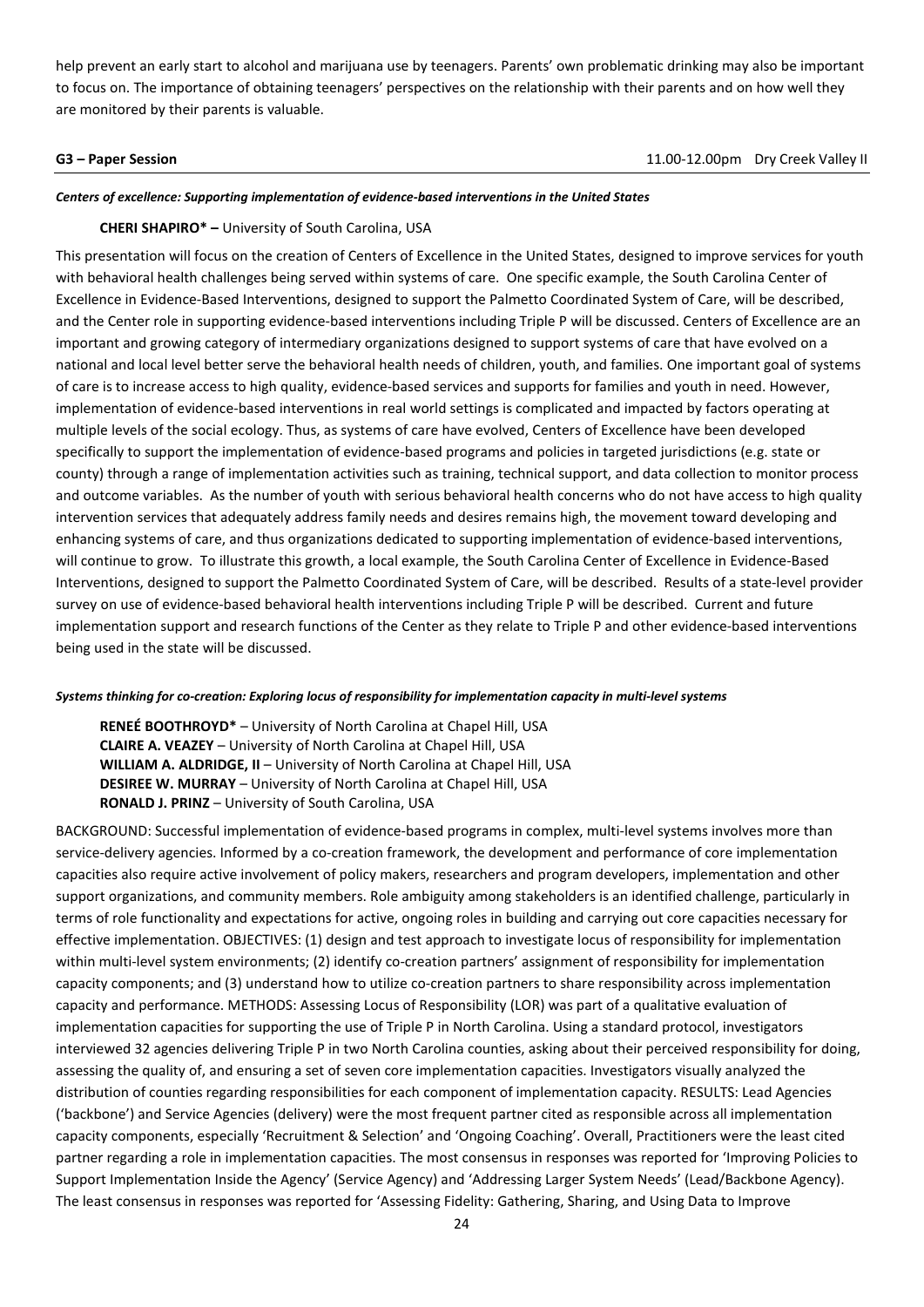help prevent an early start to alcohol and marijuana use by teenagers. Parents' own problematic drinking may also be important to focus on. The importance of obtaining teenagers' perspectives on the relationship with their parents and on how well they are monitored by their parents is valuable.

**G3 – Paper Session**11.00-12.00pm Dry Creek Valley II

# *Centers of excellence: Supporting implementation of evidence-based interventions in the United States*

## **CHERI SHAPIRO\* –** University of South Carolina, USA

This presentation will focus on the creation of Centers of Excellence in the United States, designed to improve services for youth with behavioral health challenges being served within systems of care. One specific example, the South Carolina Center of Excellence in Evidence-Based Interventions, designed to support the Palmetto Coordinated System of Care, will be described, and the Center role in supporting evidence-based interventions including Triple P will be discussed. Centers of Excellence are an important and growing category of intermediary organizations designed to support systems of care that have evolved on a national and local level better serve the behavioral health needs of children, youth, and families. One important goal of systems of care is to increase access to high quality, evidence-based services and supports for families and youth in need. However, implementation of evidence-based interventions in real world settings is complicated and impacted by factors operating at multiple levels of the social ecology. Thus, as systems of care have evolved, Centers of Excellence have been developed specifically to support the implementation of evidence-based programs and policies in targeted jurisdictions (e.g. state or county) through a range of implementation activities such as training, technical support, and data collection to monitor process and outcome variables. As the number of youth with serious behavioral health concerns who do not have access to high quality intervention services that adequately address family needs and desires remains high, the movement toward developing and enhancing systems of care, and thus organizations dedicated to supporting implementation of evidence-based interventions, will continue to grow. To illustrate this growth, a local example, the South Carolina Center of Excellence in Evidence-Based Interventions, designed to support the Palmetto Coordinated System of Care, will be described. Results of a state-level provider survey on use of evidence-based behavioral health interventions including Triple P will be described. Current and future implementation support and research functions of the Center as they relate to Triple P and other evidence-based interventions being used in the state will be discussed.

### *Systems thinking for co-creation: Exploring locus of responsibility for implementation capacity in multi-level systems*

**RENEÉ BOOTHROYD\*** – University of North Carolina at Chapel Hill, USA **CLAIRE A. VEAZEY** – University of North Carolina at Chapel Hill, USA **WILLIAM A. ALDRIDGE, II - University of North Carolina at Chapel Hill, USA DESIREE W. MURRAY** – University of North Carolina at Chapel Hill, USA **RONALD J. PRINZ** – University of South Carolina, USA

BACKGROUND: Successful implementation of evidence-based programs in complex, multi-level systems involves more than service-delivery agencies. Informed by a co-creation framework, the development and performance of core implementation capacities also require active involvement of policy makers, researchers and program developers, implementation and other support organizations, and community members. Role ambiguity among stakeholders is an identified challenge, particularly in terms of role functionality and expectations for active, ongoing roles in building and carrying out core capacities necessary for effective implementation. OBJECTIVES: (1) design and test approach to investigate locus of responsibility for implementation within multi-level system environments; (2) identify co-creation partners' assignment of responsibility for implementation capacity components; and (3) understand how to utilize co-creation partners to share responsibility across implementation capacity and performance. METHODS: Assessing Locus of Responsibility (LOR) was part of a qualitative evaluation of implementation capacities for supporting the use of Triple P in North Carolina. Using a standard protocol, investigators interviewed 32 agencies delivering Triple P in two North Carolina counties, asking about their perceived responsibility for doing, assessing the quality of, and ensuring a set of seven core implementation capacities. Investigators visually analyzed the distribution of counties regarding responsibilities for each component of implementation capacity. RESULTS: Lead Agencies ('backbone') and Service Agencies (delivery) were the most frequent partner cited as responsible across all implementation capacity components, especially 'Recruitment & Selection' and 'Ongoing Coaching'. Overall, Practitioners were the least cited partner regarding a role in implementation capacities. The most consensus in responses was reported for 'Improving Policies to Support Implementation Inside the Agency' (Service Agency) and 'Addressing Larger System Needs' (Lead/Backbone Agency). The least consensus in responses was reported for 'Assessing Fidelity: Gathering, Sharing, and Using Data to Improve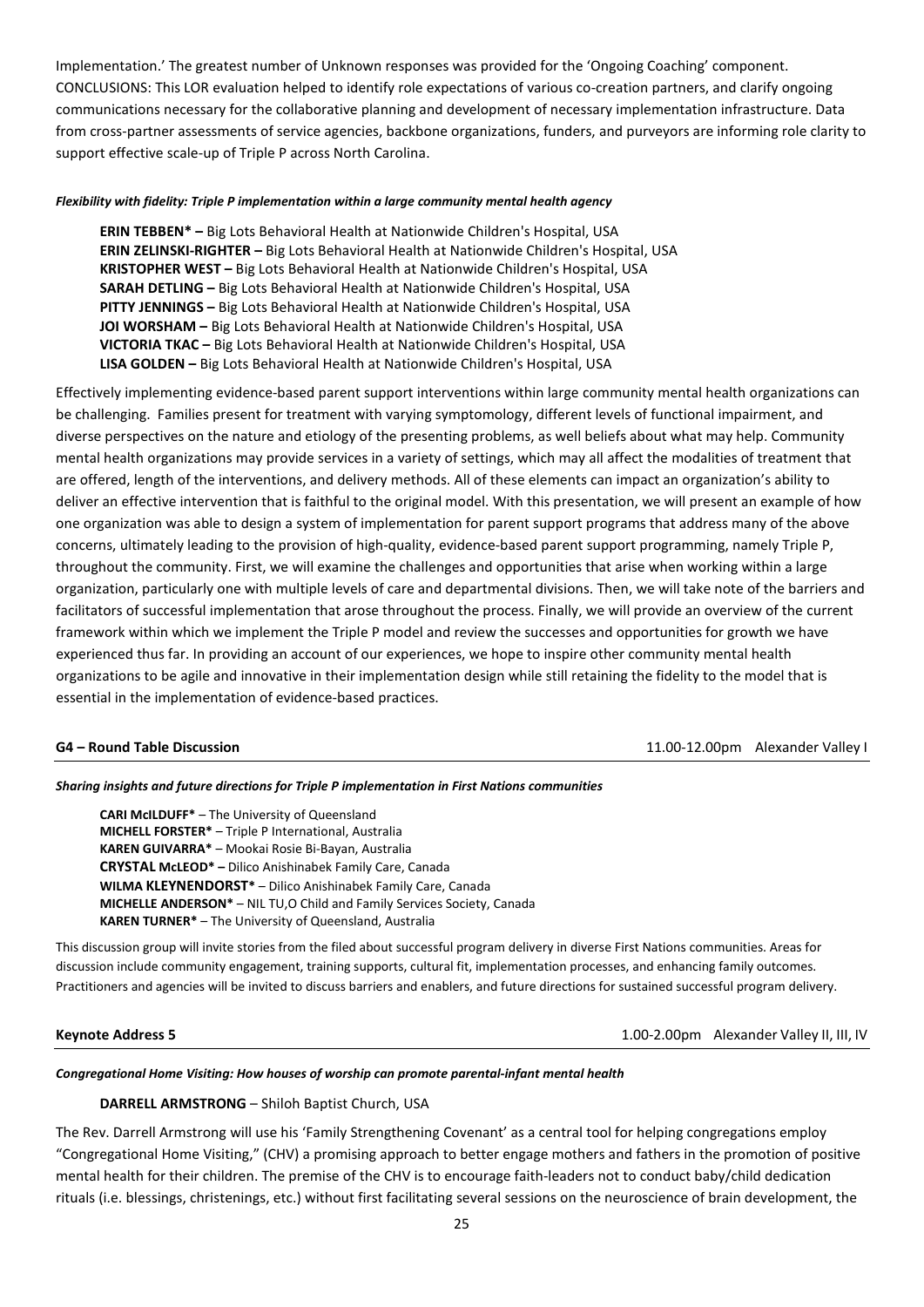Implementation.' The greatest number of Unknown responses was provided for the 'Ongoing Coaching' component. CONCLUSIONS: This LOR evaluation helped to identify role expectations of various co-creation partners, and clarify ongoing communications necessary for the collaborative planning and development of necessary implementation infrastructure. Data from cross-partner assessments of service agencies, backbone organizations, funders, and purveyors are informing role clarity to support effective scale-up of Triple P across North Carolina.

### *Flexibility with fidelity: Triple P implementation within a large community mental health agency*

**ERIN TEBBEN\* –** Big Lots Behavioral Health at Nationwide Children's Hospital, USA **ERIN ZELINSKI-RIGHTER –** Big Lots Behavioral Health at Nationwide Children's Hospital, USA **KRISTOPHER WEST –** Big Lots Behavioral Health at Nationwide Children's Hospital, USA **SARAH DETLING –** Big Lots Behavioral Health at Nationwide Children's Hospital, USA **PITTY JENNINGS –** Big Lots Behavioral Health at Nationwide Children's Hospital, USA **JOI WORSHAM –** Big Lots Behavioral Health at Nationwide Children's Hospital, USA **VICTORIA TKAC –** Big Lots Behavioral Health at Nationwide Children's Hospital, USA **LISA GOLDEN –** Big Lots Behavioral Health at Nationwide Children's Hospital, USA

Effectively implementing evidence-based parent support interventions within large community mental health organizations can be challenging. Families present for treatment with varying symptomology, different levels of functional impairment, and diverse perspectives on the nature and etiology of the presenting problems, as well beliefs about what may help. Community mental health organizations may provide services in a variety of settings, which may all affect the modalities of treatment that are offered, length of the interventions, and delivery methods. All of these elements can impact an organization's ability to deliver an effective intervention that is faithful to the original model. With this presentation, we will present an example of how one organization was able to design a system of implementation for parent support programs that address many of the above concerns, ultimately leading to the provision of high-quality, evidence-based parent support programming, namely Triple P, throughout the community. First, we will examine the challenges and opportunities that arise when working within a large organization, particularly one with multiple levels of care and departmental divisions. Then, we will take note of the barriers and facilitators of successful implementation that arose throughout the process. Finally, we will provide an overview of the current framework within which we implement the Triple P model and review the successes and opportunities for growth we have experienced thus far. In providing an account of our experiences, we hope to inspire other community mental health organizations to be agile and innovative in their implementation design while still retaining the fidelity to the model that is essential in the implementation of evidence-based practices.

**G4 – Round Table Discussion** 11.00-12.00pm Alexander Valley I

### *Sharing insights and future directions for Triple P implementation in First Nations communities*

**CARI McILDUFF\*** – The University of Queensland **MICHELL FORSTER\*** – Triple P International, Australia **KAREN GUIVARRA\*** – Mookai Rosie Bi-Bayan, Australia **CRYSTAL McLEOD\* –** Dilico Anishinabek Family Care, Canada **WILMA KLEYNENDORST\*** – Dilico Anishinabek Family Care, Canada **MICHELLE ANDERSON\*** – NIL TU,O Child and Family Services Society, Canada **KAREN TURNER\*** – The University of Queensland, Australia

This discussion group will invite stories from the filed about successful program delivery in diverse First Nations communities. Areas for discussion include community engagement, training supports, cultural fit, implementation processes, and enhancing family outcomes. Practitioners and agencies will be invited to discuss barriers and enablers, and future directions for sustained successful program delivery.

**Keynote Address 5** 1.00-2.00pm Alexander Valley II, III, IV

### *Congregational Home Visiting: How houses of worship can promote parental-infant mental health*

### **DARRELL ARMSTRONG** – Shiloh Baptist Church, USA

The Rev. Darrell Armstrong will use his 'Family Strengthening Covenant' as a central tool for helping congregations employ "Congregational Home Visiting," (CHV) a promising approach to better engage mothers and fathers in the promotion of positive mental health for their children. The premise of the CHV is to encourage faith-leaders not to conduct baby/child dedication rituals (i.e. blessings, christenings, etc.) without first facilitating several sessions on the neuroscience of brain development, the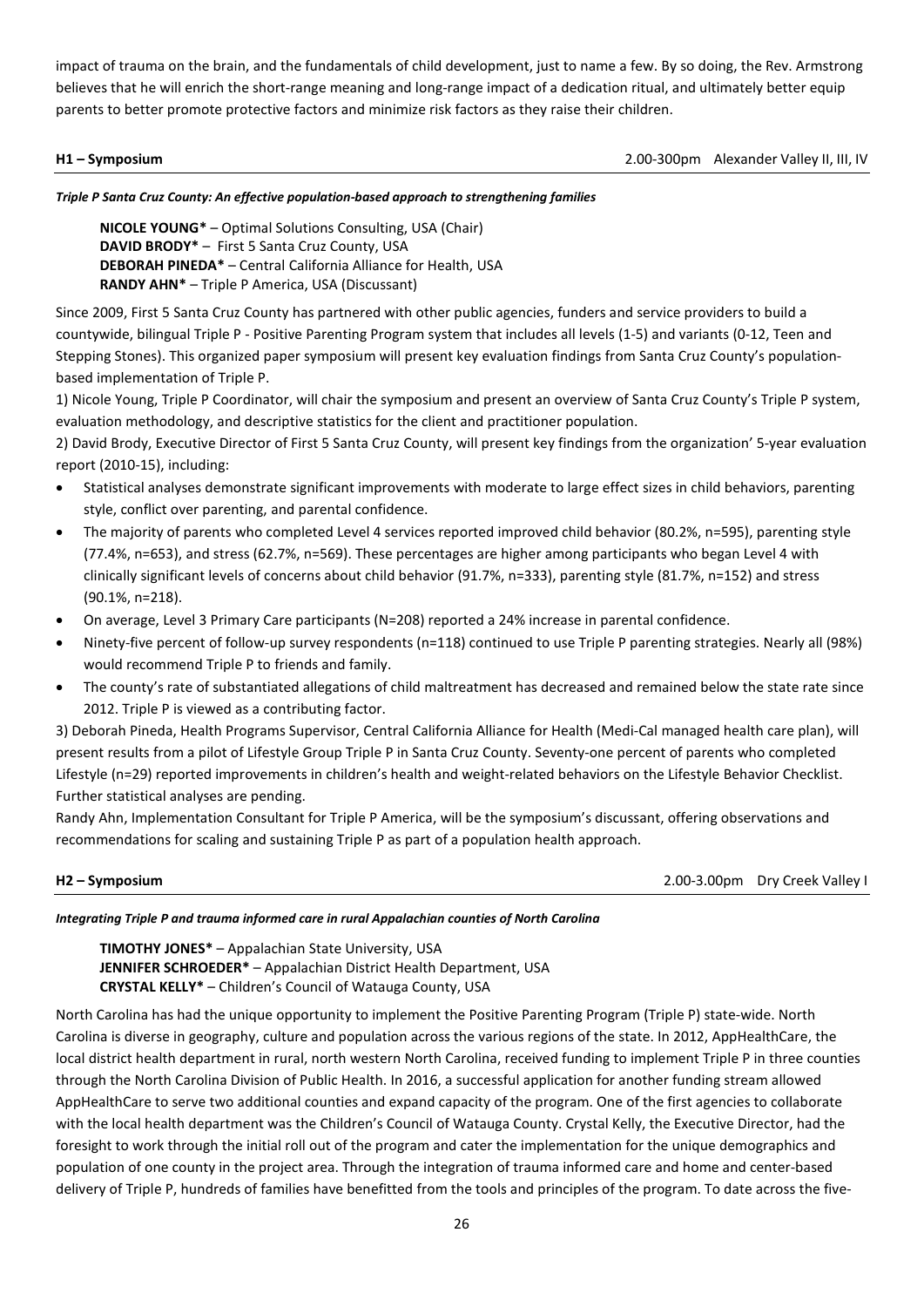impact of trauma on the brain, and the fundamentals of child development, just to name a few. By so doing, the Rev. Armstrong believes that he will enrich the short-range meaning and long-range impact of a dedication ritual, and ultimately better equip parents to better promote protective factors and minimize risk factors as they raise their children.

**H1 – Symposium**2.00-300pm Alexander Valley II, III, IV

*Triple P Santa Cruz County: An effective population-based approach to strengthening families* 

**NICOLE YOUNG\*** – Optimal Solutions Consulting, USA (Chair) **DAVID BRODY\*** – First 5 Santa Cruz County, USA **DEBORAH PINEDA\*** – Central California Alliance for Health, USA **RANDY AHN\*** – Triple P America, USA (Discussant)

Since 2009, First 5 Santa Cruz County has partnered with other public agencies, funders and service providers to build a countywide, bilingual Triple P - Positive Parenting Program system that includes all levels (1-5) and variants (0-12, Teen and Stepping Stones). This organized paper symposium will present key evaluation findings from Santa Cruz County's populationbased implementation of Triple P.

1) Nicole Young, Triple P Coordinator, will chair the symposium and present an overview of Santa Cruz County's Triple P system, evaluation methodology, and descriptive statistics for the client and practitioner population.

2) David Brody, Executive Director of First 5 Santa Cruz County, will present key findings from the organization' 5-year evaluation report (2010-15), including:

- Statistical analyses demonstrate significant improvements with moderate to large effect sizes in child behaviors, parenting style, conflict over parenting, and parental confidence.
- The majority of parents who completed Level 4 services reported improved child behavior (80.2%, n=595), parenting style (77.4%, n=653), and stress (62.7%, n=569). These percentages are higher among participants who began Level 4 with clinically significant levels of concerns about child behavior (91.7%, n=333), parenting style (81.7%, n=152) and stress (90.1%, n=218).
- On average, Level 3 Primary Care participants (N=208) reported a 24% increase in parental confidence.
- Ninety-five percent of follow-up survey respondents (n=118) continued to use Triple P parenting strategies. Nearly all (98%) would recommend Triple P to friends and family.
- The county's rate of substantiated allegations of child maltreatment has decreased and remained below the state rate since 2012. Triple P is viewed as a contributing factor.

3) Deborah Pineda, Health Programs Supervisor, Central California Alliance for Health (Medi-Cal managed health care plan), will present results from a pilot of Lifestyle Group Triple P in Santa Cruz County. Seventy-one percent of parents who completed Lifestyle (n=29) reported improvements in children's health and weight-related behaviors on the Lifestyle Behavior Checklist. Further statistical analyses are pending.

Randy Ahn, Implementation Consultant for Triple P America, will be the symposium's discussant, offering observations and recommendations for scaling and sustaining Triple P as part of a population health approach.

**H2 – Symposium**2.00-3.00pm Dry Creek Valley I

*Integrating Triple P and trauma informed care in rural Appalachian counties of North Carolina* 

**TIMOTHY JONES\*** – Appalachian State University, USA **JENNIFER SCHROEDER\*** – Appalachian District Health Department, USA **CRYSTAL KELLY\*** – Children's Council of Watauga County, USA

North Carolina has had the unique opportunity to implement the Positive Parenting Program (Triple P) state-wide. North Carolina is diverse in geography, culture and population across the various regions of the state. In 2012, AppHealthCare, the local district health department in rural, north western North Carolina, received funding to implement Triple P in three counties through the North Carolina Division of Public Health. In 2016, a successful application for another funding stream allowed AppHealthCare to serve two additional counties and expand capacity of the program. One of the first agencies to collaborate with the local health department was the Children's Council of Watauga County. Crystal Kelly, the Executive Director, had the foresight to work through the initial roll out of the program and cater the implementation for the unique demographics and population of one county in the project area. Through the integration of trauma informed care and home and center-based delivery of Triple P, hundreds of families have benefitted from the tools and principles of the program. To date across the five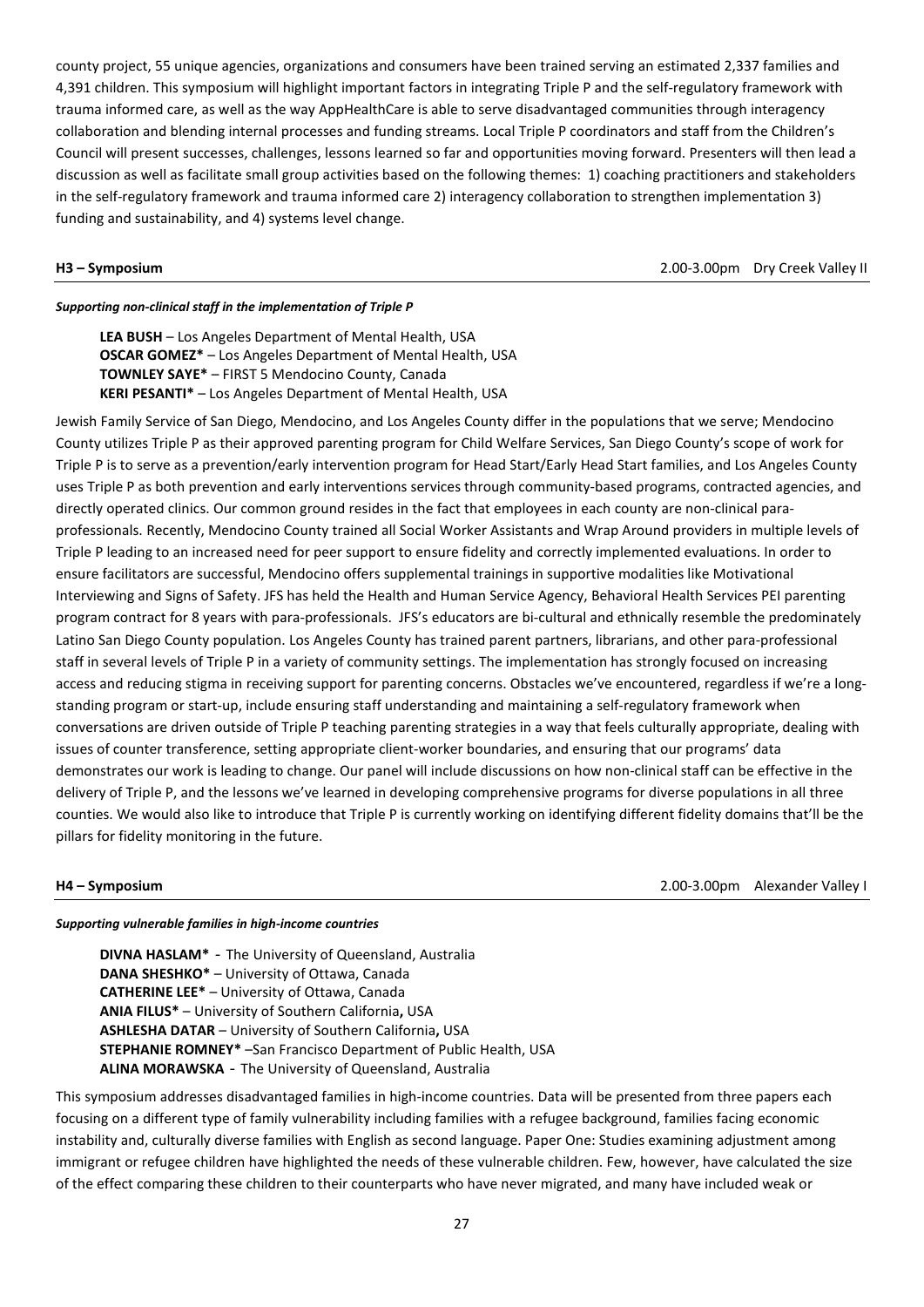county project, 55 unique agencies, organizations and consumers have been trained serving an estimated 2,337 families and 4,391 children. This symposium will highlight important factors in integrating Triple P and the self-regulatory framework with trauma informed care, as well as the way AppHealthCare is able to serve disadvantaged communities through interagency collaboration and blending internal processes and funding streams. Local Triple P coordinators and staff from the Children's Council will present successes, challenges, lessons learned so far and opportunities moving forward. Presenters will then lead a discussion as well as facilitate small group activities based on the following themes: 1) coaching practitioners and stakeholders in the self-regulatory framework and trauma informed care 2) interagency collaboration to strengthen implementation 3) funding and sustainability, and 4) systems level change.

**H3 – Symposium**2.00-3.00pm Dry Creek Valley II

# *Supporting non-clinical staff in the implementation of Triple P*

**LEA BUSH** – Los Angeles Department of Mental Health, USA **OSCAR GOMEZ\*** – Los Angeles Department of Mental Health, USA **TOWNLEY SAYE\*** – FIRST 5 Mendocino County, Canada **KERI PESANTI\*** – Los Angeles Department of Mental Health, USA

Jewish Family Service of San Diego, Mendocino, and Los Angeles County differ in the populations that we serve; Mendocino County utilizes Triple P as their approved parenting program for Child Welfare Services, San Diego County's scope of work for Triple P is to serve as a prevention/early intervention program for Head Start/Early Head Start families, and Los Angeles County uses Triple P as both prevention and early interventions services through community-based programs, contracted agencies, and directly operated clinics. Our common ground resides in the fact that employees in each county are non-clinical paraprofessionals. Recently, Mendocino County trained all Social Worker Assistants and Wrap Around providers in multiple levels of Triple P leading to an increased need for peer support to ensure fidelity and correctly implemented evaluations. In order to ensure facilitators are successful, Mendocino offers supplemental trainings in supportive modalities like Motivational Interviewing and Signs of Safety. JFS has held the Health and Human Service Agency, Behavioral Health Services PEI parenting program contract for 8 years with para-professionals. JFS's educators are bi-cultural and ethnically resemble the predominately Latino San Diego County population. Los Angeles County has trained parent partners, librarians, and other para-professional staff in several levels of Triple P in a variety of community settings. The implementation has strongly focused on increasing access and reducing stigma in receiving support for parenting concerns. Obstacles we've encountered, regardless if we're a longstanding program or start-up, include ensuring staff understanding and maintaining a self-regulatory framework when conversations are driven outside of Triple P teaching parenting strategies in a way that feels culturally appropriate, dealing with issues of counter transference, setting appropriate client-worker boundaries, and ensuring that our programs' data demonstrates our work is leading to change. Our panel will include discussions on how non-clinical staff can be effective in the delivery of Triple P, and the lessons we've learned in developing comprehensive programs for diverse populations in all three counties. We would also like to introduce that Triple P is currently working on identifying different fidelity domains that'll be the pillars for fidelity monitoring in the future.

**H4 – Symposium** 2.00-3.00pm Alexander Valley I

### *Supporting vulnerable families in high-income countries*

**DIVNA HASLAM\*** - The University of Queensland, Australia **DANA SHESHKO\*** – University of Ottawa, Canada **CATHERINE LEE\*** – University of Ottawa, Canada **ANIA FILUS\*** – University of Southern California**,** USA **ASHLESHA DATAR** – University of Southern California**,** USA **STEPHANIE ROMNEY\*** –San Francisco Department of Public Health, USA **ALINA MORAWSKA** - The University of Queensland, Australia

This symposium addresses disadvantaged families in high-income countries. Data will be presented from three papers each focusing on a different type of family vulnerability including families with a refugee background, families facing economic instability and, culturally diverse families with English as second language. Paper One: Studies examining adjustment among immigrant or refugee children have highlighted the needs of these vulnerable children. Few, however, have calculated the size of the effect comparing these children to their counterparts who have never migrated, and many have included weak or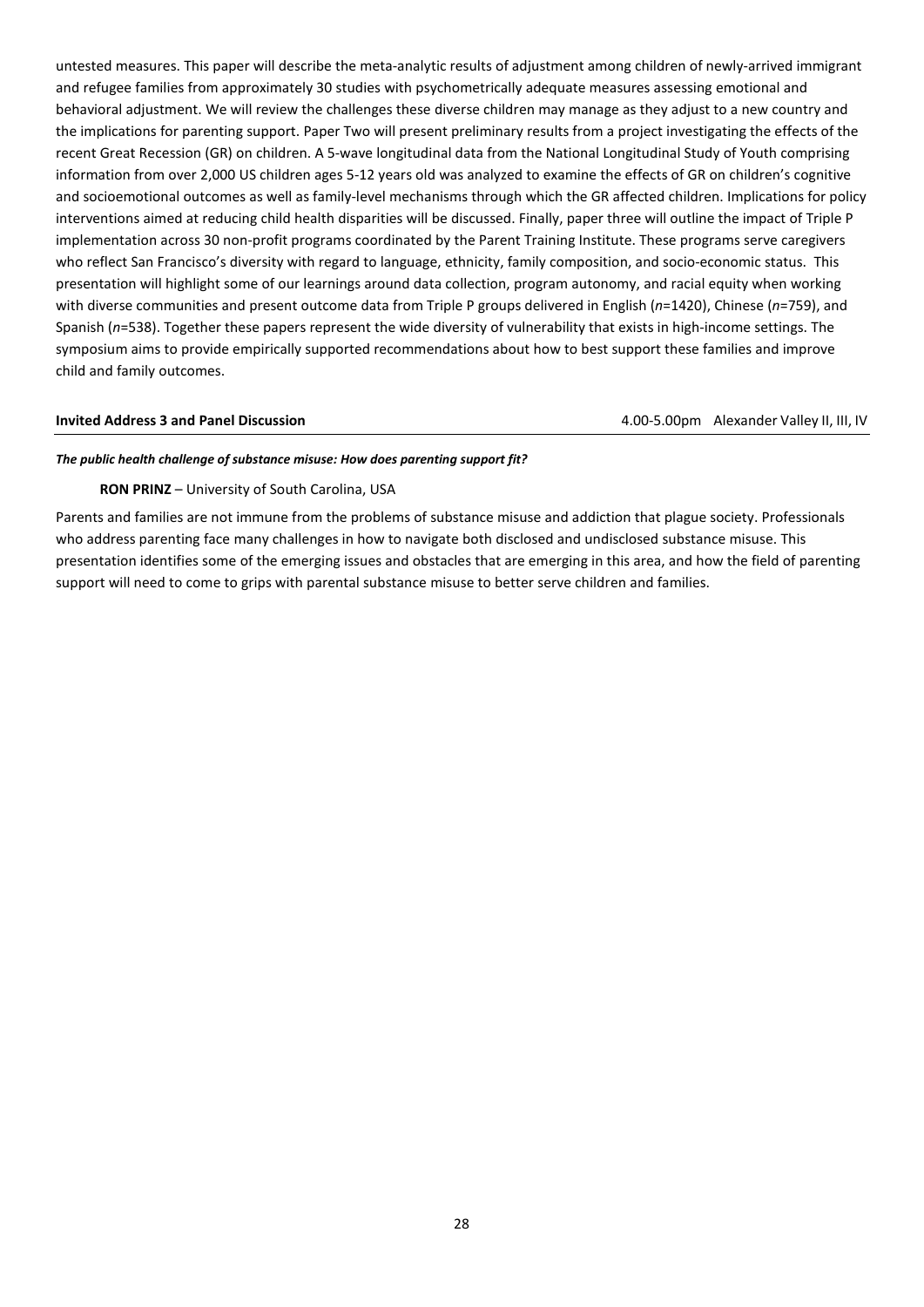untested measures. This paper will describe the meta-analytic results of adjustment among children of newly-arrived immigrant and refugee families from approximately 30 studies with psychometrically adequate measures assessing emotional and behavioral adjustment. We will review the challenges these diverse children may manage as they adjust to a new country and the implications for parenting support. Paper Two will present preliminary results from a project investigating the effects of the recent Great Recession (GR) on children. A 5-wave longitudinal data from the National Longitudinal Study of Youth comprising information from over 2,000 US children ages 5-12 years old was analyzed to examine the effects of GR on children's cognitive and socioemotional outcomes as well as family-level mechanisms through which the GR affected children. Implications for policy interventions aimed at reducing child health disparities will be discussed. Finally, paper three will outline the impact of Triple P implementation across 30 non-profit programs coordinated by the Parent Training Institute. These programs serve caregivers who reflect San Francisco's diversity with regard to language, ethnicity, family composition, and socio-economic status. This presentation will highlight some of our learnings around data collection, program autonomy, and racial equity when working with diverse communities and present outcome data from Triple P groups delivered in English (*n*=1420), Chinese (*n*=759), and Spanish (*n*=538). Together these papers represent the wide diversity of vulnerability that exists in high-income settings. The symposium aims to provide empirically supported recommendations about how to best support these families and improve child and family outcomes.

## **Invited Address 3 and Panel Discussion 1.000-5.00pm Alexander Valley II, III, IV** and the state of the state of the state of the state of the state of the state of the state of the state of the state of the state of the

### *The public health challenge of substance misuse: How does parenting support fit?*

## **RON PRINZ** – University of South Carolina, USA

Parents and families are not immune from the problems of substance misuse and addiction that plague society. Professionals who address parenting face many challenges in how to navigate both disclosed and undisclosed substance misuse. This presentation identifies some of the emerging issues and obstacles that are emerging in this area, and how the field of parenting support will need to come to grips with parental substance misuse to better serve children and families.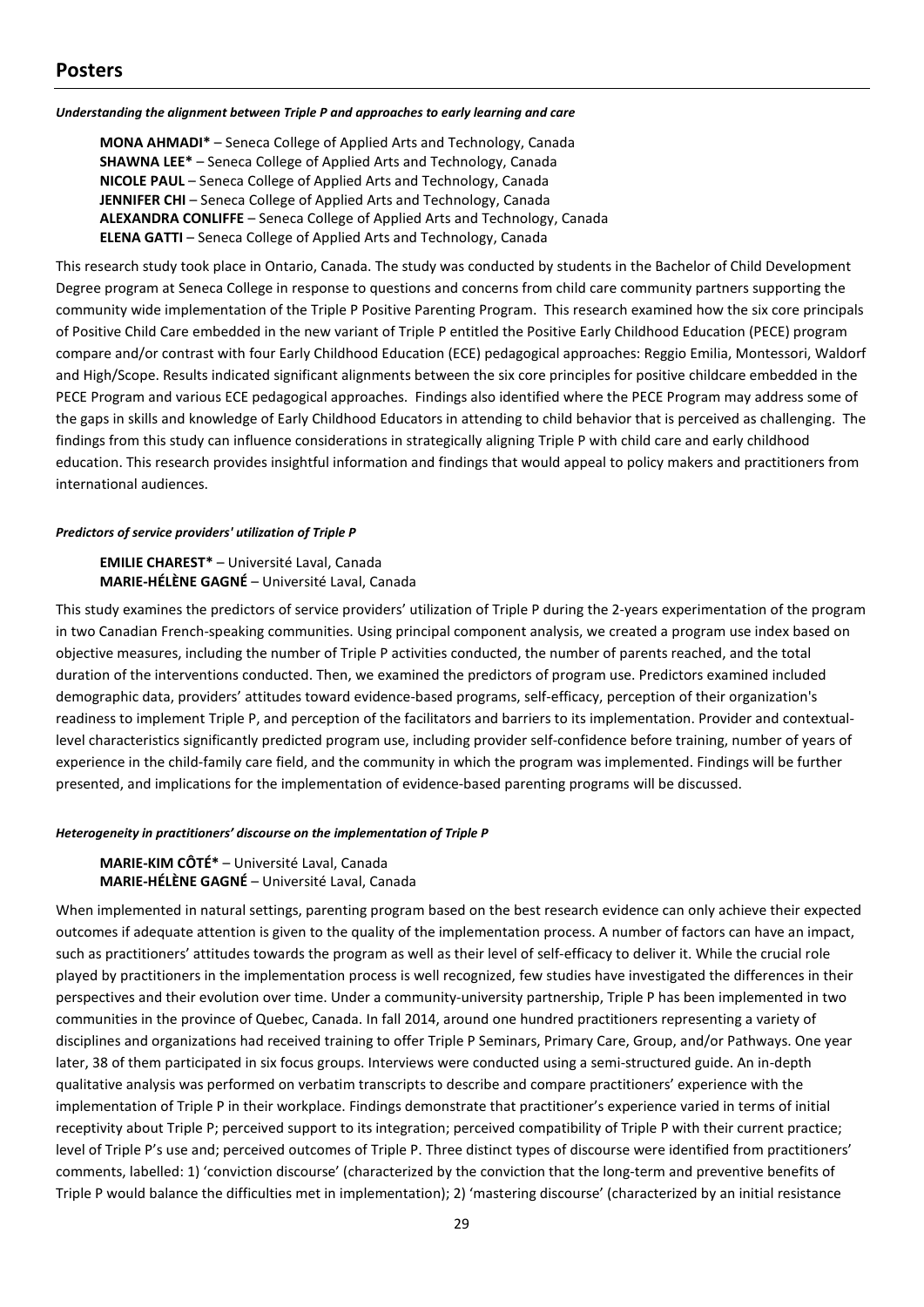### *Understanding the alignment between Triple P and approaches to early learning and care*

**MONA AHMADI\*** – Seneca College of Applied Arts and Technology, Canada **SHAWNA LEE\*** – Seneca College of Applied Arts and Technology, Canada **NICOLE PAUL** – Seneca College of Applied Arts and Technology, Canada **JENNIFER CHI** – Seneca College of Applied Arts and Technology, Canada **ALEXANDRA CONLIFFE** – Seneca College of Applied Arts and Technology, Canada **ELENA GATTI** – Seneca College of Applied Arts and Technology, Canada

This research study took place in Ontario, Canada. The study was conducted by students in the Bachelor of Child Development Degree program at Seneca College in response to questions and concerns from child care community partners supporting the community wide implementation of the Triple P Positive Parenting Program. This research examined how the six core principals of Positive Child Care embedded in the new variant of Triple P entitled the Positive Early Childhood Education (PECE) program compare and/or contrast with four Early Childhood Education (ECE) pedagogical approaches: Reggio Emilia, Montessori, Waldorf and High/Scope. Results indicated significant alignments between the six core principles for positive childcare embedded in the PECE Program and various ECE pedagogical approaches. Findings also identified where the PECE Program may address some of the gaps in skills and knowledge of Early Childhood Educators in attending to child behavior that is perceived as challenging. The findings from this study can influence considerations in strategically aligning Triple P with child care and early childhood education. This research provides insightful information and findings that would appeal to policy makers and practitioners from international audiences.

### *Predictors of service providers' utilization of Triple P*

**EMILIE CHAREST\*** – Université Laval, Canada **MARIE-HÉLÈNE GAGNÉ** – Université Laval, Canada

This study examines the predictors of service providers' utilization of Triple P during the 2-years experimentation of the program in two Canadian French-speaking communities. Using principal component analysis, we created a program use index based on objective measures, including the number of Triple P activities conducted, the number of parents reached, and the total duration of the interventions conducted. Then, we examined the predictors of program use. Predictors examined included demographic data, providers' attitudes toward evidence-based programs, self-efficacy, perception of their organization's readiness to implement Triple P, and perception of the facilitators and barriers to its implementation. Provider and contextuallevel characteristics significantly predicted program use, including provider self-confidence before training, number of years of experience in the child-family care field, and the community in which the program was implemented. Findings will be further presented, and implications for the implementation of evidence-based parenting programs will be discussed.

### *Heterogeneity in practitioners' discourse on the implementation of Triple P*

**MARIE-KIM CÔTÉ\*** – Université Laval, Canada **MARIE-HÉLÈNE GAGNÉ** – Université Laval, Canada

When implemented in natural settings, parenting program based on the best research evidence can only achieve their expected outcomes if adequate attention is given to the quality of the implementation process. A number of factors can have an impact, such as practitioners' attitudes towards the program as well as their level of self-efficacy to deliver it. While the crucial role played by practitioners in the implementation process is well recognized, few studies have investigated the differences in their perspectives and their evolution over time. Under a community-university partnership, Triple P has been implemented in two communities in the province of Quebec, Canada. In fall 2014, around one hundred practitioners representing a variety of disciplines and organizations had received training to offer Triple P Seminars, Primary Care, Group, and/or Pathways. One year later, 38 of them participated in six focus groups. Interviews were conducted using a semi-structured guide. An in-depth qualitative analysis was performed on verbatim transcripts to describe and compare practitioners' experience with the implementation of Triple P in their workplace. Findings demonstrate that practitioner's experience varied in terms of initial receptivity about Triple P; perceived support to its integration; perceived compatibility of Triple P with their current practice; level of Triple P's use and; perceived outcomes of Triple P. Three distinct types of discourse were identified from practitioners' comments, labelled: 1) 'conviction discourse' (characterized by the conviction that the long-term and preventive benefits of Triple P would balance the difficulties met in implementation); 2) 'mastering discourse' (characterized by an initial resistance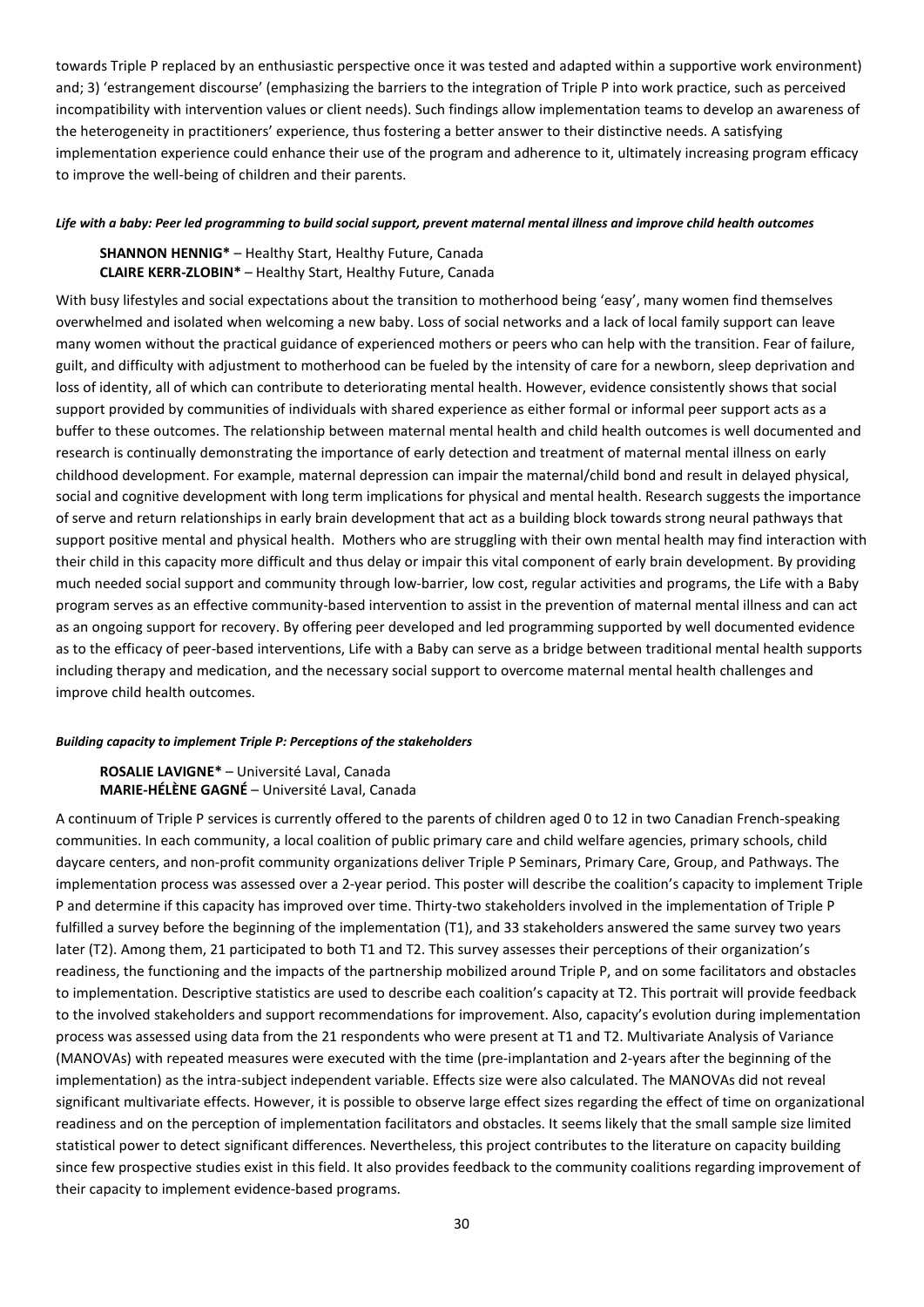towards Triple P replaced by an enthusiastic perspective once it was tested and adapted within a supportive work environment) and; 3) 'estrangement discourse' (emphasizing the barriers to the integration of Triple P into work practice, such as perceived incompatibility with intervention values or client needs). Such findings allow implementation teams to develop an awareness of the heterogeneity in practitioners' experience, thus fostering a better answer to their distinctive needs. A satisfying implementation experience could enhance their use of the program and adherence to it, ultimately increasing program efficacy to improve the well-being of children and their parents.

### *Life with a baby: Peer led programming to build social support, prevent maternal mental illness and improve child health outcomes*

# **SHANNON HENNIG\*** – Healthy Start, Healthy Future, Canada **CLAIRE KERR-ZLOBIN\*** – Healthy Start, Healthy Future, Canada

With busy lifestyles and social expectations about the transition to motherhood being 'easy', many women find themselves overwhelmed and isolated when welcoming a new baby. Loss of social networks and a lack of local family support can leave many women without the practical guidance of experienced mothers or peers who can help with the transition. Fear of failure, guilt, and difficulty with adjustment to motherhood can be fueled by the intensity of care for a newborn, sleep deprivation and loss of identity, all of which can contribute to deteriorating mental health. However, evidence consistently shows that social support provided by communities of individuals with shared experience as either formal or informal peer support acts as a buffer to these outcomes. The relationship between maternal mental health and child health outcomes is well documented and research is continually demonstrating the importance of early detection and treatment of maternal mental illness on early childhood development. For example, maternal depression can impair the maternal/child bond and result in delayed physical, social and cognitive development with long term implications for physical and mental health. Research suggests the importance of serve and return relationships in early brain development that act as a building block towards strong neural pathways that support positive mental and physical health. Mothers who are struggling with their own mental health may find interaction with their child in this capacity more difficult and thus delay or impair this vital component of early brain development. By providing much needed social support and community through low-barrier, low cost, regular activities and programs, the Life with a Baby program serves as an effective community-based intervention to assist in the prevention of maternal mental illness and can act as an ongoing support for recovery. By offering peer developed and led programming supported by well documented evidence as to the efficacy of peer-based interventions, Life with a Baby can serve as a bridge between traditional mental health supports including therapy and medication, and the necessary social support to overcome maternal mental health challenges and improve child health outcomes.

# *Building capacity to implement Triple P: Perceptions of the stakeholders*

**ROSALIE LAVIGNE\*** – Université Laval, Canada **MARIE-HÉLÈNE GAGNÉ** – Université Laval, Canada

A continuum of Triple P services is currently offered to the parents of children aged 0 to 12 in two Canadian French-speaking communities. In each community, a local coalition of public primary care and child welfare agencies, primary schools, child daycare centers, and non-profit community organizations deliver Triple P Seminars, Primary Care, Group, and Pathways. The implementation process was assessed over a 2-year period. This poster will describe the coalition's capacity to implement Triple P and determine if this capacity has improved over time. Thirty-two stakeholders involved in the implementation of Triple P fulfilled a survey before the beginning of the implementation (T1), and 33 stakeholders answered the same survey two years later (T2). Among them, 21 participated to both T1 and T2. This survey assesses their perceptions of their organization's readiness, the functioning and the impacts of the partnership mobilized around Triple P, and on some facilitators and obstacles to implementation. Descriptive statistics are used to describe each coalition's capacity at T2. This portrait will provide feedback to the involved stakeholders and support recommendations for improvement. Also, capacity's evolution during implementation process was assessed using data from the 21 respondents who were present at T1 and T2. Multivariate Analysis of Variance (MANOVAs) with repeated measures were executed with the time (pre-implantation and 2-years after the beginning of the implementation) as the intra-subject independent variable. Effects size were also calculated. The MANOVAs did not reveal significant multivariate effects. However, it is possible to observe large effect sizes regarding the effect of time on organizational readiness and on the perception of implementation facilitators and obstacles. It seems likely that the small sample size limited statistical power to detect significant differences. Nevertheless, this project contributes to the literature on capacity building since few prospective studies exist in this field. It also provides feedback to the community coalitions regarding improvement of their capacity to implement evidence-based programs.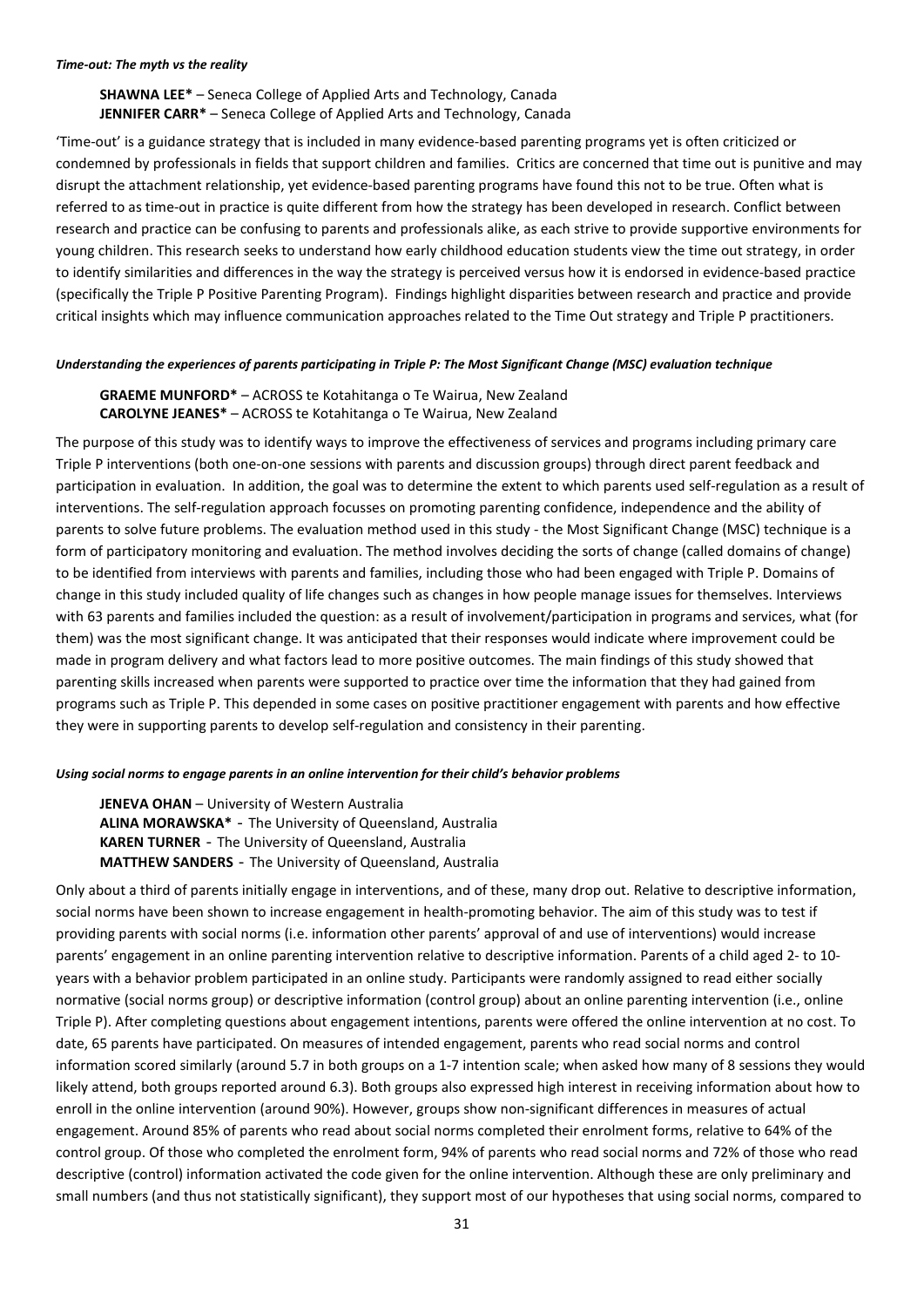**SHAWNA LEE\*** – Seneca College of Applied Arts and Technology, Canada **JENNIFER CARR\*** – Seneca College of Applied Arts and Technology, Canada

'Time-out' is a guidance strategy that is included in many evidence-based parenting programs yet is often criticized or condemned by professionals in fields that support children and families. Critics are concerned that time out is punitive and may disrupt the attachment relationship, yet evidence-based parenting programs have found this not to be true. Often what is referred to as time-out in practice is quite different from how the strategy has been developed in research. Conflict between research and practice can be confusing to parents and professionals alike, as each strive to provide supportive environments for young children. This research seeks to understand how early childhood education students view the time out strategy, in order to identify similarities and differences in the way the strategy is perceived versus how it is endorsed in evidence-based practice (specifically the Triple P Positive Parenting Program). Findings highlight disparities between research and practice and provide critical insights which may influence communication approaches related to the Time Out strategy and Triple P practitioners.

## *Understanding the experiences of parents participating in Triple P: The Most Significant Change (MSC) evaluation technique*

# **GRAEME MUNFORD\*** – ACROSS te Kotahitanga o Te Wairua, New Zealand **CAROLYNE JEANES\*** – ACROSS te Kotahitanga o Te Wairua, New Zealand

The purpose of this study was to identify ways to improve the effectiveness of services and programs including primary care Triple P interventions (both one-on-one sessions with parents and discussion groups) through direct parent feedback and participation in evaluation. In addition, the goal was to determine the extent to which parents used self-regulation as a result of interventions. The self-regulation approach focusses on promoting parenting confidence, independence and the ability of parents to solve future problems. The evaluation method used in this study - the Most Significant Change (MSC) technique is a form of participatory monitoring and evaluation. The method involves deciding the sorts of change (called domains of change) to be identified from interviews with parents and families, including those who had been engaged with Triple P. Domains of change in this study included quality of life changes such as changes in how people manage issues for themselves. Interviews with 63 parents and families included the question: as a result of involvement/participation in programs and services, what (for them) was the most significant change. It was anticipated that their responses would indicate where improvement could be made in program delivery and what factors lead to more positive outcomes. The main findings of this study showed that parenting skills increased when parents were supported to practice over time the information that they had gained from programs such as Triple P. This depended in some cases on positive practitioner engagement with parents and how effective they were in supporting parents to develop self-regulation and consistency in their parenting.

### *Using social norms to engage parents in an online intervention for their child's behavior problems*

**JENEVA OHAN** – University of Western Australia **ALINA MORAWSKA\*** - The University of Queensland, Australia **KAREN TURNER** - The University of Queensland, Australia **MATTHEW SANDERS** - The University of Queensland, Australia

Only about a third of parents initially engage in interventions, and of these, many drop out. Relative to descriptive information, social norms have been shown to increase engagement in health-promoting behavior. The aim of this study was to test if providing parents with social norms (i.e. information other parents' approval of and use of interventions) would increase parents' engagement in an online parenting intervention relative to descriptive information. Parents of a child aged 2- to 10 years with a behavior problem participated in an online study. Participants were randomly assigned to read either socially normative (social norms group) or descriptive information (control group) about an online parenting intervention (i.e., online Triple P). After completing questions about engagement intentions, parents were offered the online intervention at no cost. To date, 65 parents have participated. On measures of intended engagement, parents who read social norms and control information scored similarly (around 5.7 in both groups on a 1-7 intention scale; when asked how many of 8 sessions they would likely attend, both groups reported around 6.3). Both groups also expressed high interest in receiving information about how to enroll in the online intervention (around 90%). However, groups show non-significant differences in measures of actual engagement. Around 85% of parents who read about social norms completed their enrolment forms, relative to 64% of the control group. Of those who completed the enrolment form, 94% of parents who read social norms and 72% of those who read descriptive (control) information activated the code given for the online intervention. Although these are only preliminary and small numbers (and thus not statistically significant), they support most of our hypotheses that using social norms, compared to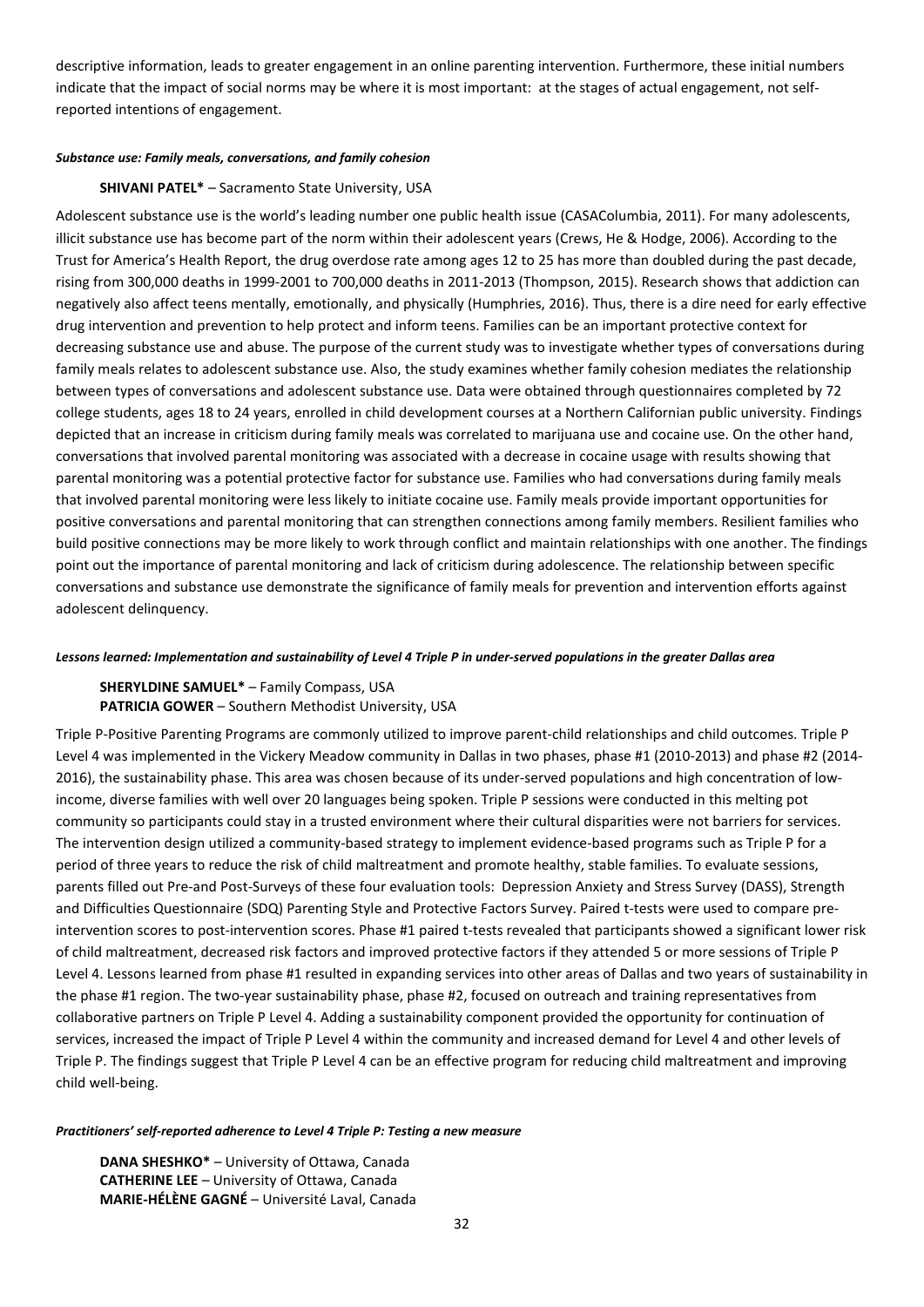descriptive information, leads to greater engagement in an online parenting intervention. Furthermore, these initial numbers indicate that the impact of social norms may be where it is most important: at the stages of actual engagement, not selfreported intentions of engagement.

### *Substance use: Family meals, conversations, and family cohesion*

### **SHIVANI PATEL\*** – Sacramento State University, USA

Adolescent substance use is the world's leading number one public health issue (CASAColumbia, 2011). For many adolescents, illicit substance use has become part of the norm within their adolescent years (Crews, He & Hodge, 2006). According to the Trust for America's Health Report, the drug overdose rate among ages 12 to 25 has more than doubled during the past decade, rising from 300,000 deaths in 1999-2001 to 700,000 deaths in 2011-2013 (Thompson, 2015). Research shows that addiction can negatively also affect teens mentally, emotionally, and physically (Humphries, 2016). Thus, there is a dire need for early effective drug intervention and prevention to help protect and inform teens. Families can be an important protective context for decreasing substance use and abuse. The purpose of the current study was to investigate whether types of conversations during family meals relates to adolescent substance use. Also, the study examines whether family cohesion mediates the relationship between types of conversations and adolescent substance use. Data were obtained through questionnaires completed by 72 college students, ages 18 to 24 years, enrolled in child development courses at a Northern Californian public university. Findings depicted that an increase in criticism during family meals was correlated to marijuana use and cocaine use. On the other hand, conversations that involved parental monitoring was associated with a decrease in cocaine usage with results showing that parental monitoring was a potential protective factor for substance use. Families who had conversations during family meals that involved parental monitoring were less likely to initiate cocaine use. Family meals provide important opportunities for positive conversations and parental monitoring that can strengthen connections among family members. Resilient families who build positive connections may be more likely to work through conflict and maintain relationships with one another. The findings point out the importance of parental monitoring and lack of criticism during adolescence. The relationship between specific conversations and substance use demonstrate the significance of family meals for prevention and intervention efforts against adolescent delinquency.

### *Lessons learned: Implementation and sustainability of Level 4 Triple P in under-served populations in the greater Dallas area*

## **SHERYLDINE SAMUEL\*** – Family Compass, USA **PATRICIA GOWER** – Southern Methodist University, USA

Triple P-Positive Parenting Programs are commonly utilized to improve parent-child relationships and child outcomes. Triple P Level 4 was implemented in the Vickery Meadow community in Dallas in two phases, phase #1 (2010-2013) and phase #2 (2014- 2016), the sustainability phase. This area was chosen because of its under-served populations and high concentration of lowincome, diverse families with well over 20 languages being spoken. Triple P sessions were conducted in this melting pot community so participants could stay in a trusted environment where their cultural disparities were not barriers for services. The intervention design utilized a community-based strategy to implement evidence-based programs such as Triple P for a period of three years to reduce the risk of child maltreatment and promote healthy, stable families. To evaluate sessions, parents filled out Pre-and Post-Surveys of these four evaluation tools: Depression Anxiety and Stress Survey (DASS), Strength and Difficulties Questionnaire (SDQ) Parenting Style and Protective Factors Survey. Paired t-tests were used to compare preintervention scores to post-intervention scores. Phase #1 paired t-tests revealed that participants showed a significant lower risk of child maltreatment, decreased risk factors and improved protective factors if they attended 5 or more sessions of Triple P Level 4. Lessons learned from phase #1 resulted in expanding services into other areas of Dallas and two years of sustainability in the phase #1 region. The two-year sustainability phase, phase #2, focused on outreach and training representatives from collaborative partners on Triple P Level 4. Adding a sustainability component provided the opportunity for continuation of services, increased the impact of Triple P Level 4 within the community and increased demand for Level 4 and other levels of Triple P. The findings suggest that Triple P Level 4 can be an effective program for reducing child maltreatment and improving child well-being.

### *Practitioners' self-reported adherence to Level 4 Triple P: Testing a new measure*

**DANA SHESHKO\*** – University of Ottawa, Canada **CATHERINE LEE** – University of Ottawa, Canada **MARIE-HÉLÈNE GAGNÉ** – Université Laval, Canada